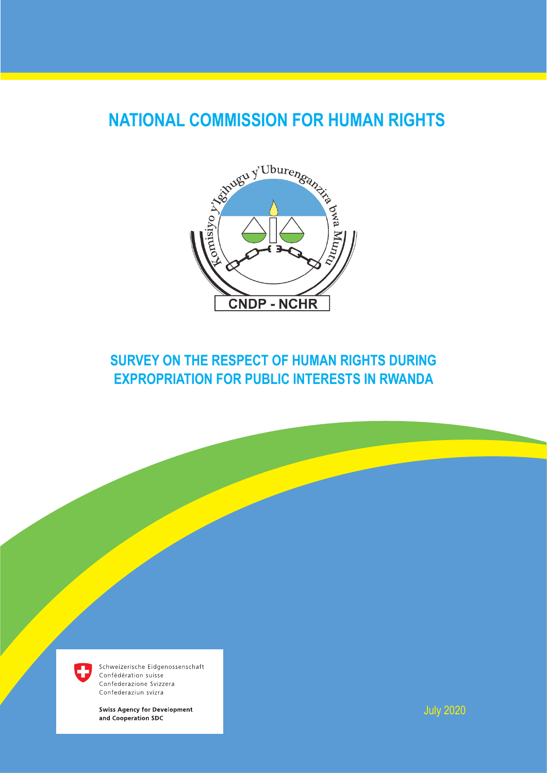# **NATIONAL COMMISSION FOR HUMAN RIGHTS**



# **SURVEY ON THE RESPECT OF HUMAN RIGHTS DURING EXPROPRIATION FOR PUBLIC INTERESTS IN RWANDA**



Schweizerische Eidgenossenschaft Confédération suisse Confederazione Svizzera Confederaziun svizra

**Swiss Agency for Development** and Cooperation SDC

July 2020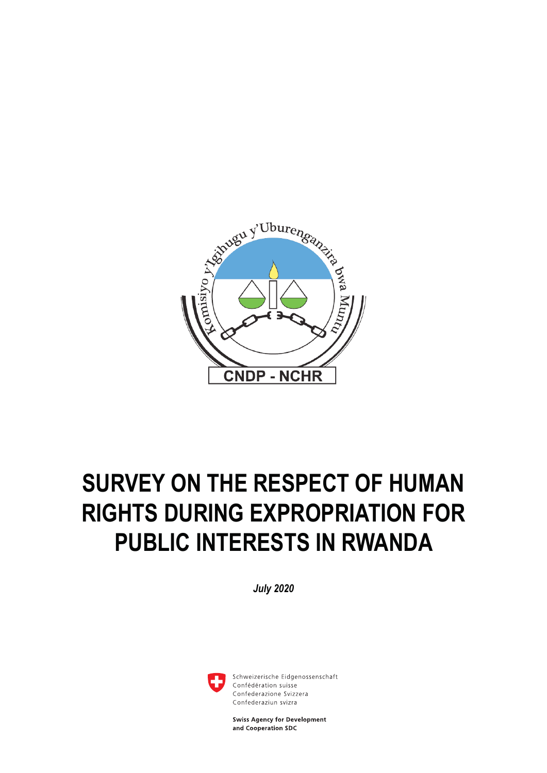

# **SURVEY ON THE RESPECT OF HUMAN RIGHTS DURING EXPROPRIATION FOR PUBLIC INTERESTS IN RWANDA**

*July 2020*



Schweizerische Eidgenossenschaft Confédération suisse Confederazione Svizzera Confederaziun svizra

**Swiss Agency for Development** and Cooperation SDC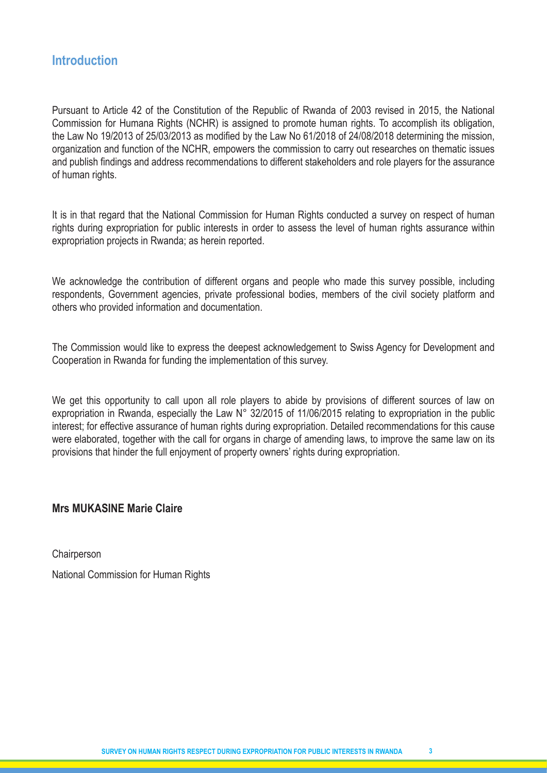# **Introduction**

Pursuant to Article 42 of the Constitution of the Republic of Rwanda of 2003 revised in 2015, the National Commission for Humana Rights (NCHR) is assigned to promote human rights. To accomplish its obligation, the Law No 19/2013 of 25/03/2013 as modified by the Law No 61/2018 of 24/08/2018 determining the mission, organization and function of the NCHR, empowers the commission to carry out researches on thematic issues and publish findings and address recommendations to different stakeholders and role players for the assurance of human rights.

It is in that regard that the National Commission for Human Rights conducted a survey on respect of human rights during expropriation for public interests in order to assess the level of human rights assurance within expropriation projects in Rwanda; as herein reported.

We acknowledge the contribution of different organs and people who made this survey possible, including respondents, Government agencies, private professional bodies, members of the civil society platform and others who provided information and documentation.

The Commission would like to express the deepest acknowledgement to Swiss Agency for Development and Cooperation in Rwanda for funding the implementation of this survey.

We get this opportunity to call upon all role players to abide by provisions of different sources of law on expropriation in Rwanda, especially the Law N° 32/2015 of 11/06/2015 relating to expropriation in the public interest; for effective assurance of human rights during expropriation. Detailed recommendations for this cause were elaborated, together with the call for organs in charge of amending laws, to improve the same law on its provisions that hinder the full enjoyment of property owners' rights during expropriation.

# **Mrs MUKASINE Marie Claire**

**Chairperson** 

National Commission for Human Rights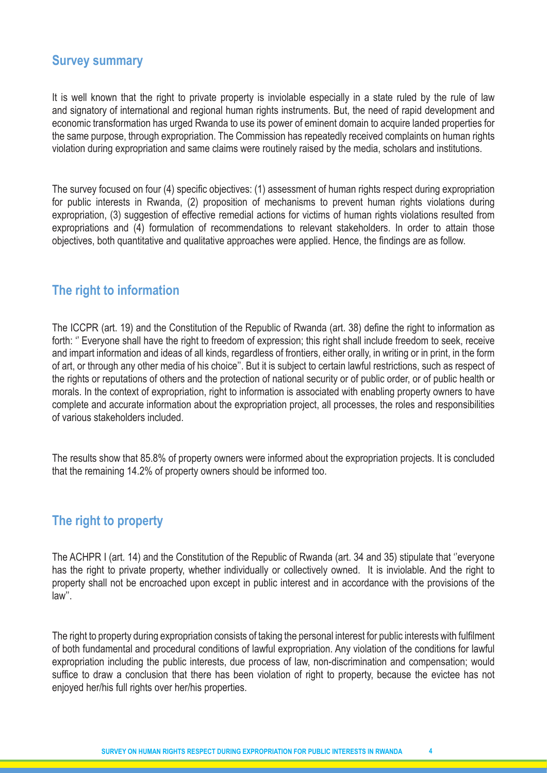# **Survey summary**

It is well known that the right to private property is inviolable especially in a state ruled by the rule of law and signatory of international and regional human rights instruments. But, the need of rapid development and economic transformation has urged Rwanda to use its power of eminent domain to acquire landed properties for the same purpose, through expropriation. The Commission has repeatedly received complaints on human rights violation during expropriation and same claims were routinely raised by the media, scholars and institutions.

The survey focused on four (4) specific objectives: (1) assessment of human rights respect during expropriation for public interests in Rwanda, (2) proposition of mechanisms to prevent human rights violations during expropriation, (3) suggestion of effective remedial actions for victims of human rights violations resulted from expropriations and (4) formulation of recommendations to relevant stakeholders. In order to attain those objectives, both quantitative and qualitative approaches were applied. Hence, the findings are as follow.

# **The right to information**

The ICCPR (art. 19) and the Constitution of the Republic of Rwanda (art. 38) define the right to information as forth: '' Everyone shall have the right to freedom of expression; this right shall include freedom to seek, receive and impart information and ideas of all kinds, regardless of frontiers, either orally, in writing or in print, in the form of art, or through any other media of his choice''. But it is subject to certain lawful restrictions, such as respect of the rights or reputations of others and the protection of national security or of public order, or of public health or morals. In the context of expropriation, right to information is associated with enabling property owners to have complete and accurate information about the expropriation project, all processes, the roles and responsibilities of various stakeholders included.

The results show that 85.8% of property owners were informed about the expropriation projects. It is concluded that the remaining 14.2% of property owners should be informed too.

# **The right to property**

The ACHPR I (art. 14) and the Constitution of the Republic of Rwanda (art. 34 and 35) stipulate that ''everyone has the right to private property, whether individually or collectively owned. It is inviolable. And the right to property shall not be encroached upon except in public interest and in accordance with the provisions of the law''.

The right to property during expropriation consists of taking the personal interest for public interests with fulfilment of both fundamental and procedural conditions of lawful expropriation. Any violation of the conditions for lawful expropriation including the public interests, due process of law, non-discrimination and compensation; would suffice to draw a conclusion that there has been violation of right to property, because the evictee has not enjoyed her/his full rights over her/his properties.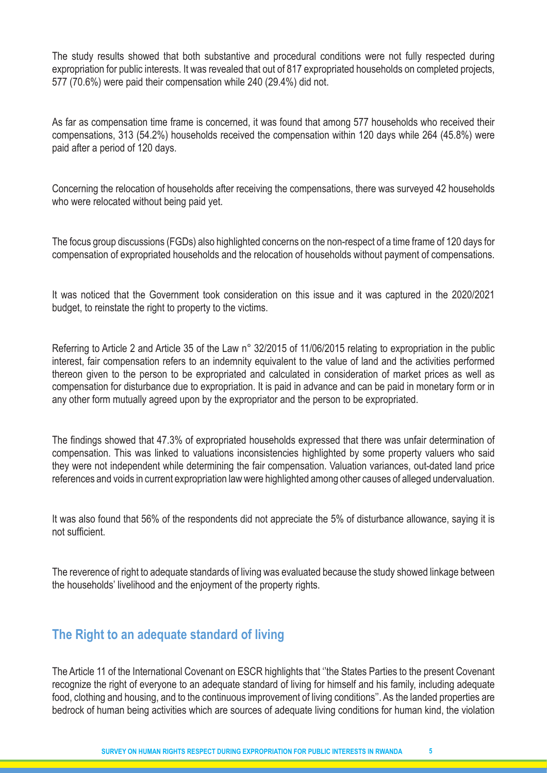The study results showed that both substantive and procedural conditions were not fully respected during expropriation for public interests. It was revealed that out of 817 expropriated households on completed projects, 577 (70.6%) were paid their compensation while 240 (29.4%) did not.

As far as compensation time frame is concerned, it was found that among 577 households who received their compensations, 313 (54.2%) households received the compensation within 120 days while 264 (45.8%) were paid after a period of 120 days.

Concerning the relocation of households after receiving the compensations, there was surveyed 42 households who were relocated without being paid yet.

The focus group discussions (FGDs) also highlighted concerns on the non-respect of a time frame of 120 days for compensation of expropriated households and the relocation of households without payment of compensations.

It was noticed that the Government took consideration on this issue and it was captured in the 2020/2021 budget, to reinstate the right to property to the victims.

Referring to Article 2 and Article 35 of the Law n° 32/2015 of 11/06/2015 relating to expropriation in the public interest, fair compensation refers to an indemnity equivalent to the value of land and the activities performed thereon given to the person to be expropriated and calculated in consideration of market prices as well as compensation for disturbance due to expropriation. It is paid in advance and can be paid in monetary form or in any other form mutually agreed upon by the expropriator and the person to be expropriated.

The findings showed that 47.3% of expropriated households expressed that there was unfair determination of compensation. This was linked to valuations inconsistencies highlighted by some property valuers who said they were not independent while determining the fair compensation. Valuation variances, out-dated land price references and voids in current expropriation law were highlighted among other causes of alleged undervaluation.

It was also found that 56% of the respondents did not appreciate the 5% of disturbance allowance, saying it is not sufficient.

The reverence of right to adequate standards of living was evaluated because the study showed linkage between the households' livelihood and the enjoyment of the property rights.

# **The Right to an adequate standard of living**

The Article 11 of the International Covenant on ESCR highlights that ''the States Parties to the present Covenant recognize the right of everyone to an adequate standard of living for himself and his family, including adequate food, clothing and housing, and to the continuous improvement of living conditions''. As the landed properties are bedrock of human being activities which are sources of adequate living conditions for human kind, the violation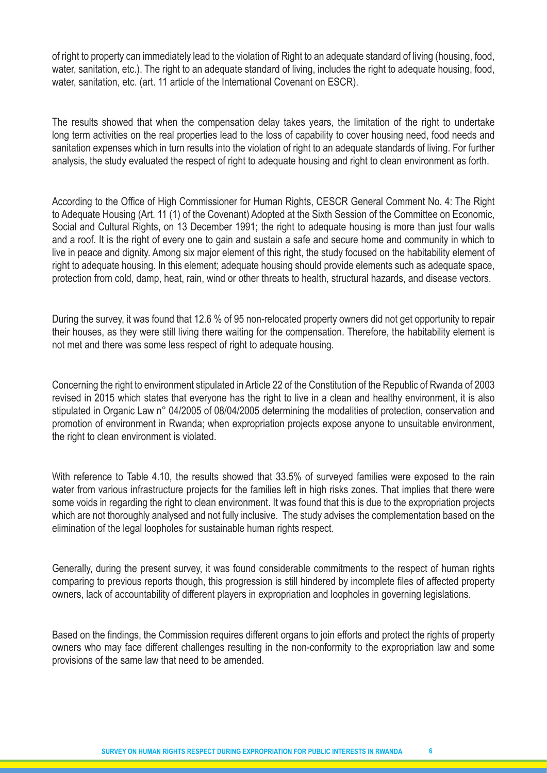of right to property can immediately lead to the violation of Right to an adequate standard of living (housing, food, water, sanitation, etc.). The right to an adequate standard of living, includes the right to adequate housing, food, water, sanitation, etc. (art. 11 article of the International Covenant on ESCR).

The results showed that when the compensation delay takes years, the limitation of the right to undertake long term activities on the real properties lead to the loss of capability to cover housing need, food needs and sanitation expenses which in turn results into the violation of right to an adequate standards of living. For further analysis, the study evaluated the respect of right to adequate housing and right to clean environment as forth.

According to the Office of High Commissioner for Human Rights, CESCR General Comment No. 4: The Right to Adequate Housing (Art. 11 (1) of the Covenant) Adopted at the Sixth Session of the Committee on Economic, Social and Cultural Rights, on 13 December 1991; the right to adequate housing is more than just four walls and a roof. It is the right of every one to gain and sustain a safe and secure home and community in which to live in peace and dignity. Among six major element of this right, the study focused on the habitability element of right to adequate housing. In this element; adequate housing should provide elements such as adequate space, protection from cold, damp, heat, rain, wind or other threats to health, structural hazards, and disease vectors.

During the survey, it was found that 12.6 % of 95 non-relocated property owners did not get opportunity to repair their houses, as they were still living there waiting for the compensation. Therefore, the habitability element is not met and there was some less respect of right to adequate housing.

Concerning the right to environment stipulated in Article 22 of the Constitution of the Republic of Rwanda of 2003 revised in 2015 which states that everyone has the right to live in a clean and healthy environment, it is also stipulated in Organic Law n° 04/2005 of 08/04/2005 determining the modalities of protection, conservation and promotion of environment in Rwanda; when expropriation projects expose anyone to unsuitable environment, the right to clean environment is violated.

With reference to Table 4.10, the results showed that 33.5% of surveyed families were exposed to the rain water from various infrastructure projects for the families left in high risks zones. That implies that there were some voids in regarding the right to clean environment. It was found that this is due to the expropriation projects which are not thoroughly analysed and not fully inclusive. The study advises the complementation based on the elimination of the legal loopholes for sustainable human rights respect.

Generally, during the present survey, it was found considerable commitments to the respect of human rights comparing to previous reports though, this progression is still hindered by incomplete files of affected property owners, lack of accountability of different players in expropriation and loopholes in governing legislations.

Based on the findings, the Commission requires different organs to join efforts and protect the rights of property owners who may face different challenges resulting in the non-conformity to the expropriation law and some provisions of the same law that need to be amended.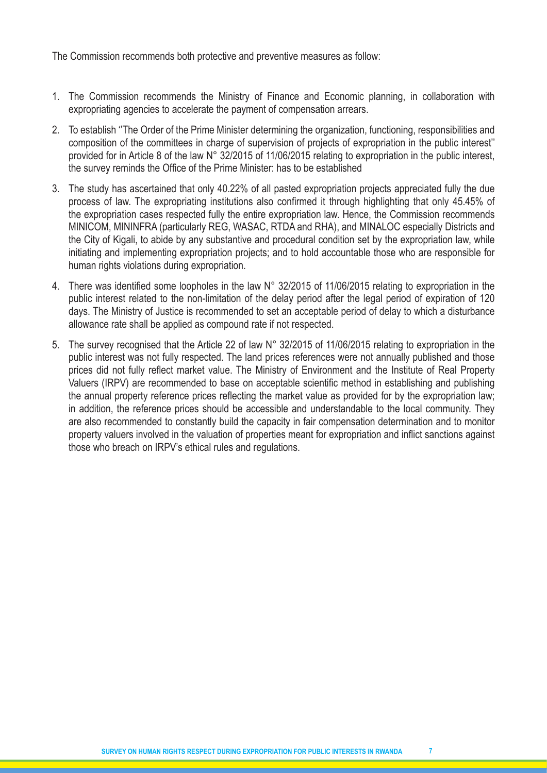The Commission recommends both protective and preventive measures as follow:

- 1. The Commission recommends the Ministry of Finance and Economic planning, in collaboration with expropriating agencies to accelerate the payment of compensation arrears.
- 2. To establish ''The Order of the Prime Minister determining the organization, functioning, responsibilities and composition of the committees in charge of supervision of projects of expropriation in the public interest'' provided for in Article 8 of the law N° 32/2015 of 11/06/2015 relating to expropriation in the public interest, the survey reminds the Office of the Prime Minister: has to be established
- 3. The study has ascertained that only 40.22% of all pasted expropriation projects appreciated fully the due process of law. The expropriating institutions also confirmed it through highlighting that only 45.45% of the expropriation cases respected fully the entire expropriation law. Hence, the Commission recommends MINICOM, MININFRA (particularly REG, WASAC, RTDA and RHA), and MINALOC especially Districts and the City of Kigali, to abide by any substantive and procedural condition set by the expropriation law, while initiating and implementing expropriation projects; and to hold accountable those who are responsible for human rights violations during expropriation.
- 4. There was identified some loopholes in the law N° 32/2015 of 11/06/2015 relating to expropriation in the public interest related to the non-limitation of the delay period after the legal period of expiration of 120 days. The Ministry of Justice is recommended to set an acceptable period of delay to which a disturbance allowance rate shall be applied as compound rate if not respected.
- 5. The survey recognised that the Article 22 of law N° 32/2015 of 11/06/2015 relating to expropriation in the public interest was not fully respected. The land prices references were not annually published and those prices did not fully reflect market value. The Ministry of Environment and the Institute of Real Property Valuers (IRPV) are recommended to base on acceptable scientific method in establishing and publishing the annual property reference prices reflecting the market value as provided for by the expropriation law; in addition, the reference prices should be accessible and understandable to the local community. They are also recommended to constantly build the capacity in fair compensation determination and to monitor property valuers involved in the valuation of properties meant for expropriation and inflict sanctions against those who breach on IRPV's ethical rules and regulations.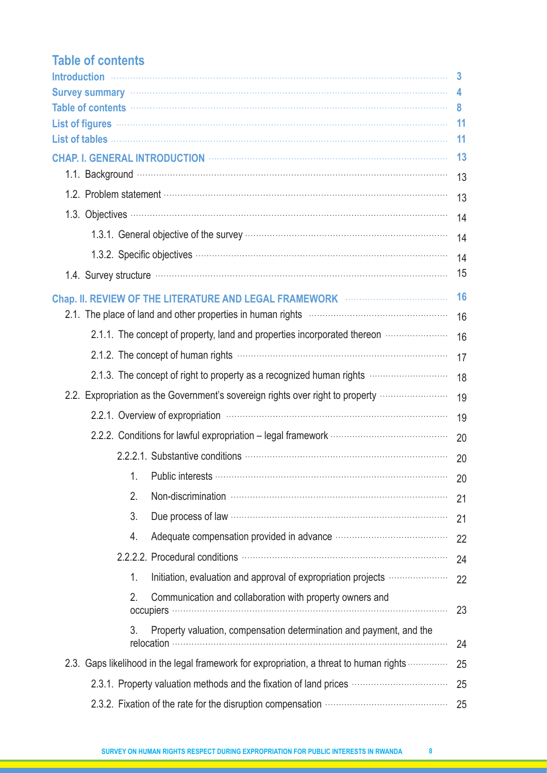# **Table of contents**

|                                                                                                                                                                                                                                | 3   |
|--------------------------------------------------------------------------------------------------------------------------------------------------------------------------------------------------------------------------------|-----|
| Survey summary with the contract of the contract of the state of the state of the state of the state of the state of the state of the state of the state of the state of the state of the state of the state of the state of t | 4   |
| Table of contents with the contents of the content of the content of the content of the contents of the content of the content of the content of the content of the content of the content of the content of the content of th | 8   |
| List of figures with a continuum and contact the contract of figures with a contract of figures with a contract of the contract of the contract of the contract of the contract of the contract of the contract of the contrac | -11 |
|                                                                                                                                                                                                                                | 11  |
|                                                                                                                                                                                                                                | 13  |
|                                                                                                                                                                                                                                | 13  |
|                                                                                                                                                                                                                                | 13  |
|                                                                                                                                                                                                                                | 14  |
|                                                                                                                                                                                                                                | 14  |
|                                                                                                                                                                                                                                | 14  |
|                                                                                                                                                                                                                                | 15  |
| Chap. II. REVIEW OF THE LITERATURE AND LEGAL FRAMEWORK <b>WELLER AND ACTION</b>                                                                                                                                                | 16  |
|                                                                                                                                                                                                                                | 16  |
| 2.1.1. The concept of property, land and properties incorporated thereon                                                                                                                                                       | 16  |
|                                                                                                                                                                                                                                | 17  |
| 2.1.3. The concept of right to property as a recognized human rights                                                                                                                                                           | 18  |
| 2.2. Expropriation as the Government's sovereign rights over right to property <i></i>                                                                                                                                         | 19  |
|                                                                                                                                                                                                                                | 19  |
| 2.2.2. Conditions for lawful expropriation - legal framework …………………………………………………                                                                                                                                               | 20  |
|                                                                                                                                                                                                                                | 20  |
| 1.                                                                                                                                                                                                                             |     |
| 2.                                                                                                                                                                                                                             | 21  |
| 3.                                                                                                                                                                                                                             | 21  |
| Adequate compensation provided in advance manufactured compensation provided in advance manufactured and all<br>4.                                                                                                             | 22  |
| 2.2.2.2. Procedural conditions manufactured and all procedural conditions of the set of the set of the set of                                                                                                                  | 24  |
| Initiation, evaluation and approval of expropriation projects<br>1.                                                                                                                                                            | 22  |
| 2.<br>Communication and collaboration with property owners and                                                                                                                                                                 | 23  |
| 3.<br>Property valuation, compensation determination and payment, and the                                                                                                                                                      | 24  |
| 2.3. Gaps likelihood in the legal framework for expropriation, a threat to human rights                                                                                                                                        | 25  |
| 2.3.1. Property valuation methods and the fixation of land prices                                                                                                                                                              | 25  |
|                                                                                                                                                                                                                                | 25  |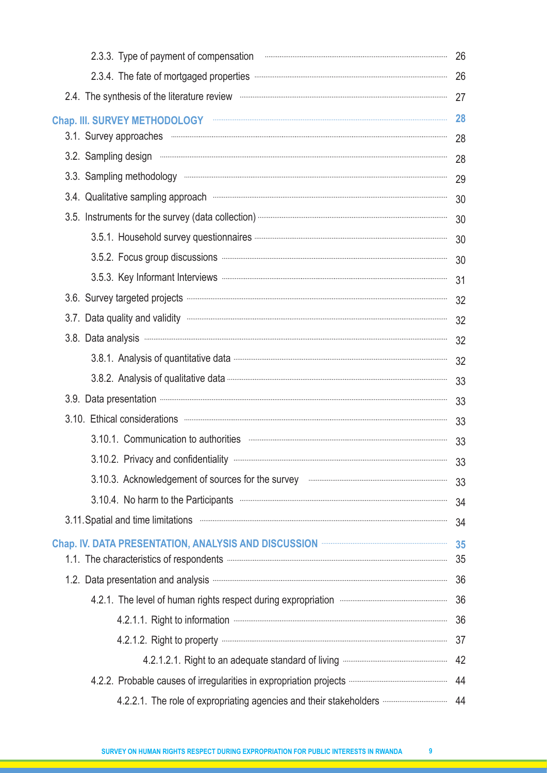| $\begin{minipage}{0.5\textwidth} \begin{tabular}{ c c c c c } \hline \multicolumn{1}{ c }{0.5\textwidth} \begin{tabular}{ c c c c } \hline \multicolumn{1}{ c }{0.5\textwidth} \begin{tabular}{ c c c } \hline \multicolumn{1}{ c }{0.5\textwidth} \begin{tabular}{ c c c } \hline \multicolumn{1}{ c }{0.5\textwidth} \begin{tabular}{ c c c } \hline \multicolumn{1}{ c }{0.5\textwidth} \begin{tabular}{ c c c } \hline \multicolumn{1}{ $<br>2.3.3. Type of payment of compensation | 26 |
|-----------------------------------------------------------------------------------------------------------------------------------------------------------------------------------------------------------------------------------------------------------------------------------------------------------------------------------------------------------------------------------------------------------------------------------------------------------------------------------------|----|
| 2.3.4. The fate of mortgaged properties manufactured and contain an anti-                                                                                                                                                                                                                                                                                                                                                                                                               | 26 |
|                                                                                                                                                                                                                                                                                                                                                                                                                                                                                         | 27 |
| Chap. III. SURVEY METHODOLOGY <b>Example 2018</b>                                                                                                                                                                                                                                                                                                                                                                                                                                       | 28 |
|                                                                                                                                                                                                                                                                                                                                                                                                                                                                                         | 28 |
|                                                                                                                                                                                                                                                                                                                                                                                                                                                                                         | 28 |
|                                                                                                                                                                                                                                                                                                                                                                                                                                                                                         | 29 |
| 3.4. Qualitative sampling approach minimum minimum minimum minimum minimum minimum minimum minimum                                                                                                                                                                                                                                                                                                                                                                                      | 30 |
|                                                                                                                                                                                                                                                                                                                                                                                                                                                                                         | 30 |
|                                                                                                                                                                                                                                                                                                                                                                                                                                                                                         | 30 |
| 3.5.2. Focus group discussions manufactured and continuum contract of the state of the state of the state of the state of the state of the state of the state of the state of the state of the state of the state of the state                                                                                                                                                                                                                                                          | 30 |
|                                                                                                                                                                                                                                                                                                                                                                                                                                                                                         | 31 |
|                                                                                                                                                                                                                                                                                                                                                                                                                                                                                         | 32 |
|                                                                                                                                                                                                                                                                                                                                                                                                                                                                                         | 32 |
|                                                                                                                                                                                                                                                                                                                                                                                                                                                                                         | 32 |
|                                                                                                                                                                                                                                                                                                                                                                                                                                                                                         | 32 |
|                                                                                                                                                                                                                                                                                                                                                                                                                                                                                         | 33 |
|                                                                                                                                                                                                                                                                                                                                                                                                                                                                                         | 33 |
|                                                                                                                                                                                                                                                                                                                                                                                                                                                                                         | 33 |
|                                                                                                                                                                                                                                                                                                                                                                                                                                                                                         | 33 |
|                                                                                                                                                                                                                                                                                                                                                                                                                                                                                         |    |
| 3.10.3. Acknowledgement of sources for the survey manufactured and account of sources for the survey                                                                                                                                                                                                                                                                                                                                                                                    | 33 |
| 3.10.4. No harm to the Participants <b>manufacture and the Street Participants manufacture 10.4.</b>                                                                                                                                                                                                                                                                                                                                                                                    | 34 |
| 3.11. Spatial and time limitations <b>manufacture and the system of the system</b> of the set of the limitations <b>manufacture</b>                                                                                                                                                                                                                                                                                                                                                     | 34 |
|                                                                                                                                                                                                                                                                                                                                                                                                                                                                                         | 35 |
|                                                                                                                                                                                                                                                                                                                                                                                                                                                                                         |    |
| 1.2. Data presentation and analysis <b>manufacture and analysis contract and analysis contract and analysis contract and analysis contract and analysis 36</b>                                                                                                                                                                                                                                                                                                                          |    |
| 4.2.1. The level of human rights respect during expropriation manufacture increasing the level of human rights respect during expropriation                                                                                                                                                                                                                                                                                                                                             | 36 |
|                                                                                                                                                                                                                                                                                                                                                                                                                                                                                         | 36 |
|                                                                                                                                                                                                                                                                                                                                                                                                                                                                                         |    |
|                                                                                                                                                                                                                                                                                                                                                                                                                                                                                         | 42 |
|                                                                                                                                                                                                                                                                                                                                                                                                                                                                                         |    |
| 4.2.2.1. The role of expropriating agencies and their stakeholders  44                                                                                                                                                                                                                                                                                                                                                                                                                  |    |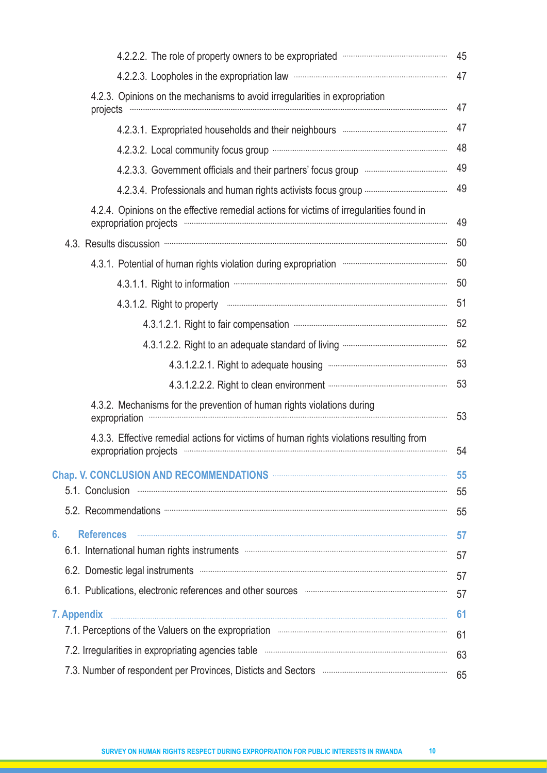| 4.2.2.2. The role of property owners to be expropriated www.communically.com                                                                                                                                                                                                                                               | 45  |
|----------------------------------------------------------------------------------------------------------------------------------------------------------------------------------------------------------------------------------------------------------------------------------------------------------------------------|-----|
| 4.2.2.3. Loopholes in the expropriation law manufacture and the state of the expropriation law                                                                                                                                                                                                                             |     |
| 4.2.3. Opinions on the mechanisms to avoid irregularities in expropriation<br>projects                                                                                                                                                                                                                                     | 47  |
|                                                                                                                                                                                                                                                                                                                            | 47  |
|                                                                                                                                                                                                                                                                                                                            | 48  |
| 4.2.3.3. Government officials and their partners' focus group manufactured and their partners' focus group                                                                                                                                                                                                                 | 49  |
|                                                                                                                                                                                                                                                                                                                            | 49  |
| 4.2.4. Opinions on the effective remedial actions for victims of irregularities found in<br>expropriation projects manufactured and contract of the contract of the contract of the contract of the contract of the contract of the contract of the contract of the contract of the contract of the contract of the contra | 49  |
| 4.3. Results discussion manufactured and a series of the discussion of the series of the series of the series of the series of the series of the series of the series of the series of the series of the series of the series                                                                                              | 50  |
| 4.3.1. Potential of human rights violation during expropriation manufacture manufacture 50                                                                                                                                                                                                                                 |     |
|                                                                                                                                                                                                                                                                                                                            |     |
| 4.3.1.2. Right to property www.communication.communication.com/                                                                                                                                                                                                                                                            | -51 |
|                                                                                                                                                                                                                                                                                                                            |     |
|                                                                                                                                                                                                                                                                                                                            |     |
|                                                                                                                                                                                                                                                                                                                            |     |
|                                                                                                                                                                                                                                                                                                                            |     |
| 4.3.2. Mechanisms for the prevention of human rights violations during<br>expropriation                                                                                                                                                                                                                                    | 53  |
| 4.3.3. Effective remedial actions for victims of human rights violations resulting from<br>expropriation projects communication and all the projects of the contract of the contract of the contract of the contract of the contract of the contract of the contract of the contract of the contract of the contract of t  | 54  |
|                                                                                                                                                                                                                                                                                                                            | 55  |
|                                                                                                                                                                                                                                                                                                                            | 55  |
|                                                                                                                                                                                                                                                                                                                            | 55  |
| 6.<br><b>References</b>                                                                                                                                                                                                                                                                                                    | 57  |
| 6.1. International human rights instruments <b>manufacture in the contract of the contract of the contract of the contract of the contract of the contract of the contract of the contract of the contract of the contract of th</b>                                                                                       | 57  |
|                                                                                                                                                                                                                                                                                                                            | 57  |
| 6.1. Publications, electronic references and other sources <b>with the construction</b> and the sources <b>construction</b>                                                                                                                                                                                                | 57  |
|                                                                                                                                                                                                                                                                                                                            | 61  |
|                                                                                                                                                                                                                                                                                                                            | 61  |
|                                                                                                                                                                                                                                                                                                                            | 63  |
| 7.3. Number of respondent per Provinces, Disticts and Sectors <b>Entertainment and Sectors Entertainment and Sectors</b>                                                                                                                                                                                                   | 65  |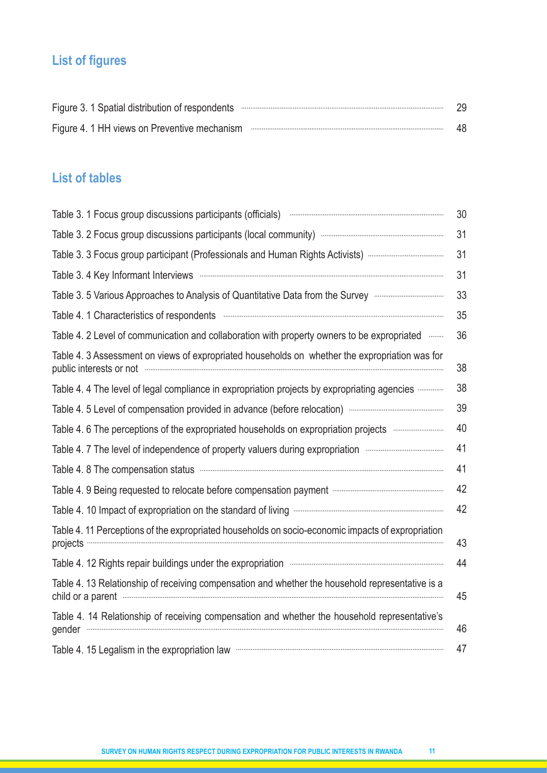# **List of figures**

| Figure 3. 1 Spatial distribution of respondents with the continuum contract of the spatial distribution of respondents | -29 |
|------------------------------------------------------------------------------------------------------------------------|-----|
|                                                                                                                        | 48  |

# **List of tables**

| Table 3. 1 Focus group discussions participants (officials) <b>Contract and Stroman Contract and Stroman Contract A</b>                                                                                                                                                                                                            | 30 |
|------------------------------------------------------------------------------------------------------------------------------------------------------------------------------------------------------------------------------------------------------------------------------------------------------------------------------------|----|
|                                                                                                                                                                                                                                                                                                                                    | 31 |
| Table 3. 3 Focus group participant (Professionals and Human Rights Activists)                                                                                                                                                                                                                                                      | 31 |
|                                                                                                                                                                                                                                                                                                                                    | 31 |
| Table 3.5 Various Approaches to Analysis of Quantitative Data from the Survey manual manuscress of                                                                                                                                                                                                                                 | 33 |
|                                                                                                                                                                                                                                                                                                                                    | 35 |
| Table 4. 2 Level of communication and collaboration with property owners to be expropriated will                                                                                                                                                                                                                                   | 36 |
| Table 4. 3 Assessment on views of expropriated households on whether the expropriation was for<br>public interests or not www.communication.communication.com/                                                                                                                                                                     | 38 |
| Table 4.4 The level of legal compliance in expropriation projects by expropriating agencies                                                                                                                                                                                                                                        | 38 |
|                                                                                                                                                                                                                                                                                                                                    | 39 |
| Table 4.6 The perceptions of the expropriated households on expropriation projects municially                                                                                                                                                                                                                                      | 40 |
| Table 4. 7 The level of independence of property valuers during expropriation manufacture manufacture                                                                                                                                                                                                                              | 41 |
| Table 4. 8 The compensation status <b>Election Status Election Status Election Status Election Status Election Status Election Status Election Status Election Status Election Status Election Status Electi</b>                                                                                                                   | 41 |
| Table 4. 9 Being requested to relocate before compensation payment manufacture and contain the Table 4. 9 Being requested to relocate before compensation payment                                                                                                                                                                  | 42 |
|                                                                                                                                                                                                                                                                                                                                    | 42 |
| Table 4.11 Perceptions of the expropriated households on socio-economic impacts of expropriation                                                                                                                                                                                                                                   | 43 |
| Table 4. 12 Rights repair buildings under the expropriation <b>Constitution</b> and the state of the state of the state of the state of the state of the state of the state of the state of the state of the state of the state of                                                                                                 | 44 |
| Table 4. 13 Relationship of receiving compensation and whether the household representative is a<br>child or a parent www.communication.com/service/service/service/service/service/service/service/service/service/service/service/service/service/service/service/service/service/service/service/service/service/service/servic | 45 |
| Table 4. 14 Relationship of receiving compensation and whether the household representative's<br>gender                                                                                                                                                                                                                            | 46 |
|                                                                                                                                                                                                                                                                                                                                    | 47 |

<u> 1989 - Johann Stein, marwolaethau a bh</u>

<u> 1989 - Johann Stoff, deutscher Stoffen und der Stoffen und der Stoffen und der Stoffen und der Stoffen und de</u>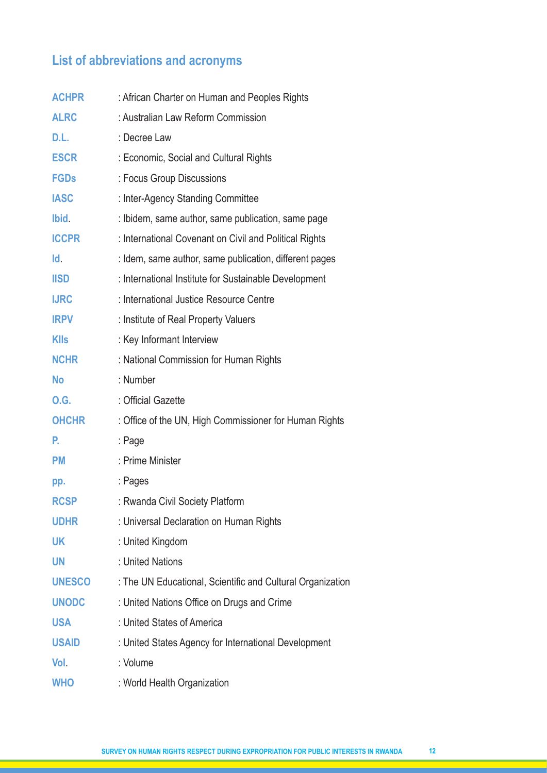# **List of abbreviations and acronyms**

| <b>ACHPR</b>  | : African Charter on Human and Peoples Rights              |
|---------------|------------------------------------------------------------|
| <b>ALRC</b>   | : Australian Law Reform Commission                         |
| D.L.          | : Decree Law                                               |
| <b>ESCR</b>   | : Economic, Social and Cultural Rights                     |
| <b>FGDs</b>   | : Focus Group Discussions                                  |
| <b>IASC</b>   | : Inter-Agency Standing Committee                          |
| Ibid.         | : Ibidem, same author, same publication, same page         |
| <b>ICCPR</b>  | : International Covenant on Civil and Political Rights     |
| Id.           | : Idem, same author, same publication, different pages     |
| <b>IISD</b>   | : International Institute for Sustainable Development      |
| <b>IJRC</b>   | : International Justice Resource Centre                    |
| <b>IRPV</b>   | : Institute of Real Property Valuers                       |
| <b>KIIs</b>   | : Key Informant Interview                                  |
| <b>NCHR</b>   | : National Commission for Human Rights                     |
| <b>No</b>     | : Number                                                   |
| <b>O.G.</b>   | : Official Gazette                                         |
| <b>OHCHR</b>  | : Office of the UN, High Commissioner for Human Rights     |
| Р.            | : Page                                                     |
| <b>PM</b>     | : Prime Minister                                           |
| pp.           | : Pages                                                    |
| <b>RCSP</b>   | : Rwanda Civil Society Platform                            |
| <b>UDHR</b>   | : Universal Declaration on Human Rights                    |
| UK            | : United Kingdom                                           |
| <b>UN</b>     | : United Nations                                           |
| <b>UNESCO</b> | : The UN Educational, Scientific and Cultural Organization |
| <b>UNODC</b>  | : United Nations Office on Drugs and Crime                 |
| <b>USA</b>    | : United States of America                                 |
| <b>USAID</b>  | : United States Agency for International Development       |
| Vol.          | : Volume                                                   |
| <b>WHO</b>    | : World Health Organization                                |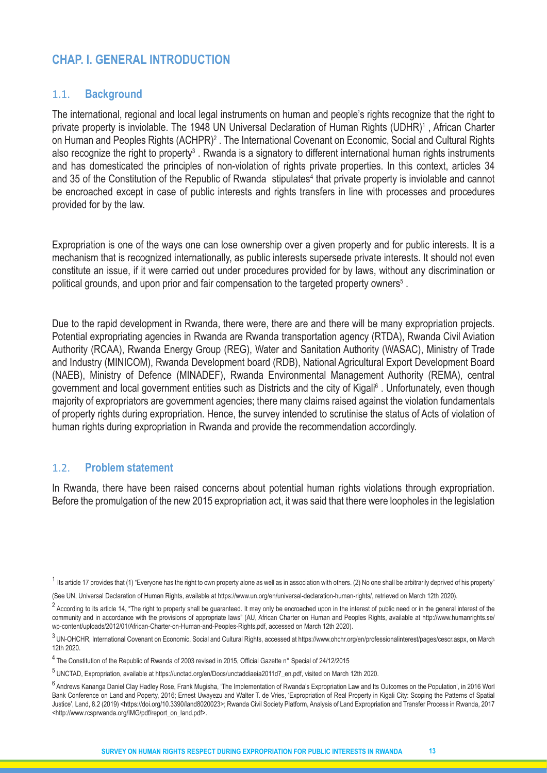# **CHAP. I. GENERAL INTRODUCTION**

#### 1.1. **Background**

The international, regional and local legal instruments on human and people's rights recognize that the right to private property is inviolable. The 1948 UN Universal Declaration of Human Rights (UDHR)<sup>1</sup>, African Charter on Human and Peoples Rights (ACHPR)<sup>2</sup> . The International Covenant on Economic, Social and Cultural Rights also recognize the right to property<sup>3</sup>. Rwanda is a signatory to different international human rights instruments and has domesticated the principles of non-violation of rights private properties. In this context, articles 34 and 35 of the Constitution of the Republic of Rwanda stipulates<sup>4</sup> that private property is inviolable and cannot be encroached except in case of public interests and rights transfers in line with processes and procedures provided for by the law.

Expropriation is one of the ways one can lose ownership over a given property and for public interests. It is a mechanism that is recognized internationally, as public interests supersede private interests. It should not even constitute an issue, if it were carried out under procedures provided for by laws, without any discrimination or political grounds, and upon prior and fair compensation to the targeted property owners<sup>5</sup>.

Due to the rapid development in Rwanda, there were, there are and there will be many expropriation projects. Potential expropriating agencies in Rwanda are Rwanda transportation agency (RTDA), Rwanda Civil Aviation Authority (RCAA), Rwanda Energy Group (REG), Water and Sanitation Authority (WASAC), Ministry of Trade and Industry (MINICOM), Rwanda Development board (RDB), National Agricultural Export Development Board (NAEB), Ministry of Defence (MINADEF), Rwanda Environmental Management Authority (REMA), central government and local government entities such as Districts and the city of Kigali<sup>6</sup> . Unfortunately, even though majority of expropriators are government agencies; there many claims raised against the violation fundamentals of property rights during expropriation. Hence, the survey intended to scrutinise the status of Acts of violation of human rights during expropriation in Rwanda and provide the recommendation accordingly.

#### 1.2. **Problem statement**

In Rwanda, there have been raised concerns about potential human rights violations through expropriation. Before the promulgation of the new 2015 expropriation act, it was said that there were loopholes in the legislation

 $1$  Its article 17 provides that (1) "Everyone has the right to own property alone as well as in association with others. (2) No one shall be arbitrarily deprived of his property"

<sup>(</sup>See UN, Universal Declaration of Human Rights, available at https://www.un.org/en/universal-declaration-human-rights/, retrieved on March 12th 2020).

<sup>&</sup>lt;sup>2</sup> Accordina to its article 14, "The right to property shall be guaranteed. It may only be encroached upon in the interest of public need or in the general interest of the community and in accordance with the provisions of appropriate laws" (AU, African Charter on Human and Peoples Rights, available at http://www.humanrights.se/ wp-content/uploads/2012/01/African-Charter-on-Human-and-Peoples-Rights.pdf, accessed on March 12th 2020).

<sup>3</sup>UN-OHCHR, International Covenant on Economic, Social and Cultural Rights, accessed at https://www.ohchr.org/en/professionalinterest/pages/cescr.aspx, on March 12th 2020.

<sup>4</sup>The Constitution of the Republic of Rwanda of 2003 revised in 2015, Official Gazette n° Special of 24/12/2015

<sup>5</sup>UNCTAD, Expropriation, available at https://unctad.org/en/Docs/unctaddiaeia2011d7\_en.pdf, visited on March 12th 2020.

<sup>&</sup>lt;sup>6</sup> Andrews Kananga Daniel Clay Hadley Rose, Frank Mugisha, 'The Implementation of Rwanda's Expropriation Law and Its Outcomes on the Population', in 2016 Worl Bank Conference on Land and Poperty, 2016; Ernest Uwayezu and Walter T. de Vries, 'Expropriation of Real Property in Kigali City: Scoping the Patterns of Spatial Justice', Land, 8.2 (2019) <https://doi.org/10.3390/land8020023>; Rwanda Civil Society Platform, Analysis of Land Expropriation and Transfer Process in Rwanda, 2017 <http://www.rcsprwanda.org/IMG/pdf/report\_on\_land.pdf>.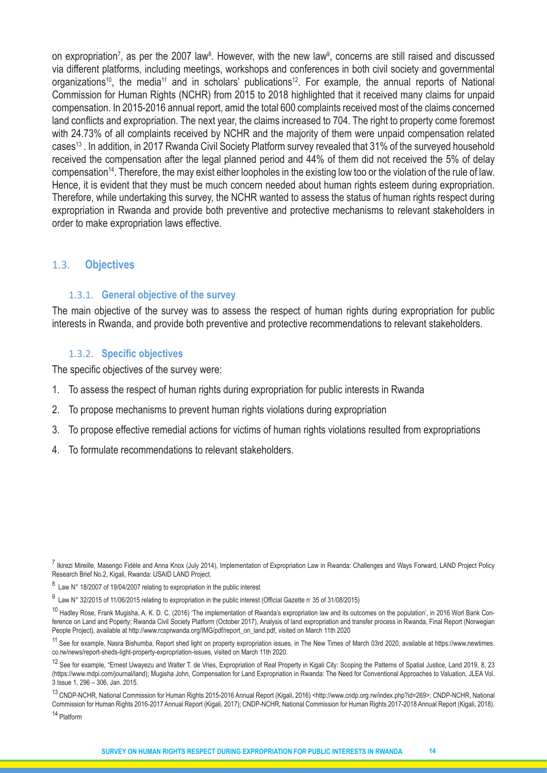on expropriation<sup>7</sup>, as per the 2007 law<sup>8</sup>. However, with the new law<sup>9</sup>, concerns are still raised and discussed via different platforms, including meetings, workshops and conferences in both civil society and governmental organizations<sup>10</sup>, the media<sup>11</sup> and in scholars' publications<sup>12</sup>. For example, the annual reports of National Commission for Human Rights (NCHR) from 2015 to 2018 highlighted that it received many claims for unpaid compensation. In 2015-2016 annual report, amid the total 600 complaints received most of the claims concerned land conflicts and expropriation. The next year, the claims increased to 704. The right to property come foremost with 24.73% of all complaints received by NCHR and the majority of them were unpaid compensation related cases13 . In addition, in 2017 Rwanda Civil Society Platform survey revealed that 31% of the surveyed household received the compensation after the legal planned period and 44% of them did not received the 5% of delay compensation14. Therefore, the may exist either loopholes in the existing low too or the violation of the rule of law. Hence, it is evident that they must be much concern needed about human rights esteem during expropriation. Therefore, while undertaking this survey, the NCHR wanted to assess the status of human rights respect during expropriation in Rwanda and provide both preventive and protective mechanisms to relevant stakeholders in order to make expropriation laws effective.

#### 1.3. **Objectives**

#### 1.3.1. **General objective of the survey**

The main objective of the survey was to assess the respect of human rights during expropriation for public interests in Rwanda, and provide both preventive and protective recommendations to relevant stakeholders.

#### 1.3.2. **Specific objectives**

The specific objectives of the survey were:

- 1. To assess the respect of human rights during expropriation for public interests in Rwanda
- 2. To propose mechanisms to prevent human rights violations during expropriation
- 3. To propose effective remedial actions for victims of human rights violations resulted from expropriations
- 4. To formulate recommendations to relevant stakeholders.

 $^9$  Law N° 32/2015 of 11/06/2015 relating to expropriation in the public interest (Official Gazette nº 35 of 31/08/2015)

14 Platform

<sup>&</sup>lt;sup>7</sup> Ikirezi Mireille, Masengo Fidèle and Anna Knox (July 2014), Implementation of Expropriation Law in Rwanda: Challenges and Ways Forward, LAND Project Policy Research Brief No.2, Kigali, Rwanda: USAID LAND Project.

<sup>8</sup> Law N° 18/2007 of 19/04/2007 relating to expropriation in the public interest

<sup>&</sup>lt;sup>10</sup> Hadley Rose, Frank Mugisha, A. K. D. C. (2016) 'The implementation of Rwanda's expropriation law and its outcomes on the population', in 2016 Worl Bank Conference on Land and Poperty; Rwanda Civil Society Platform (October 2017), Analysis of land expropriation and transfer process in Rwanda, Final Report (Norwegian People Project), available at http://www.rcsprwanda.org/IMG/pdf/report\_on\_land.pdf, visited on March 11th 2020

<sup>&</sup>lt;sup>11</sup> See for example, Nasra Bishumba, Report shed light on property expropriation issues, in The New Times of March 03rd 2020, available at https://www.newtimes. co.rw/news/report-sheds-light-property-expropriation-issues, visited on March 11th 2020.

<sup>&</sup>lt;sup>12</sup> See for example, "Ernest Uwayezu and Walter T. de Vries, Expropriation of Real Property in Kigali City: Scoping the Patterns of Spatial Justice, Land 2019, 8, 23 (https://www.mdpi.com/journal/land); Mugisha John, Compensation for Land Expropriation in Rwanda: The Need for Conventional Approaches to Valuation, JLEA Vol. 3 Issue 1, 296 – 306, Jan. 2015.

<sup>13</sup>CNDP-NCHR, National Commission for Human Rights 2015-2016 Annual Report (Kigali, 2016) <http://www.cndp.org.rw/index.php?id=269>; CNDP-NCHR, National Commission for Human Rights 2016-2017 Annual Report (Kigali, 2017); CNDP-NCHR, National Commission for Human Rights 2017-2018 Annual Report (Kigali, 2018).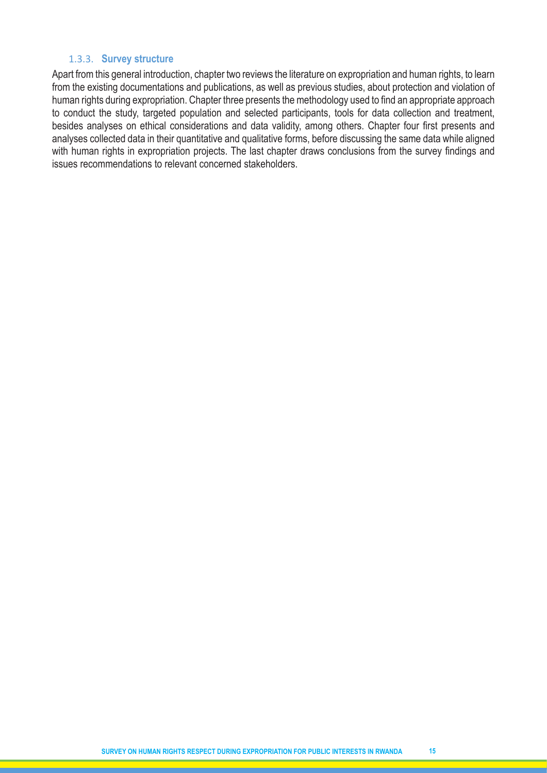#### 1.3.3. **Survey structure**

Apart from this general introduction, chapter two reviews the literature on expropriation and human rights, to learn from the existing documentations and publications, as well as previous studies, about protection and violation of human rights during expropriation. Chapter three presents the methodology used to find an appropriate approach to conduct the study, targeted population and selected participants, tools for data collection and treatment, besides analyses on ethical considerations and data validity, among others. Chapter four first presents and analyses collected data in their quantitative and qualitative forms, before discussing the same data while aligned with human rights in expropriation projects. The last chapter draws conclusions from the survey findings and issues recommendations to relevant concerned stakeholders.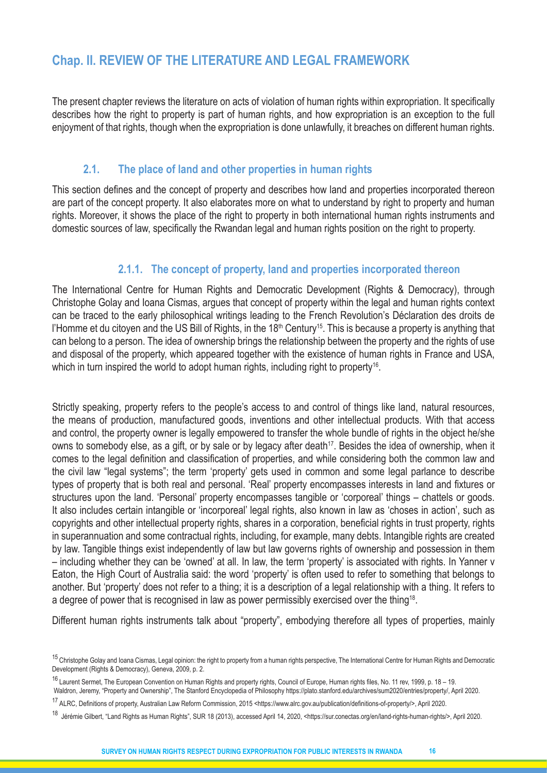# **Chap. II. REVIEW OF THE LITERATURE AND LEGAL FRAMEWORK**

The present chapter reviews the literature on acts of violation of human rights within expropriation. It specifically describes how the right to property is part of human rights, and how expropriation is an exception to the full enjoyment of that rights, though when the expropriation is done unlawfully, it breaches on different human rights.

# **2.1. The place of land and other properties in human rights**

This section defines and the concept of property and describes how land and properties incorporated thereon are part of the concept property. It also elaborates more on what to understand by right to property and human rights. Moreover, it shows the place of the right to property in both international human rights instruments and domestic sources of law, specifically the Rwandan legal and human rights position on the right to property.

# **2.1.1. The concept of property, land and properties incorporated thereon**

The International Centre for Human Rights and Democratic Development (Rights & Democracy), through Christophe Golay and Ioana Cismas, argues that concept of property within the legal and human rights context can be traced to the early philosophical writings leading to the French Revolution's Déclaration des droits de l'Homme et du citoyen and the US Bill of Rights, in the 18<sup>th</sup> Century<sup>15</sup>. This is because a property is anything that can belong to a person. The idea of ownership brings the relationship between the property and the rights of use and disposal of the property, which appeared together with the existence of human rights in France and USA, which in turn inspired the world to adopt human rights, including right to property<sup>16</sup>.

Strictly speaking, property refers to the people's access to and control of things like land, natural resources, the means of production, manufactured goods, inventions and other intellectual products. With that access and control, the property owner is legally empowered to transfer the whole bundle of rights in the object he/she owns to somebody else, as a gift, or by sale or by legacy after death<sup>17</sup>. Besides the idea of ownership, when it comes to the legal definition and classification of properties, and while considering both the common law and the civil law "legal systems"; the term 'property' gets used in common and some legal parlance to describe types of property that is both real and personal. 'Real' property encompasses interests in land and fixtures or structures upon the land. 'Personal' property encompasses tangible or 'corporeal' things – chattels or goods. It also includes certain intangible or 'incorporeal' legal rights, also known in law as 'choses in action', such as copyrights and other intellectual property rights, shares in a corporation, beneficial rights in trust property, rights in superannuation and some contractual rights, including, for example, many debts. Intangible rights are created by law. Tangible things exist independently of law but law governs rights of ownership and possession in them – including whether they can be 'owned' at all. In law, the term 'property' is associated with rights. In Yanner v Eaton, the High Court of Australia said: the word 'property' is often used to refer to something that belongs to another. But 'property' does not refer to a thing; it is a description of a legal relationship with a thing. It refers to a degree of power that is recognised in law as power permissibly exercised over the thing<sup>18</sup>.

Different human rights instruments talk about "property", embodying therefore all types of properties, mainly

<sup>&</sup>lt;sup>15</sup> Christophe Golay and Ioana Cismas, Legal opinion: the right to property from a human rights perspective, The International Centre for Human Rights and Democratic Development (Rights & Democracy), Geneva, 2009, p. 2.

<sup>16</sup> Laurent Sermet, The European Convention on Human Rights and property rights, Council of Europe, Human rights files, No. 11 rev, 1999, p. 18 – 19. Waldron, Jeremy, "Property and Ownership", The Stanford Encyclopedia of Philosophy https://plato.stanford.edu/archives/sum2020/entries/property/, April 2020.

<sup>17</sup> ALRC, Definitions of property, Australian Law Reform Commission, 2015 <https://www.alrc.gov.au/publication/definitions-of-property/>, April 2020.

<sup>18</sup> Jérémie Gilbert, "Land Rights as Human Rights", SUR 18 (2013), accessed April 14, 2020, <https://sur.conectas.org/en/land-rights-human-rights/>, April 2020.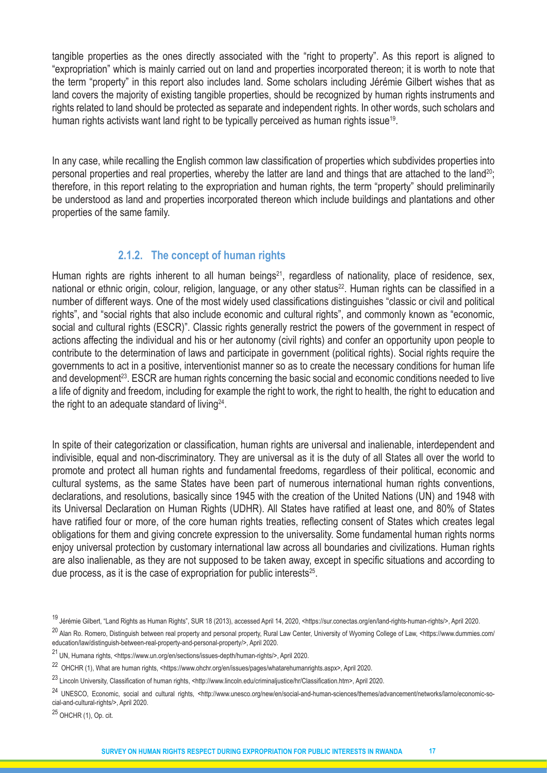tangible properties as the ones directly associated with the "right to property". As this report is aligned to "expropriation" which is mainly carried out on land and properties incorporated thereon; it is worth to note that the term "property" in this report also includes land. Some scholars including Jérémie Gilbert wishes that as land covers the majority of existing tangible properties, should be recognized by human rights instruments and rights related to land should be protected as separate and independent rights. In other words, such scholars and human rights activists want land right to be typically perceived as human rights issue<sup>19</sup>.

In any case, while recalling the English common law classification of properties which subdivides properties into personal properties and real properties, whereby the latter are land and things that are attached to the land<sup>20</sup>; therefore, in this report relating to the expropriation and human rights, the term "property" should preliminarily be understood as land and properties incorporated thereon which include buildings and plantations and other properties of the same family.

#### **2.1.2. The concept of human rights**

Human rights are rights inherent to all human beings<sup>21</sup>, regardless of nationality, place of residence, sex, national or ethnic origin, colour, religion, language, or any other status<sup>22</sup>. Human rights can be classified in a number of different ways. One of the most widely used classifications distinguishes "classic or civil and political rights", and "social rights that also include economic and cultural rights", and commonly known as "economic, social and cultural rights (ESCR)". Classic rights generally restrict the powers of the government in respect of actions affecting the individual and his or her autonomy (civil rights) and confer an opportunity upon people to contribute to the determination of laws and participate in government (political rights). Social rights require the governments to act in a positive, interventionist manner so as to create the necessary conditions for human life and development<sup>23</sup>. ESCR are human rights concerning the basic social and economic conditions needed to live a life of dignity and freedom, including for example the right to work, the right to health, the right to education and the right to an adequate standard of living  $24$ .

In spite of their categorization or classification, human rights are universal and inalienable, interdependent and indivisible, equal and non-discriminatory. They are universal as it is the duty of all States all over the world to promote and protect all human rights and fundamental freedoms, regardless of their political, economic and cultural systems, as the same States have been part of numerous international human rights conventions, declarations, and resolutions, basically since 1945 with the creation of the United Nations (UN) and 1948 with its Universal Declaration on Human Rights (UDHR). All States have ratified at least one, and 80% of States have ratified four or more, of the core human rights treaties, reflecting consent of States which creates legal obligations for them and giving concrete expression to the universality. Some fundamental human rights norms enjoy universal protection by customary international law across all boundaries and civilizations. Human rights are also inalienable, as they are not supposed to be taken away, except in specific situations and according to due process, as it is the case of expropriation for public interests<sup>25</sup>.

25 OHCHR (1), Op. cit.

<sup>19</sup> Jérémie Gilbert, "Land Rights as Human Rights", SUR 18 (2013), accessed April 14, 2020, <https://sur.conectas.org/en/land-rights-human-rights/>, April 2020.

<sup>&</sup>lt;sup>20</sup> Alan Ro. Romero, Distinguish between real property and personal property, Rural Law Center, University of Wyoming College of Law, <https://www.dummies.com/ education/law/distinguish-between-real-property-and-personal-property/>, April 2020.

<sup>21</sup>UN, Humana rights, <https://www.un.org/en/sections/issues-depth/human-rights/>, April 2020.

<sup>22</sup> OHCHR (1), What are human rights, <https://www.ohchr.org/en/issues/pages/whatarehumanrights.aspx>, April 2020.

<sup>23</sup> Lincoln University, Classification of human rights, <http://www.lincoln.edu/criminaljustice/hr/Classification.htm>, April 2020.

<sup>&</sup>lt;sup>24</sup> UNESCO. Economic. social and cultural rights, <http://www.unesco.org/new/en/social-and-human-sciences/themes/advancement/networks/larno/economic-social-and-cultural-rights/>, April 2020.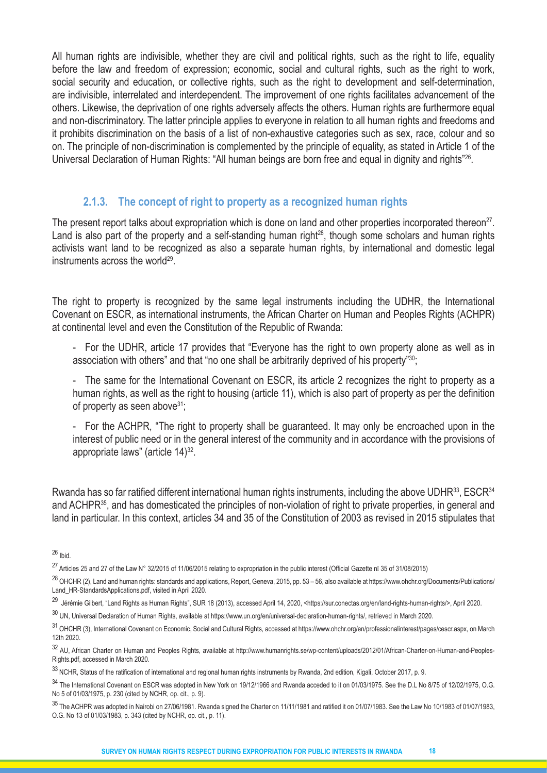All human rights are indivisible, whether they are civil and political rights, such as the right to life, equality before the law and freedom of expression; economic, social and cultural rights, such as the right to work, social security and education, or collective rights, such as the right to development and self-determination, are indivisible, interrelated and interdependent. The improvement of one rights facilitates advancement of the others. Likewise, the deprivation of one rights adversely affects the others. Human rights are furthermore equal and non-discriminatory. The latter principle applies to everyone in relation to all human rights and freedoms and it prohibits discrimination on the basis of a list of non-exhaustive categories such as sex, race, colour and so on. The principle of non-discrimination is complemented by the principle of equality, as stated in Article 1 of the Universal Declaration of Human Rights: "All human beings are born free and equal in dignity and rights"26.

#### **2.1.3. The concept of right to property as a recognized human rights**

The present report talks about expropriation which is done on land and other properties incorporated thereon<sup>27</sup>. Land is also part of the property and a self-standing human right<sup>28</sup>, though some scholars and human rights activists want land to be recognized as also a separate human rights, by international and domestic legal instruments across the world<sup>29</sup>.

The right to property is recognized by the same legal instruments including the UDHR, the International Covenant on ESCR, as international instruments, the African Charter on Human and Peoples Rights (ACHPR) at continental level and even the Constitution of the Republic of Rwanda:

- For the UDHR, article 17 provides that "Everyone has the right to own property alone as well as in association with others" and that "no one shall be arbitrarily deprived of his property"<sup>30</sup>;

- The same for the International Covenant on ESCR, its article 2 recognizes the right to property as a human rights, as well as the right to housing (article 11), which is also part of property as per the definition of property as seen above $31$ ;

- For the ACHPR, "The right to property shall be guaranteed. It may only be encroached upon in the interest of public need or in the general interest of the community and in accordance with the provisions of appropriate laws" (article 14)<sup>32</sup>.

Rwanda has so far ratified different international human rights instruments, including the above UDHR<sup>33</sup>, ESCR<sup>34</sup> and ACHPR35, and has domesticated the principles of non-violation of right to private properties, in general and land in particular. In this context, articles 34 and 35 of the Constitution of 2003 as revised in 2015 stipulates that

 $26$  Ibid.

<sup>&</sup>lt;sup>27</sup> Articles 25 and 27 of the Law N° 32/2015 of 11/06/2015 relating to expropriation in the public interest (Official Gazette nll 35 of 31/08/2015)

 $^{28}$  OHCHR (2), Land and human rights: standards and applications, Report, Geneva, 2015, pp. 53 – 56, also available at https://www.ohchr.org/Documents/Publications/ Land\_HR-StandardsApplications.pdf, visited in April 2020.

<sup>&</sup>lt;sup>29</sup> Jérémie Gilbert, "Land Rights as Human Rights", SUR 18 (2013), accessed April 14, 2020, <https://sur.conectas.org/en/land-rights-human-rights/>, April 2020.

<sup>&</sup>lt;sup>30</sup> UN. Universal Declaration of Human Rights, available at https://www.un.org/en/universal-declaration-human-rights/, retrieved in March 2020.

<sup>31</sup> OHCHR (3), International Covenant on Economic, Social and Cultural Rights, accessed at https://www.ohchr.org/en/professionalinterest/pages/cescr.aspx, on March 12th 2020.

<sup>32</sup> AU, African Charter on Human and Peoples Rights, available at http://www.humanrights.se/wp-content/uploads/2012/01/African-Charter-on-Human-and-Peoples-Rights.pdf, accessed in March 2020.

<sup>&</sup>lt;sup>33</sup> NCHR, Status of the ratification of international and regional human rights instruments by Rwanda, 2nd edition, Kigali, October 2017, p. 9.

<sup>34</sup> The International Covenant on ESCR was adopted in New York on 19/12/1966 and Rwanda acceded to it on 01/03/1975. See the D.L No 8/75 of 12/02/1975, O.G. No 5 of 01/03/1975, p. 230 (cited by NCHR, op. cit., p. 9).

 $35$  The ACHPR was adopted in Nairobi on 27/06/1981. Rwanda signed the Charter on 11/11/1981 and ratified it on 01/07/1983. See the Law No 10/1983 of 01/07/1983, O.G. No 13 of 01/03/1983, p. 343 (cited by NCHR, op. cit., p. 11).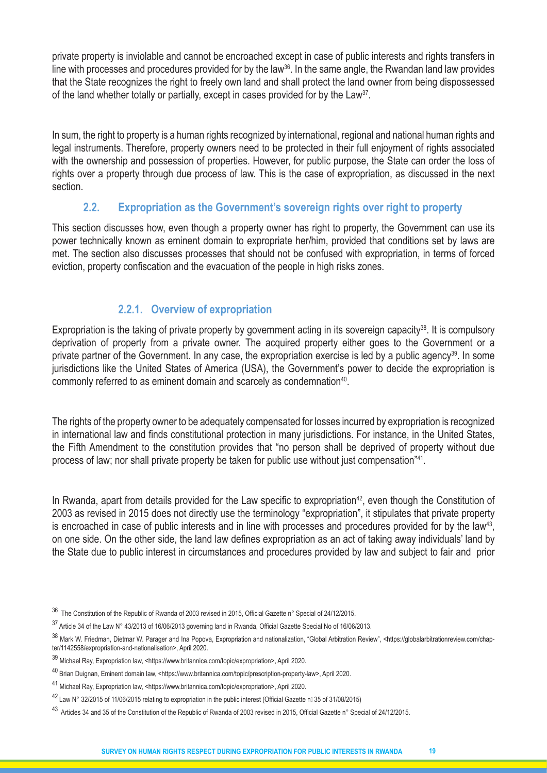private property is inviolable and cannot be encroached except in case of public interests and rights transfers in line with processes and procedures provided for by the law<sup>36</sup>. In the same angle, the Rwandan land law provides that the State recognizes the right to freely own land and shall protect the land owner from being dispossessed of the land whether totally or partially, except in cases provided for by the Law<sup>37</sup>.

In sum, the right to property is a human rights recognized by international, regional and national human rights and legal instruments. Therefore, property owners need to be protected in their full enjoyment of rights associated with the ownership and possession of properties. However, for public purpose, the State can order the loss of rights over a property through due process of law. This is the case of expropriation, as discussed in the next section.

# **2.2. Expropriation as the Government's sovereign rights over right to property**

This section discusses how, even though a property owner has right to property, the Government can use its power technically known as eminent domain to expropriate her/him, provided that conditions set by laws are met. The section also discusses processes that should not be confused with expropriation, in terms of forced eviction, property confiscation and the evacuation of the people in high risks zones.

# **2.2.1. Overview of expropriation**

Expropriation is the taking of private property by government acting in its sovereign capacity<sup>38</sup>. It is compulsory deprivation of property from a private owner. The acquired property either goes to the Government or a private partner of the Government. In any case, the expropriation exercise is led by a public agency<sup>39</sup>. In some jurisdictions like the United States of America (USA), the Government's power to decide the expropriation is commonly referred to as eminent domain and scarcely as condemnation<sup>40</sup>.

The rights of the property owner to be adequately compensated for losses incurred by expropriation is recognized in international law and finds constitutional protection in many jurisdictions. For instance, in the United States, the Fifth Amendment to the constitution provides that "no person shall be deprived of property without due process of law; nor shall private property be taken for public use without just compensation"41.

In Rwanda, apart from details provided for the Law specific to expropriation<sup>42</sup>, even though the Constitution of 2003 as revised in 2015 does not directly use the terminology "expropriation", it stipulates that private property is encroached in case of public interests and in line with processes and procedures provided for by the law<sup>43</sup>, on one side. On the other side, the land law defines expropriation as an act of taking away individuals' land by the State due to public interest in circumstances and procedures provided by law and subject to fair and prior

- 36 The Constitution of the Republic of Rwanda of 2003 revised in 2015, Official Gazette n° Special of 24/12/2015.
- $37$  Article 34 of the Law N° 43/2013 of 16/06/2013 governing land in Rwanda, Official Gazette Special No of 16/06/2013.

38 Mark W. Friedman, Dietmar W. Parager and Ina Popova, Expropriation and nationalization, "Global Arbitration Review", <https://globalarbitrationreview.com/chapter/1142558/expropriation-and-nationalisation>, April 2020.

- <sup>39</sup> Michael Ray, Expropriation law, <https://www.britannica.com/topic/expropriation>, April 2020.
- 40 Brian Duignan, Eminent domain law, <https://www.britannica.com/topic/prescription-property-law>, April 2020.
- <sup>41</sup> Michael Ray, Expropriation law, <https://www.britannica.com/topic/expropriation>, April 2020.
- 42 Law N° 32/2015 of 11/06/2015 relating to expropriation in the public interest (Official Gazette nil 35 of 31/08/2015)
- <sup>43</sup> Articles 34 and 35 of the Constitution of the Republic of Rwanda of 2003 revised in 2015, Official Gazette n° Special of 24/12/2015.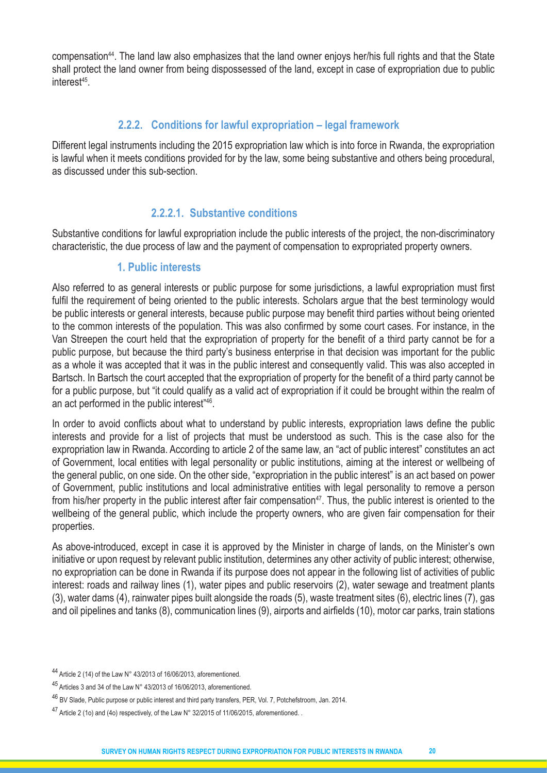compensation44. The land law also emphasizes that the land owner enjoys her/his full rights and that the State shall protect the land owner from being dispossessed of the land, except in case of expropriation due to public interest<sup>45</sup>.

# **2.2.2. Conditions for lawful expropriation – legal framework**

Different legal instruments including the 2015 expropriation law which is into force in Rwanda, the expropriation is lawful when it meets conditions provided for by the law, some being substantive and others being procedural, as discussed under this sub-section.

# **2.2.2.1. Substantive conditions**

Substantive conditions for lawful expropriation include the public interests of the project, the non-discriminatory characteristic, the due process of law and the payment of compensation to expropriated property owners.

# **1. Public interests**

Also referred to as general interests or public purpose for some jurisdictions, a lawful expropriation must first fulfil the requirement of being oriented to the public interests. Scholars argue that the best terminology would be public interests or general interests, because public purpose may benefit third parties without being oriented to the common interests of the population. This was also confirmed by some court cases. For instance, in the Van Streepen the court held that the expropriation of property for the benefit of a third party cannot be for a public purpose, but because the third party's business enterprise in that decision was important for the public as a whole it was accepted that it was in the public interest and consequently valid. This was also accepted in Bartsch. In Bartsch the court accepted that the expropriation of property for the benefit of a third party cannot be for a public purpose, but "it could qualify as a valid act of expropriation if it could be brought within the realm of an act performed in the public interest"46.

In order to avoid conflicts about what to understand by public interests, expropriation laws define the public interests and provide for a list of projects that must be understood as such. This is the case also for the expropriation law in Rwanda. According to article 2 of the same law, an "act of public interest" constitutes an act of Government, local entities with legal personality or public institutions, aiming at the interest or wellbeing of the general public, on one side. On the other side, "expropriation in the public interest" is an act based on power of Government, public institutions and local administrative entities with legal personality to remove a person from his/her property in the public interest after fair compensation<sup>47</sup>. Thus, the public interest is oriented to the wellbeing of the general public, which include the property owners, who are given fair compensation for their properties.

As above-introduced, except in case it is approved by the Minister in charge of lands, on the Minister's own initiative or upon request by relevant public institution, determines any other activity of public interest; otherwise, no expropriation can be done in Rwanda if its purpose does not appear in the following list of activities of public interest: roads and railway lines (1), water pipes and public reservoirs (2), water sewage and treatment plants (3), water dams (4), rainwater pipes built alongside the roads (5), waste treatment sites (6), electric lines (7), gas and oil pipelines and tanks (8), communication lines (9), airports and airfields (10), motor car parks, train stations

 $44$  Article 2 (14) of the Law N° 43/2013 of 16/06/2013, aforementioned.

<sup>45</sup> Articles 3 and 34 of the Law N° 43/2013 of 16/06/2013, aforementioned.

<sup>46</sup> BV Slade, Public purpose or public interest and third party transfers, PER, Vol. 7, Potchefstroom, Jan. 2014.

<sup>47</sup> Article 2 (1o) and (4o) respectively, of the Law N° 32/2015 of 11/06/2015, aforementioned.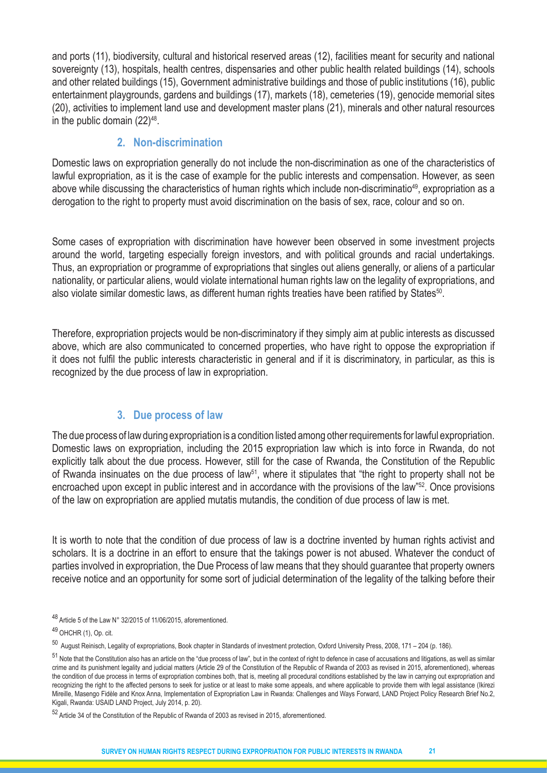and ports (11), biodiversity, cultural and historical reserved areas (12), facilities meant for security and national sovereignty (13), hospitals, health centres, dispensaries and other public health related buildings (14), schools and other related buildings (15), Government administrative buildings and those of public institutions (16), public entertainment playgrounds, gardens and buildings (17), markets (18), cemeteries (19), genocide memorial sites (20), activities to implement land use and development master plans (21), minerals and other natural resources in the public domain  $(22)^{48}$ .

# **2. Non-discrimination**

Domestic laws on expropriation generally do not include the non-discrimination as one of the characteristics of lawful expropriation, as it is the case of example for the public interests and compensation. However, as seen above while discussing the characteristics of human rights which include non-discriminatio<sup>49</sup>, expropriation as a derogation to the right to property must avoid discrimination on the basis of sex, race, colour and so on.

Some cases of expropriation with discrimination have however been observed in some investment projects around the world, targeting especially foreign investors, and with political grounds and racial undertakings. Thus, an expropriation or programme of expropriations that singles out aliens generally, or aliens of a particular nationality, or particular aliens, would violate international human rights law on the legality of expropriations, and also violate similar domestic laws, as different human rights treaties have been ratified by States<sup>50</sup>.

Therefore, expropriation projects would be non-discriminatory if they simply aim at public interests as discussed above, which are also communicated to concerned properties, who have right to oppose the expropriation if it does not fulfil the public interests characteristic in general and if it is discriminatory, in particular, as this is recognized by the due process of law in expropriation.

# **3. Due process of law**

The due process of law during expropriation is a condition listed among other requirements for lawful expropriation. Domestic laws on expropriation, including the 2015 expropriation law which is into force in Rwanda, do not explicitly talk about the due process. However, still for the case of Rwanda, the Constitution of the Republic of Rwanda insinuates on the due process of law<sup>51</sup>, where it stipulates that "the right to property shall not be encroached upon except in public interest and in accordance with the provisions of the law"52. Once provisions of the law on expropriation are applied mutatis mutandis, the condition of due process of law is met.

It is worth to note that the condition of due process of law is a doctrine invented by human rights activist and scholars. It is a doctrine in an effort to ensure that the takings power is not abused. Whatever the conduct of parties involved in expropriation, the Due Process of law means that they should guarantee that property owners receive notice and an opportunity for some sort of judicial determination of the legality of the talking before their

48 Article 5 of the Law N° 32/2015 of 11/06/2015, aforementioned.

49 OHCHR (1), Op. cit.

<sup>50</sup> August Reinisch, Legality of expropriations, Book chapter in Standards of investment protection, Oxford University Press, 2008, 171 – 204 (p. 186).

 $51$  Note that the Constitution also has an article on the "due process of law", but in the context of right to defence in case of accusations and litigations, as well as similar crime and its punishment legality and judicial matters (Article 29 of the Constitution of the Republic of Rwanda of 2003 as revised in 2015, aforementioned), whereas the condition of due process in terms of expropriation combines both, that is, meeting all procedural conditions established by the law in carrying out expropriation and recognizing the right to the affected persons to seek for justice or at least to make some appeals, and where applicable to provide them with legal assistance (Ikirezi Mireille, Masengo Fidèle and Knox Anna, Implementation of Expropriation Law in Rwanda: Challenges and Ways Forward, LAND Project Policy Research Brief No.2, Kigali, Rwanda: USAID LAND Project, July 2014, p. 20).

<sup>52</sup> Article 34 of the Constitution of the Republic of Rwanda of 2003 as revised in 2015, aforementioned.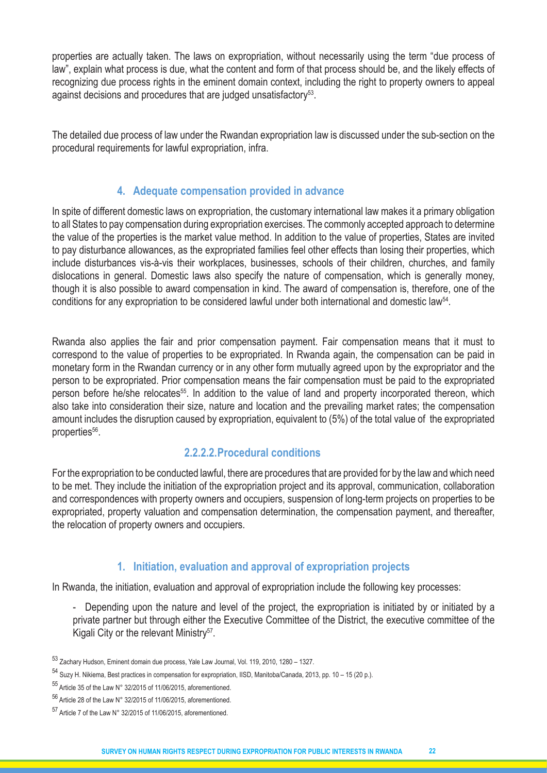properties are actually taken. The laws on expropriation, without necessarily using the term "due process of law", explain what process is due, what the content and form of that process should be, and the likely effects of recognizing due process rights in the eminent domain context, including the right to property owners to appeal against decisions and procedures that are judged unsatisfactory<sup>53</sup>.

The detailed due process of law under the Rwandan expropriation law is discussed under the sub-section on the procedural requirements for lawful expropriation, infra.

# **4. Adequate compensation provided in advance**

In spite of different domestic laws on expropriation, the customary international law makes it a primary obligation to all States to pay compensation during expropriation exercises. The commonly accepted approach to determine the value of the properties is the market value method. In addition to the value of properties, States are invited to pay disturbance allowances, as the expropriated families feel other effects than losing their properties, which include disturbances vis-à-vis their workplaces, businesses, schools of their children, churches, and family dislocations in general. Domestic laws also specify the nature of compensation, which is generally money, though it is also possible to award compensation in kind. The award of compensation is, therefore, one of the conditions for any expropriation to be considered lawful under both international and domestic law<sup>54</sup>.

Rwanda also applies the fair and prior compensation payment. Fair compensation means that it must to correspond to the value of properties to be expropriated. In Rwanda again, the compensation can be paid in monetary form in the Rwandan currency or in any other form mutually agreed upon by the expropriator and the person to be expropriated. Prior compensation means the fair compensation must be paid to the expropriated person before he/she relocates<sup>55</sup>. In addition to the value of land and property incorporated thereon, which also take into consideration their size, nature and location and the prevailing market rates; the compensation amount includes the disruption caused by expropriation, equivalent to (5%) of the total value of the expropriated properties<sup>56</sup>.

# **2.2.2.2.Procedural conditions**

For the expropriation to be conducted lawful, there are procedures that are provided for by the law and which need to be met. They include the initiation of the expropriation project and its approval, communication, collaboration and correspondences with property owners and occupiers, suspension of long-term projects on properties to be expropriated, property valuation and compensation determination, the compensation payment, and thereafter, the relocation of property owners and occupiers.

# **1. Initiation, evaluation and approval of expropriation projects**

In Rwanda, the initiation, evaluation and approval of expropriation include the following key processes:

- Depending upon the nature and level of the project, the expropriation is initiated by or initiated by a private partner but through either the Executive Committee of the District, the executive committee of the Kigali City or the relevant Ministry<sup>57</sup>.
- <sup>53</sup> Zachary Hudson, Eminent domain due process, Yale Law Journal, Vol. 119, 2010, 1280 1327.
- <sup>54</sup> Suzy H. Nikiema, Best practices in compensation for expropriation, IISD, Manitoba/Canada, 2013, pp. 10 15 (20 p.).
- <sup>55</sup> Article 35 of the Law N° 32/2015 of 11/06/2015, aforementioned.
- 56 Article 28 of the Law N° 32/2015 of 11/06/2015, aforementioned.

<sup>57</sup> Article 7 of the Law N° 32/2015 of 11/06/2015, aforementioned.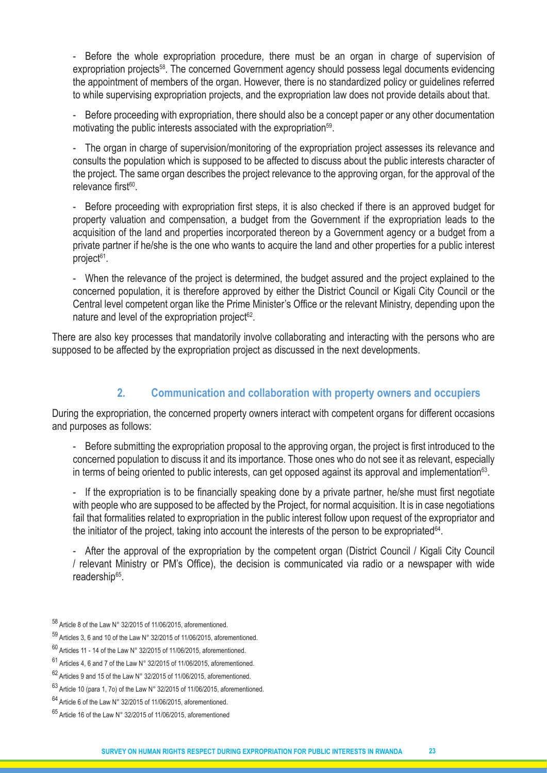- Before the whole expropriation procedure, there must be an organ in charge of supervision of expropriation projects<sup>58</sup>. The concerned Government agency should possess legal documents evidencing the appointment of members of the organ. However, there is no standardized policy or guidelines referred to while supervising expropriation projects, and the expropriation law does not provide details about that.

- Before proceeding with expropriation, there should also be a concept paper or any other documentation motivating the public interests associated with the expropriation<sup>59</sup>.

- The organ in charge of supervision/monitoring of the expropriation project assesses its relevance and consults the population which is supposed to be affected to discuss about the public interests character of the project. The same organ describes the project relevance to the approving organ, for the approval of the relevance first<sup>60</sup>.

Before proceeding with expropriation first steps, it is also checked if there is an approved budget for property valuation and compensation, a budget from the Government if the expropriation leads to the acquisition of the land and properties incorporated thereon by a Government agency or a budget from a private partner if he/she is the one who wants to acquire the land and other properties for a public interest project<sup>61</sup>.

- When the relevance of the project is determined, the budget assured and the project explained to the concerned population, it is therefore approved by either the District Council or Kigali City Council or the Central level competent organ like the Prime Minister's Office or the relevant Ministry, depending upon the nature and level of the expropriation project $62$ .

There are also key processes that mandatorily involve collaborating and interacting with the persons who are supposed to be affected by the expropriation project as discussed in the next developments.

# **2. Communication and collaboration with property owners and occupiers**

During the expropriation, the concerned property owners interact with competent organs for different occasions and purposes as follows:

- Before submitting the expropriation proposal to the approving organ, the project is first introduced to the concerned population to discuss it and its importance. Those ones who do not see it as relevant, especially in terms of being oriented to public interests, can get opposed against its approval and implementation<sup>63</sup>.

- If the expropriation is to be financially speaking done by a private partner, he/she must first negotiate with people who are supposed to be affected by the Project, for normal acquisition. It is in case negotiations fail that formalities related to expropriation in the public interest follow upon request of the expropriator and the initiator of the project, taking into account the interests of the person to be expropriated  $64$ .

- After the approval of the expropriation by the competent organ (District Council / Kigali City Council / relevant Ministry or PM's Office), the decision is communicated via radio or a newspaper with wide readership<sup>65</sup>.

<sup>58</sup> Article 8 of the Law N° 32/2015 of 11/06/2015, aforementioned.

<sup>59</sup> Articles 3, 6 and 10 of the Law N° 32/2015 of 11/06/2015, aforementioned.

 $60$  Articles 11 - 14 of the Law N° 32/2015 of 11/06/2015, aforementioned.

 $61$  Articles 4, 6 and 7 of the Law N° 32/2015 of 11/06/2015, aforementioned.

<sup>62</sup> Articles 9 and 15 of the Law N° 32/2015 of 11/06/2015, aforementioned.

 $63$  Article 10 (para 1, 7o) of the Law N° 32/2015 of 11/06/2015, aforementioned.

 $64$  Article 6 of the Law N° 32/2015 of 11/06/2015, aforementioned.

 $65$  Article 16 of the Law N° 32/2015 of 11/06/2015, aforementioned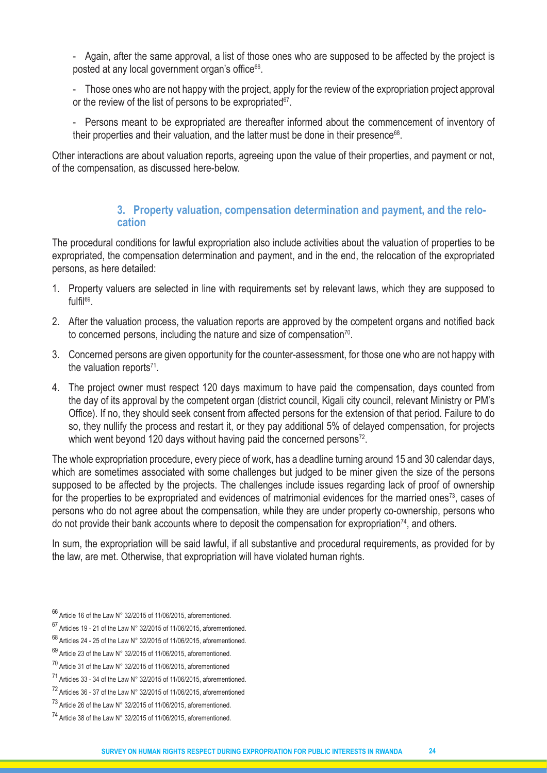- Again, after the same approval, a list of those ones who are supposed to be affected by the project is posted at any local government organ's office<sup>66</sup>.

- Those ones who are not happy with the project, apply for the review of the expropriation project approval or the review of the list of persons to be expropriated $67$ .

Persons meant to be expropriated are thereafter informed about the commencement of inventory of their properties and their valuation, and the latter must be done in their presence<sup>68</sup>.

Other interactions are about valuation reports, agreeing upon the value of their properties, and payment or not, of the compensation, as discussed here-below.

#### **3. Property valuation, compensation determination and payment, and the relocation**

The procedural conditions for lawful expropriation also include activities about the valuation of properties to be expropriated, the compensation determination and payment, and in the end, the relocation of the expropriated persons, as here detailed:

- 1. Property valuers are selected in line with requirements set by relevant laws, which they are supposed to fulfil69.
- 2. After the valuation process, the valuation reports are approved by the competent organs and notified back to concerned persons, including the nature and size of compensation<sup>70</sup>.
- 3. Concerned persons are given opportunity for the counter-assessment, for those one who are not happy with the valuation reports $71$ .
- 4. The project owner must respect 120 days maximum to have paid the compensation, days counted from the day of its approval by the competent organ (district council, Kigali city council, relevant Ministry or PM's Office). If no, they should seek consent from affected persons for the extension of that period. Failure to do so, they nullify the process and restart it, or they pay additional 5% of delayed compensation, for projects which went beyond 120 days without having paid the concerned persons<sup>72</sup>.

The whole expropriation procedure, every piece of work, has a deadline turning around 15 and 30 calendar days, which are sometimes associated with some challenges but judged to be miner given the size of the persons supposed to be affected by the projects. The challenges include issues regarding lack of proof of ownership for the properties to be expropriated and evidences of matrimonial evidences for the married ones<sup>73</sup>, cases of persons who do not agree about the compensation, while they are under property co-ownership, persons who do not provide their bank accounts where to deposit the compensation for expropriation<sup>74</sup>, and others.

In sum, the expropriation will be said lawful, if all substantive and procedural requirements, as provided for by the law, are met. Otherwise, that expropriation will have violated human rights.

<sup>66</sup> Article 16 of the Law N° 32/2015 of 11/06/2015, aforementioned.

 $67$  Articles 19 - 21 of the Law N° 32/2015 of 11/06/2015, aforementioned.

 $68$  Articles 24 - 25 of the Law N° 32/2015 of 11/06/2015, aforementioned.

 $69$  Article 23 of the Law N° 32/2015 of 11/06/2015, aforementioned.

<sup>70</sup> Article 31 of the Law N° 32/2015 of 11/06/2015, aforementioned

<sup>71</sup> Articles 33 - 34 of the Law N° 32/2015 of 11/06/2015, aforementioned.

<sup>72</sup> Articles 36 - 37 of the Law N° 32/2015 of 11/06/2015, aforementioned

 $^{73}$  Article 26 of the Law N° 32/2015 of 11/06/2015, aforementioned.

<sup>74</sup> Article 38 of the Law N° 32/2015 of 11/06/2015, aforementioned.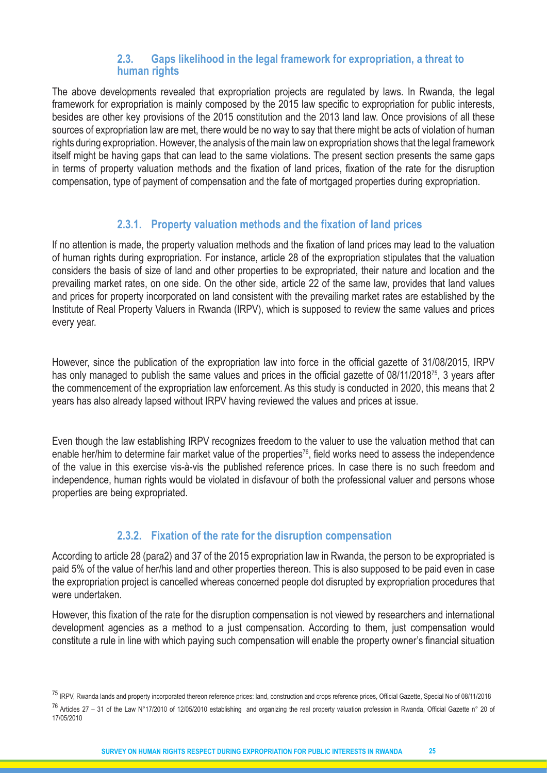#### **2.3. Gaps likelihood in the legal framework for expropriation, a threat to human rights**

The above developments revealed that expropriation projects are regulated by laws. In Rwanda, the legal framework for expropriation is mainly composed by the 2015 law specific to expropriation for public interests, besides are other key provisions of the 2015 constitution and the 2013 land law. Once provisions of all these sources of expropriation law are met, there would be no way to say that there might be acts of violation of human rights during expropriation. However, the analysis of the main law on expropriation shows that the legal framework itself might be having gaps that can lead to the same violations. The present section presents the same gaps in terms of property valuation methods and the fixation of land prices, fixation of the rate for the disruption compensation, type of payment of compensation and the fate of mortgaged properties during expropriation.

#### **2.3.1. Property valuation methods and the fixation of land prices**

If no attention is made, the property valuation methods and the fixation of land prices may lead to the valuation of human rights during expropriation. For instance, article 28 of the expropriation stipulates that the valuation considers the basis of size of land and other properties to be expropriated, their nature and location and the prevailing market rates, on one side. On the other side, article 22 of the same law, provides that land values and prices for property incorporated on land consistent with the prevailing market rates are established by the Institute of Real Property Valuers in Rwanda (IRPV), which is supposed to review the same values and prices every year.

However, since the publication of the expropriation law into force in the official gazette of 31/08/2015, IRPV has only managed to publish the same values and prices in the official gazette of 08/11/2018<sup>75</sup>, 3 years after the commencement of the expropriation law enforcement. As this study is conducted in 2020, this means that 2 years has also already lapsed without IRPV having reviewed the values and prices at issue.

Even though the law establishing IRPV recognizes freedom to the valuer to use the valuation method that can enable her/him to determine fair market value of the properties<sup>76</sup>, field works need to assess the independence of the value in this exercise vis-à-vis the published reference prices. In case there is no such freedom and independence, human rights would be violated in disfavour of both the professional valuer and persons whose properties are being expropriated.

# **2.3.2. Fixation of the rate for the disruption compensation**

According to article 28 (para2) and 37 of the 2015 expropriation law in Rwanda, the person to be expropriated is paid 5% of the value of her/his land and other properties thereon. This is also supposed to be paid even in case the expropriation project is cancelled whereas concerned people dot disrupted by expropriation procedures that were undertaken.

However, this fixation of the rate for the disruption compensation is not viewed by researchers and international development agencies as a method to a just compensation. According to them, just compensation would constitute a rule in line with which paying such compensation will enable the property owner's financial situation

<sup>&</sup>lt;sup>75</sup> IRPV, Rwanda lands and property incorporated thereon reference prices: land, construction and crops reference prices, Official Gazette, Special No of 08/11/2018 76 Articles 27 – 31 of the Law N°17/2010 of 12/05/2010 establishing and organizing the real property valuation profession in Rwanda, Official Gazette n° 20 of 17/05/2010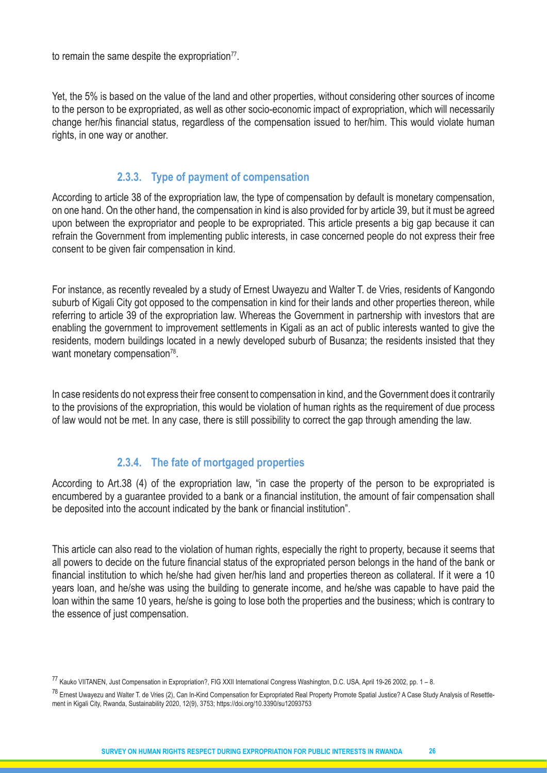to remain the same despite the expropriation $77$ .

Yet, the 5% is based on the value of the land and other properties, without considering other sources of income to the person to be expropriated, as well as other socio-economic impact of expropriation, which will necessarily change her/his financial status, regardless of the compensation issued to her/him. This would violate human rights, in one way or another.

#### **2.3.3. Type of payment of compensation**

According to article 38 of the expropriation law, the type of compensation by default is monetary compensation, on one hand. On the other hand, the compensation in kind is also provided for by article 39, but it must be agreed upon between the expropriator and people to be expropriated. This article presents a big gap because it can refrain the Government from implementing public interests, in case concerned people do not express their free consent to be given fair compensation in kind.

For instance, as recently revealed by a study of Ernest Uwayezu and Walter T. de Vries, residents of Kangondo suburb of Kigali City got opposed to the compensation in kind for their lands and other properties thereon, while referring to article 39 of the expropriation law. Whereas the Government in partnership with investors that are enabling the government to improvement settlements in Kigali as an act of public interests wanted to give the residents, modern buildings located in a newly developed suburb of Busanza; the residents insisted that they want monetary compensation<sup>78</sup>.

In case residents do not express their free consent to compensation in kind, and the Government does it contrarily to the provisions of the expropriation, this would be violation of human rights as the requirement of due process of law would not be met. In any case, there is still possibility to correct the gap through amending the law.

# **2.3.4. The fate of mortgaged properties**

According to Art.38 (4) of the expropriation law, "in case the property of the person to be expropriated is encumbered by a guarantee provided to a bank or a financial institution, the amount of fair compensation shall be deposited into the account indicated by the bank or financial institution".

This article can also read to the violation of human rights, especially the right to property, because it seems that all powers to decide on the future financial status of the expropriated person belongs in the hand of the bank or financial institution to which he/she had given her/his land and properties thereon as collateral. If it were a 10 years loan, and he/she was using the building to generate income, and he/she was capable to have paid the loan within the same 10 years, he/she is going to lose both the properties and the business; which is contrary to the essence of just compensation.

<sup>77</sup> Kauko VIITANEN, Just Compensation in Expropriation?, FIG XXII International Congress Washington, D.C. USA, April 19-26 2002, pp. 1 – 8.

<sup>&</sup>lt;sup>78</sup> Ernest Uwavezu and Walter T. de Vries (2), Can In-Kind Compensation for Expropriated Real Property Promote Spatial Justice? A Case Study Analysis of Resettlement in Kigali City, Rwanda, Sustainability 2020, 12(9), 3753; https://doi.org/10.3390/su12093753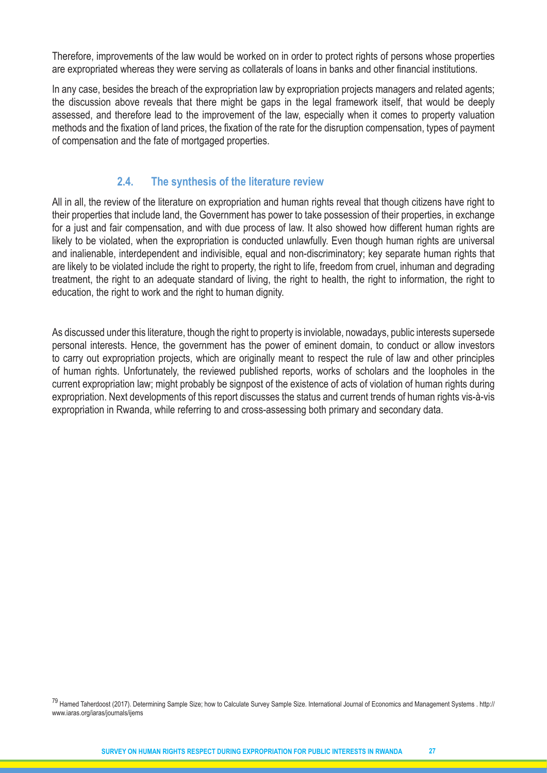Therefore, improvements of the law would be worked on in order to protect rights of persons whose properties are expropriated whereas they were serving as collaterals of loans in banks and other financial institutions.

In any case, besides the breach of the expropriation law by expropriation projects managers and related agents; the discussion above reveals that there might be gaps in the legal framework itself, that would be deeply assessed, and therefore lead to the improvement of the law, especially when it comes to property valuation methods and the fixation of land prices, the fixation of the rate for the disruption compensation, types of payment of compensation and the fate of mortgaged properties.

# **2.4. The synthesis of the literature review**

All in all, the review of the literature on expropriation and human rights reveal that though citizens have right to their properties that include land, the Government has power to take possession of their properties, in exchange for a just and fair compensation, and with due process of law. It also showed how different human rights are likely to be violated, when the expropriation is conducted unlawfully. Even though human rights are universal and inalienable, interdependent and indivisible, equal and non-discriminatory; key separate human rights that are likely to be violated include the right to property, the right to life, freedom from cruel, inhuman and degrading treatment, the right to an adequate standard of living, the right to health, the right to information, the right to education, the right to work and the right to human dignity.

As discussed under this literature, though the right to property is inviolable, nowadays, public interests supersede personal interests. Hence, the government has the power of eminent domain, to conduct or allow investors to carry out expropriation projects, which are originally meant to respect the rule of law and other principles of human rights. Unfortunately, the reviewed published reports, works of scholars and the loopholes in the current expropriation law; might probably be signpost of the existence of acts of violation of human rights during expropriation. Next developments of this report discusses the status and current trends of human rights vis-à-vis expropriation in Rwanda, while referring to and cross-assessing both primary and secondary data.

<sup>79</sup> Hamed Taherdoost (2017). Determining Sample Size; how to Calculate Survey Sample Size. International Journal of Economics and Management Systems . http:// www.iaras.org/iaras/journals/ijems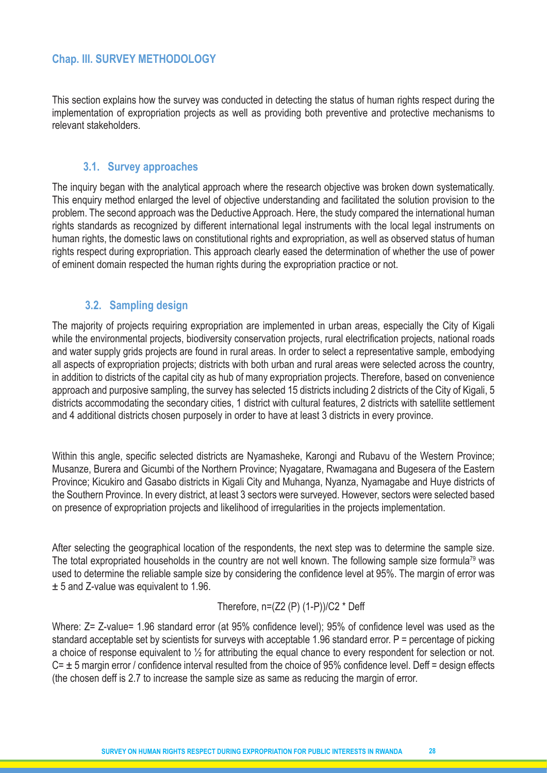# **Chap. III. SURVEY METHODOLOGY**

This section explains how the survey was conducted in detecting the status of human rights respect during the implementation of expropriation projects as well as providing both preventive and protective mechanisms to relevant stakeholders.

#### **3.1. Survey approaches**

The inquiry began with the analytical approach where the research objective was broken down systematically. This enquiry method enlarged the level of objective understanding and facilitated the solution provision to the problem. The second approach was the Deductive Approach. Here, the study compared the international human rights standards as recognized by different international legal instruments with the local legal instruments on human rights, the domestic laws on constitutional rights and expropriation, as well as observed status of human rights respect during expropriation. This approach clearly eased the determination of whether the use of power of eminent domain respected the human rights during the expropriation practice or not.

#### **3.2. Sampling design**

The majority of projects requiring expropriation are implemented in urban areas, especially the City of Kigali while the environmental projects, biodiversity conservation projects, rural electrification projects, national roads and water supply grids projects are found in rural areas. In order to select a representative sample, embodying all aspects of expropriation projects; districts with both urban and rural areas were selected across the country, in addition to districts of the capital city as hub of many expropriation projects. Therefore, based on convenience approach and purposive sampling, the survey has selected 15 districts including 2 districts of the City of Kigali, 5 districts accommodating the secondary cities, 1 district with cultural features, 2 districts with satellite settlement and 4 additional districts chosen purposely in order to have at least 3 districts in every province.

Within this angle, specific selected districts are Nyamasheke, Karongi and Rubavu of the Western Province; Musanze, Burera and Gicumbi of the Northern Province; Nyagatare, Rwamagana and Bugesera of the Eastern Province; Kicukiro and Gasabo districts in Kigali City and Muhanga, Nyanza, Nyamagabe and Huye districts of the Southern Province. In every district, at least 3 sectors were surveyed. However, sectors were selected based on presence of expropriation projects and likelihood of irregularities in the projects implementation.

After selecting the geographical location of the respondents, the next step was to determine the sample size. The total expropriated households in the country are not well known. The following sample size formula<sup>79</sup> was used to determine the reliable sample size by considering the confidence level at 95%. The margin of error was ± 5 and Z-value was equivalent to 1.96.

#### Therefore,  $n=(Z2 (P) (1-P))/C2 * Deff$

Where:  $Z = Z$ -value= 1.96 standard error (at 95% confidence level); 95% of confidence level was used as the standard acceptable set by scientists for surveys with acceptable 1.96 standard error. P = percentage of picking a choice of response equivalent to ½ for attributing the equal chance to every respondent for selection or not.  $C = \pm 5$  margin error / confidence interval resulted from the choice of 95% confidence level. Deff = design effects (the chosen deff is 2.7 to increase the sample size as same as reducing the margin of error.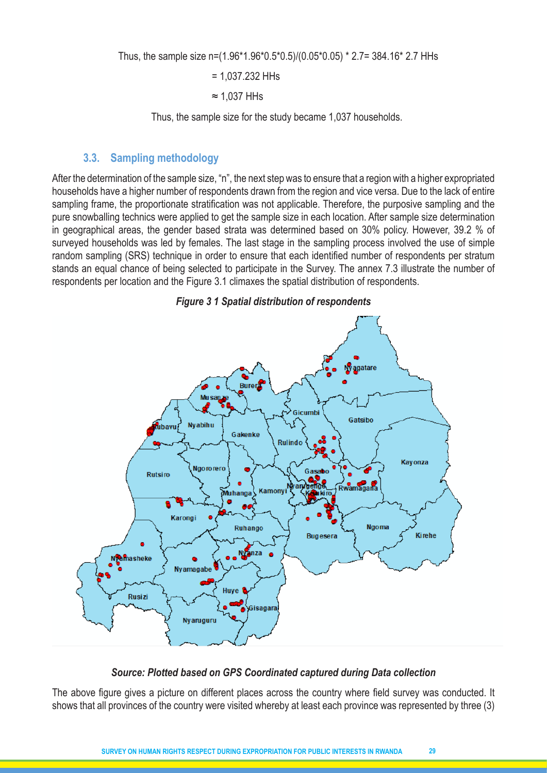Thus, the sample size n=(1.96\*1.96\*0.5\*0.5)/(0.05\*0.05) \* 2.7= 384.16\* 2.7 HHs

= 1,037.232 HHs

≈ 1,037 HHs

Thus, the sample size for the study became 1,037 households.

#### **3.3. Sampling methodology**

After the determination of the sample size, "n", the next step was to ensure that a region with a higher expropriated households have a higher number of respondents drawn from the region and vice versa. Due to the lack of entire sampling frame, the proportionate stratification was not applicable. Therefore, the purposive sampling and the pure snowballing technics were applied to get the sample size in each location. After sample size determination in geographical areas, the gender based strata was determined based on 30% policy. However, 39.2 % of surveyed households was led by females. The last stage in the sampling process involved the use of simple random sampling (SRS) technique in order to ensure that each identified number of respondents per stratum stands an equal chance of being selected to participate in the Survey. The annex 7.3 illustrate the number of respondents per location and the Figure 3.1 climaxes the spatial distribution of respondents.



*Figure 3 1 Spatial distribution of respondents*

#### *Source: Plotted based on GPS Coordinated captured during Data collection*

The above figure gives a picture on different places across the country where field survey was conducted. It shows that all provinces of the country were visited whereby at least each province was represented by three (3)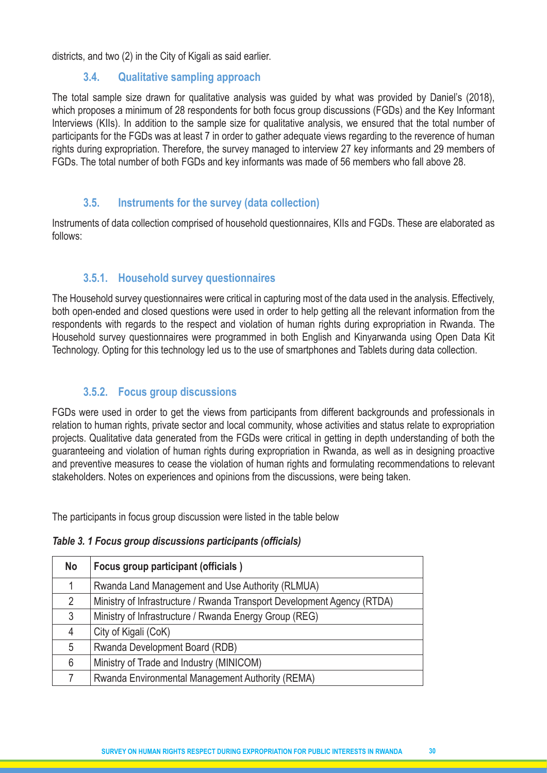districts, and two (2) in the City of Kigali as said earlier.

#### **3.4. Qualitative sampling approach**

The total sample size drawn for qualitative analysis was guided by what was provided by Daniel's (2018), which proposes a minimum of 28 respondents for both focus group discussions (FGDs) and the Key Informant Interviews (KIIs). In addition to the sample size for qualitative analysis, we ensured that the total number of participants for the FGDs was at least 7 in order to gather adequate views regarding to the reverence of human rights during expropriation. Therefore, the survey managed to interview 27 key informants and 29 members of FGDs. The total number of both FGDs and key informants was made of 56 members who fall above 28.

# **3.5. Instruments for the survey (data collection)**

Instruments of data collection comprised of household questionnaires, KIIs and FGDs. These are elaborated as follows:

# **3.5.1. Household survey questionnaires**

The Household survey questionnaires were critical in capturing most of the data used in the analysis. Effectively, both open-ended and closed questions were used in order to help getting all the relevant information from the respondents with regards to the respect and violation of human rights during expropriation in Rwanda. The Household survey questionnaires were programmed in both English and Kinyarwanda using Open Data Kit Technology. Opting for this technology led us to the use of smartphones and Tablets during data collection.

# **3.5.2. Focus group discussions**

FGDs were used in order to get the views from participants from different backgrounds and professionals in relation to human rights, private sector and local community, whose activities and status relate to expropriation projects. Qualitative data generated from the FGDs were critical in getting in depth understanding of both the guaranteeing and violation of human rights during expropriation in Rwanda, as well as in designing proactive and preventive measures to cease the violation of human rights and formulating recommendations to relevant stakeholders. Notes on experiences and opinions from the discussions, were being taken.

The participants in focus group discussion were listed in the table below

| Table 3. 1 Focus group discussions participants (officials) |  |  |  |
|-------------------------------------------------------------|--|--|--|
|-------------------------------------------------------------|--|--|--|

| <b>No</b>      | Focus group participant (officials)                                     |
|----------------|-------------------------------------------------------------------------|
|                | Rwanda Land Management and Use Authority (RLMUA)                        |
| $\overline{2}$ | Ministry of Infrastructure / Rwanda Transport Development Agency (RTDA) |
| 3              | Ministry of Infrastructure / Rwanda Energy Group (REG)                  |
| 4              | City of Kigali (CoK)                                                    |
| 5              | Rwanda Development Board (RDB)                                          |
| 6              | Ministry of Trade and Industry (MINICOM)                                |
|                | Rwanda Environmental Management Authority (REMA)                        |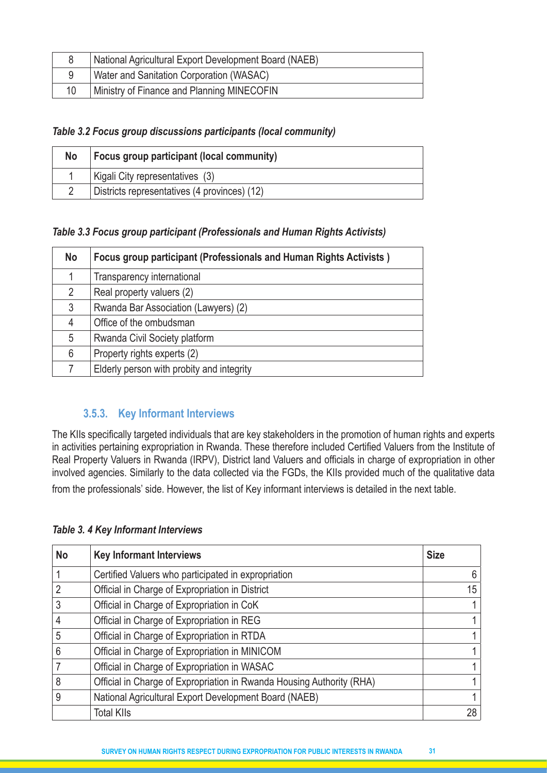|    | National Agricultural Export Development Board (NAEB) |
|----|-------------------------------------------------------|
|    | Water and Sanitation Corporation (WASAC)              |
| 10 | Ministry of Finance and Planning MINECOFIN            |

#### *Table 3.2 Focus group discussions participants (local community)*

| No. | <b>Focus group participant (local community)</b> |
|-----|--------------------------------------------------|
|     | Kigali City representatives (3)                  |
|     | Districts representatives (4 provinces) (12)     |

#### *Table 3.3 Focus group participant (Professionals and Human Rights Activists)*

| <b>No</b>      | Focus group participant (Professionals and Human Rights Activists) |
|----------------|--------------------------------------------------------------------|
|                | Transparency international                                         |
| $\overline{2}$ | Real property valuers (2)                                          |
| 3              | Rwanda Bar Association (Lawyers) (2)                               |
| 4              | Office of the ombudsman                                            |
| 5              | Rwanda Civil Society platform                                      |
| 6              | Property rights experts (2)                                        |
|                | Elderly person with probity and integrity                          |

# **3.5.3. Key Informant Interviews**

The KIIs specifically targeted individuals that are key stakeholders in the promotion of human rights and experts in activities pertaining expropriation in Rwanda. These therefore included Certified Valuers from the Institute of Real Property Valuers in Rwanda (IRPV), District land Valuers and officials in charge of expropriation in other involved agencies. Similarly to the data collected via the FGDs, the KIIs provided much of the qualitative data from the professionals' side. However, the list of Key informant interviews is detailed in the next table.

#### *Table 3. 4 Key Informant Interviews*

| <b>No</b> | <b>Key Informant Interviews</b>                                       | <b>Size</b>    |
|-----------|-----------------------------------------------------------------------|----------------|
|           | Certified Valuers who participated in expropriation                   | 6              |
| 2         | Official in Charge of Expropriation in District                       | 15             |
| 3         | Official in Charge of Expropriation in CoK                            | 1 <sub>1</sub> |
| 4         | Official in Charge of Expropriation in REG                            | $\mathbf{1}$   |
| 5         | Official in Charge of Expropriation in RTDA                           | 1 <sub>1</sub> |
| 6         | Official in Charge of Expropriation in MINICOM                        | $\mathbf 1$    |
|           | Official in Charge of Expropriation in WASAC                          | $\mathbf{1}$   |
| 8         | Official in Charge of Expropriation in Rwanda Housing Authority (RHA) | $\mathbf 1$    |
| 9         | National Agricultural Export Development Board (NAEB)                 | 1              |
|           | <b>Total KIIs</b>                                                     | 28             |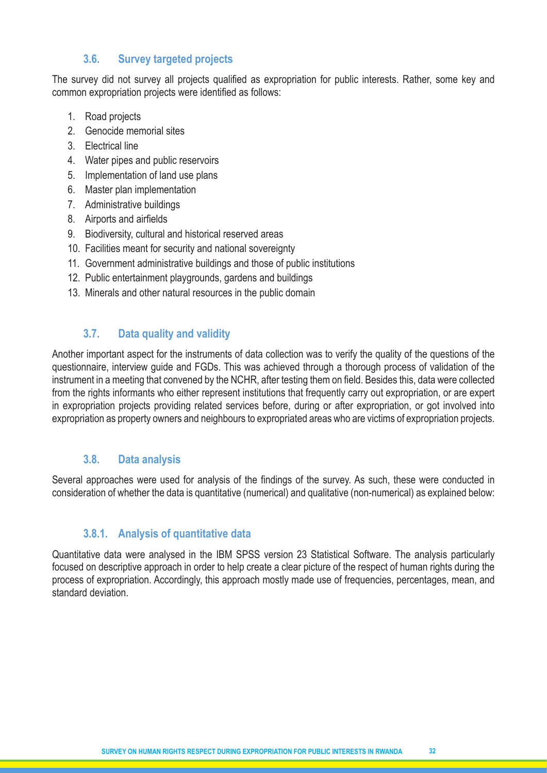# **3.6. Survey targeted projects**

The survey did not survey all projects qualified as expropriation for public interests. Rather, some key and common expropriation projects were identified as follows:

- 1. Road projects
- 2. Genocide memorial sites
- 3. Electrical line
- 4. Water pipes and public reservoirs
- 5. Implementation of land use plans
- 6. Master plan implementation
- 7. Administrative buildings
- 8. Airports and airfields
- 9. Biodiversity, cultural and historical reserved areas
- 10. Facilities meant for security and national sovereignty
- 11. Government administrative buildings and those of public institutions
- 12. Public entertainment playgrounds, gardens and buildings
- 13. Minerals and other natural resources in the public domain

# **3.7. Data quality and validity**

Another important aspect for the instruments of data collection was to verify the quality of the questions of the questionnaire, interview guide and FGDs. This was achieved through a thorough process of validation of the instrument in a meeting that convened by the NCHR, after testing them on field. Besides this, data were collected from the rights informants who either represent institutions that frequently carry out expropriation, or are expert in expropriation projects providing related services before, during or after expropriation, or got involved into expropriation as property owners and neighbours to expropriated areas who are victims of expropriation projects.

# **3.8. Data analysis**

Several approaches were used for analysis of the findings of the survey. As such, these were conducted in consideration of whether the data is quantitative (numerical) and qualitative (non-numerical) as explained below:

# **3.8.1. Analysis of quantitative data**

Quantitative data were analysed in the IBM SPSS version 23 Statistical Software. The analysis particularly focused on descriptive approach in order to help create a clear picture of the respect of human rights during the process of expropriation. Accordingly, this approach mostly made use of frequencies, percentages, mean, and standard deviation.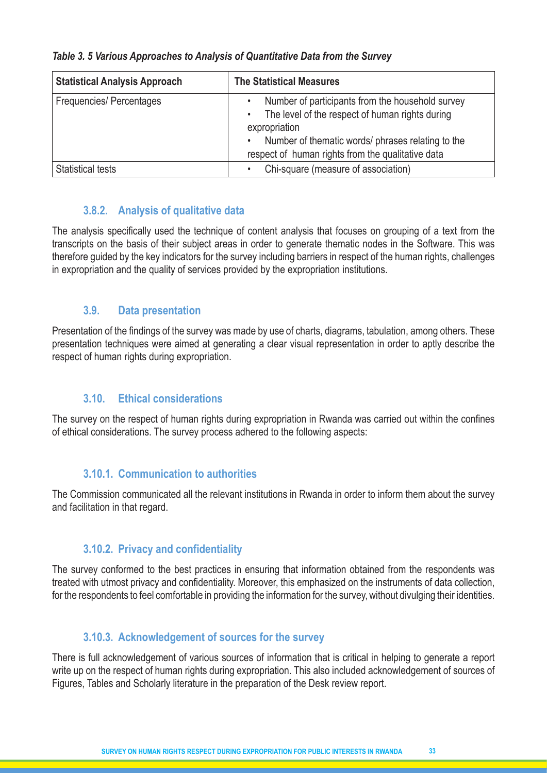| <b>Statistical Analysis Approach</b> | <b>The Statistical Measures</b>                                                                                                                                                                                                                  |  |  |  |
|--------------------------------------|--------------------------------------------------------------------------------------------------------------------------------------------------------------------------------------------------------------------------------------------------|--|--|--|
| <b>Frequencies/Percentages</b>       | Number of participants from the household survey<br>The level of the respect of human rights during<br>$\bullet$<br>expropriation<br>Number of thematic words/ phrases relating to the<br>٠<br>respect of human rights from the qualitative data |  |  |  |
| <b>Statistical tests</b>             | Chi-square (measure of association)<br>$\bullet$                                                                                                                                                                                                 |  |  |  |

*Table 3. 5 Various Approaches to Analysis of Quantitative Data from the Survey*

# **3.8.2. Analysis of qualitative data**

The analysis specifically used the technique of content analysis that focuses on grouping of a text from the transcripts on the basis of their subject areas in order to generate thematic nodes in the Software. This was therefore guided by the key indicators for the survey including barriers in respect of the human rights, challenges in expropriation and the quality of services provided by the expropriation institutions.

# **3.9. Data presentation**

Presentation of the findings of the survey was made by use of charts, diagrams, tabulation, among others. These presentation techniques were aimed at generating a clear visual representation in order to aptly describe the respect of human rights during expropriation.

# **3.10. Ethical considerations**

The survey on the respect of human rights during expropriation in Rwanda was carried out within the confines of ethical considerations. The survey process adhered to the following aspects:

# **3.10.1. Communication to authorities**

The Commission communicated all the relevant institutions in Rwanda in order to inform them about the survey and facilitation in that regard.

# **3.10.2. Privacy and confidentiality**

The survey conformed to the best practices in ensuring that information obtained from the respondents was treated with utmost privacy and confidentiality. Moreover, this emphasized on the instruments of data collection, for the respondents to feel comfortable in providing the information for the survey, without divulging their identities.

# **3.10.3. Acknowledgement of sources for the survey**

There is full acknowledgement of various sources of information that is critical in helping to generate a report write up on the respect of human rights during expropriation. This also included acknowledgement of sources of Figures, Tables and Scholarly literature in the preparation of the Desk review report.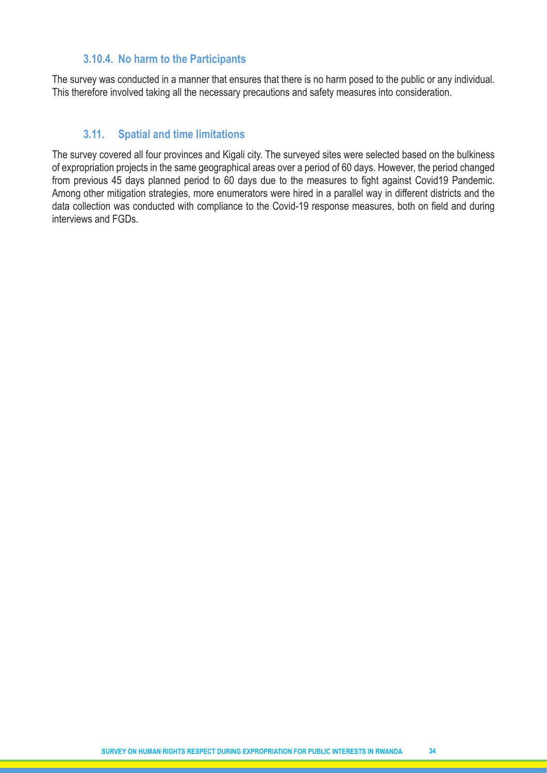#### **3.10.4. No harm to the Participants**

The survey was conducted in a manner that ensures that there is no harm posed to the public or any individual. This therefore involved taking all the necessary precautions and safety measures into consideration.

#### **3.11. Spatial and time limitations**

The survey covered all four provinces and Kigali city. The surveyed sites were selected based on the bulkiness of expropriation projects in the same geographical areas over a period of 60 days. However, the period changed from previous 45 days planned period to 60 days due to the measures to fight against Covid19 Pandemic. Among other mitigation strategies, more enumerators were hired in a parallel way in different districts and the data collection was conducted with compliance to the Covid-19 response measures, both on field and during interviews and FGDs.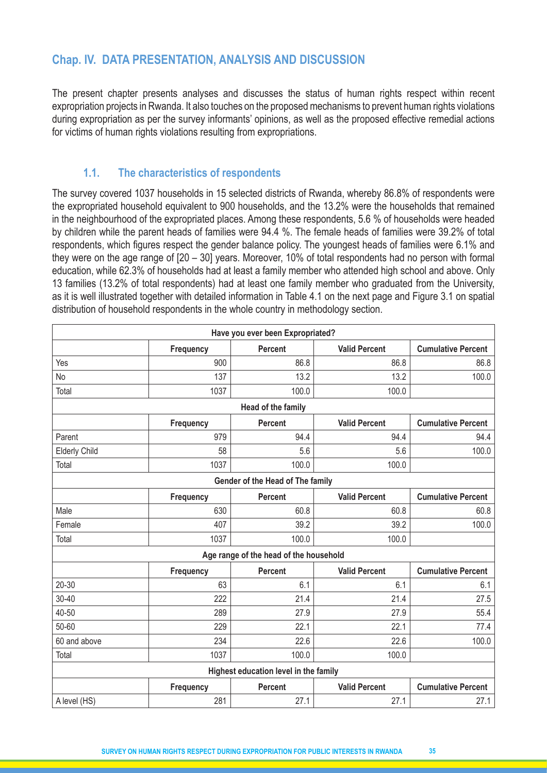# **Chap. IV. DATA PRESENTATION, ANALYSIS AND DISCUSSION**

The present chapter presents analyses and discusses the status of human rights respect within recent expropriation projects in Rwanda. It also touches on the proposed mechanisms to prevent human rights violations during expropriation as per the survey informants' opinions, as well as the proposed effective remedial actions for victims of human rights violations resulting from expropriations.

# **1.1. The characteristics of respondents**

The survey covered 1037 households in 15 selected districts of Rwanda, whereby 86.8% of respondents were the expropriated household equivalent to 900 households, and the 13.2% were the households that remained in the neighbourhood of the expropriated places. Among these respondents, 5.6 % of households were headed by children while the parent heads of families were 94.4 %. The female heads of families were 39.2% of total respondents, which figures respect the gender balance policy. The youngest heads of families were 6.1% and they were on the age range of [20 – 30] years. Moreover, 10% of total respondents had no person with formal education, while 62.3% of households had at least a family member who attended high school and above. Only 13 families (13.2% of total respondents) had at least one family member who graduated from the University, as it is well illustrated together with detailed information in Table 4.1 on the next page and Figure 3.1 on spatial distribution of household respondents in the whole country in methodology section.

|                                  |           | Have you ever been Expropriated?       |                      |                           |  |  |  |  |
|----------------------------------|-----------|----------------------------------------|----------------------|---------------------------|--|--|--|--|
|                                  | Frequency | <b>Percent</b>                         | <b>Valid Percent</b> | <b>Cumulative Percent</b> |  |  |  |  |
| Yes                              | 900       | 86.8                                   | 86.8                 | 86.8                      |  |  |  |  |
| No                               | 137       | 13.2                                   | 13.2                 | 100.0                     |  |  |  |  |
| Total                            | 1037      | 100.0                                  | 100.0                |                           |  |  |  |  |
|                                  |           | Head of the family                     |                      |                           |  |  |  |  |
|                                  | Frequency | <b>Percent</b>                         | <b>Valid Percent</b> | <b>Cumulative Percent</b> |  |  |  |  |
| Parent                           | 979       | 94.4                                   | 94.4                 | 94.4                      |  |  |  |  |
| <b>Elderly Child</b>             | 58        | 5.6                                    | 5.6                  | 100.0                     |  |  |  |  |
| Total                            | 1037      | 100.0                                  | 100.0                |                           |  |  |  |  |
| Gender of the Head of The family |           |                                        |                      |                           |  |  |  |  |
|                                  | Frequency | <b>Percent</b>                         | <b>Valid Percent</b> | <b>Cumulative Percent</b> |  |  |  |  |
| Male                             | 630       | 60.8                                   | 60.8                 | 60.8                      |  |  |  |  |
| Female                           | 407       | 39.2                                   | 39.2                 | 100.0                     |  |  |  |  |
| Total                            | 1037      | 100.0                                  | 100.0                |                           |  |  |  |  |
|                                  |           | Age range of the head of the household |                      |                           |  |  |  |  |
|                                  | Frequency | <b>Percent</b>                         | <b>Valid Percent</b> | <b>Cumulative Percent</b> |  |  |  |  |
| $20 - 30$                        | 63        | 6.1                                    | 6.1                  | 6.1                       |  |  |  |  |
| $30 - 40$                        | 222       | 21.4                                   | 21.4                 | 27.5                      |  |  |  |  |
| 40-50                            | 289       | 27.9                                   | 27.9                 | 55.4                      |  |  |  |  |
| 50-60                            | 229       | 22.1                                   | 22.1                 | 77.4                      |  |  |  |  |
| 60 and above                     | 234       | 22.6                                   | 22.6                 | 100.0                     |  |  |  |  |
| Total                            | 1037      | 100.0                                  | 100.0                |                           |  |  |  |  |
|                                  |           | Highest education level in the family  |                      |                           |  |  |  |  |
|                                  | Frequency | <b>Percent</b>                         | <b>Valid Percent</b> | <b>Cumulative Percent</b> |  |  |  |  |
| A level (HS)                     | 281       | 27.1                                   | 27.1                 | 27.1                      |  |  |  |  |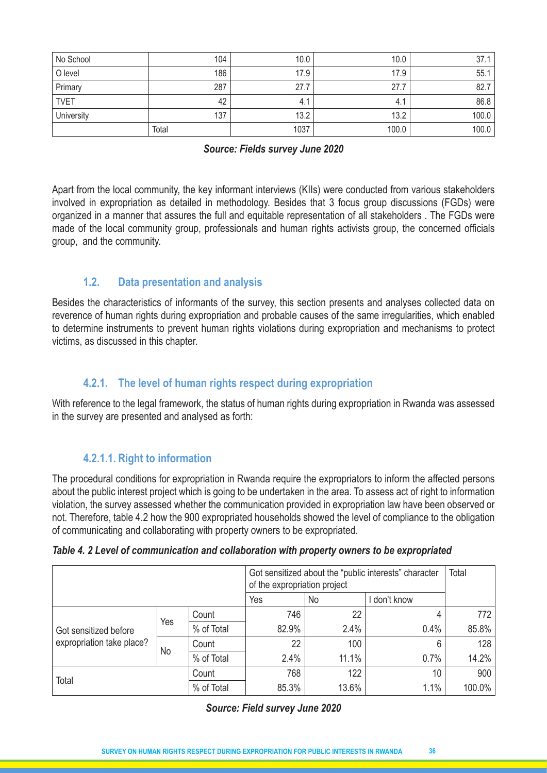| No School   | 104   | 10.0 | 10.0  | 37.1  |
|-------------|-------|------|-------|-------|
| O level     | 186   | 17.9 | 17.9  | 55.1  |
| Primary     | 287   | 27.7 | 27.7  | 82.7  |
| <b>TVET</b> | 42    | 4.1  | 4.1   | 86.8  |
| University  | 137   | 13.2 | 13.2  | 100.0 |
|             | Total | 1037 | 100.0 | 100.0 |

#### *Source: Fields survey June 2020*

Apart from the local community, the key informant interviews (KIIs) were conducted from various stakeholders involved in expropriation as detailed in methodology. Besides that 3 focus group discussions (FGDs) were organized in a manner that assures the full and equitable representation of all stakeholders . The FGDs were made of the local community group, professionals and human rights activists group, the concerned officials group, and the community.

# **1.2. Data presentation and analysis**

Besides the characteristics of informants of the survey, this section presents and analyses collected data on reverence of human rights during expropriation and probable causes of the same irregularities, which enabled to determine instruments to prevent human rights violations during expropriation and mechanisms to protect victims, as discussed in this chapter.

# **4.2.1. The level of human rights respect during expropriation**

With reference to the legal framework, the status of human rights during expropriation in Rwanda was assessed in the survey are presented and analysed as forth:

# **4.2.1.1. Right to information**

The procedural conditions for expropriation in Rwanda require the expropriators to inform the affected persons about the public interest project which is going to be undertaken in the area. To assess act of right to information violation, the survey assessed whether the communication provided in expropriation law have been observed or not. Therefore, table 4.2 how the 900 expropriated households showed the level of compliance to the obligation of communicating and collaborating with property owners to be expropriated.

| Table 4. 2 Level of communication and collaboration with property owners to be expropriated |  |  |  |  |  |  |  |  |  |  |
|---------------------------------------------------------------------------------------------|--|--|--|--|--|--|--|--|--|--|
|---------------------------------------------------------------------------------------------|--|--|--|--|--|--|--|--|--|--|

|                                                    |     |            | Got sensitized about the "public interests" character<br>of the expropriation project | Total |            |        |
|----------------------------------------------------|-----|------------|---------------------------------------------------------------------------------------|-------|------------|--------|
|                                                    |     |            | Yes                                                                                   | No    | don't know |        |
| Got sensitized before<br>expropriation take place? | Yes | Count      | 746                                                                                   | 22    |            | 772    |
|                                                    |     | % of Total | 82.9%                                                                                 | 2.4%  | 0.4%       | 85.8%  |
|                                                    |     | Count      | 22                                                                                    | 100   | 6          | 128    |
|                                                    | No  | % of Total | 2.4%                                                                                  | 11.1% | 0.7%       | 14.2%  |
| Total                                              |     | Count      | 768                                                                                   | 122   | 10         | 900    |
|                                                    |     | % of Total | 85.3%                                                                                 | 13.6% | 1.1%       | 100.0% |

#### *Source: Field survey June 2020*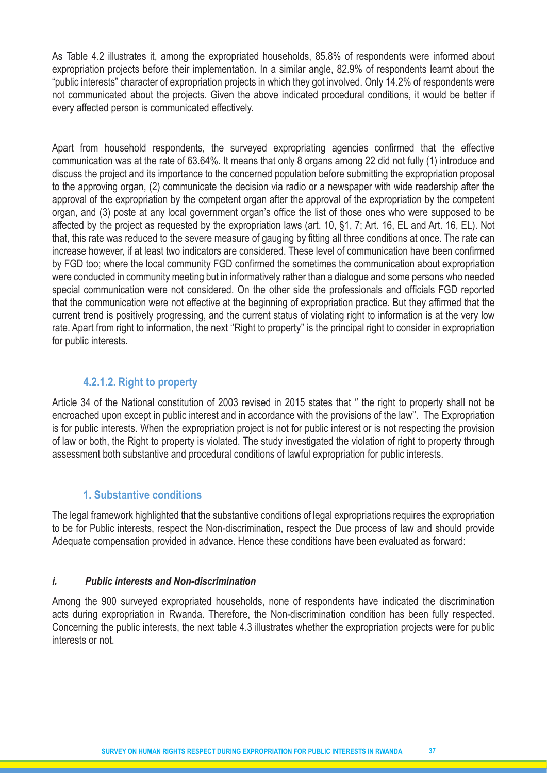As Table 4.2 illustrates it, among the expropriated households, 85.8% of respondents were informed about expropriation projects before their implementation. In a similar angle, 82.9% of respondents learnt about the "public interests" character of expropriation projects in which they got involved. Only 14.2% of respondents were not communicated about the projects. Given the above indicated procedural conditions, it would be better if every affected person is communicated effectively.

Apart from household respondents, the surveyed expropriating agencies confirmed that the effective communication was at the rate of 63.64%. It means that only 8 organs among 22 did not fully (1) introduce and discuss the project and its importance to the concerned population before submitting the expropriation proposal to the approving organ, (2) communicate the decision via radio or a newspaper with wide readership after the approval of the expropriation by the competent organ after the approval of the expropriation by the competent organ, and (3) poste at any local government organ's office the list of those ones who were supposed to be affected by the project as requested by the expropriation laws (art. 10, §1, 7; Art. 16, EL and Art. 16, EL). Not that, this rate was reduced to the severe measure of gauging by fitting all three conditions at once. The rate can increase however, if at least two indicators are considered. These level of communication have been confirmed by FGD too; where the local community FGD confirmed the sometimes the communication about expropriation were conducted in community meeting but in informatively rather than a dialogue and some persons who needed special communication were not considered. On the other side the professionals and officials FGD reported that the communication were not effective at the beginning of expropriation practice. But they affirmed that the current trend is positively progressing, and the current status of violating right to information is at the very low rate. Apart from right to information, the next ''Right to property'' is the principal right to consider in expropriation for public interests.

# **4.2.1.2. Right to property**

Article 34 of the National constitution of 2003 revised in 2015 states that '' the right to property shall not be encroached upon except in public interest and in accordance with the provisions of the law''. The Expropriation is for public interests. When the expropriation project is not for public interest or is not respecting the provision of law or both, the Right to property is violated. The study investigated the violation of right to property through assessment both substantive and procedural conditions of lawful expropriation for public interests.

# **1. Substantive conditions**

The legal framework highlighted that the substantive conditions of legal expropriations requires the expropriation to be for Public interests, respect the Non-discrimination, respect the Due process of law and should provide Adequate compensation provided in advance. Hence these conditions have been evaluated as forward:

# *i. Public interests and Non-discrimination*

Among the 900 surveyed expropriated households, none of respondents have indicated the discrimination acts during expropriation in Rwanda. Therefore, the Non-discrimination condition has been fully respected. Concerning the public interests, the next table 4.3 illustrates whether the expropriation projects were for public interests or not.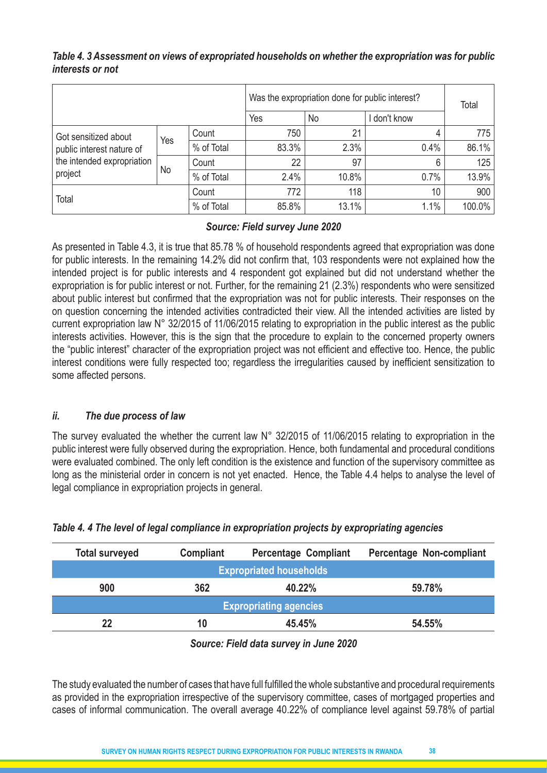|                                                                                            |     |            | Was the expropriation done for public interest? | Total |              |        |
|--------------------------------------------------------------------------------------------|-----|------------|-------------------------------------------------|-------|--------------|--------|
|                                                                                            |     |            | Yes                                             | No    | I don't know |        |
| Got sensitized about<br>public interest nature of<br>the intended expropriation<br>project | Yes | Count      | 750                                             | 21    | 4            | 775    |
|                                                                                            |     | % of Total | 83.3%                                           | 2.3%  | 0.4%         | 86.1%  |
|                                                                                            |     | Count      | 22                                              | 97    | 6            | 125    |
|                                                                                            | No  | % of Total | 2.4%                                            | 10.8% | 0.7%         | 13.9%  |
|                                                                                            |     | Count      | 772                                             | 118   | 10           | 900    |
| Total                                                                                      |     | % of Total | 85.8%                                           | 13.1% | 1.1%         | 100.0% |

# *Table 4. 3 Assessment on views of expropriated households on whether the expropriation was for public interests or not*

#### *Source: Field survey June 2020*

As presented in Table 4.3, it is true that 85.78 % of household respondents agreed that expropriation was done for public interests. In the remaining 14.2% did not confirm that, 103 respondents were not explained how the intended project is for public interests and 4 respondent got explained but did not understand whether the expropriation is for public interest or not. Further, for the remaining 21 (2.3%) respondents who were sensitized about public interest but confirmed that the expropriation was not for public interests. Their responses on the on question concerning the intended activities contradicted their view. All the intended activities are listed by current expropriation law N° 32/2015 of 11/06/2015 relating to expropriation in the public interest as the public interests activities. However, this is the sign that the procedure to explain to the concerned property owners the "public interest" character of the expropriation project was not efficient and effective too. Hence, the public interest conditions were fully respected too; regardless the irregularities caused by inefficient sensitization to some affected persons.

#### *ii. The due process of law*

The survey evaluated the whether the current law N° 32/2015 of 11/06/2015 relating to expropriation in the public interest were fully observed during the expropriation. Hence, both fundamental and procedural conditions were evaluated combined. The only left condition is the existence and function of the supervisory committee as long as the ministerial order in concern is not yet enacted. Hence, the Table 4.4 helps to analyse the level of legal compliance in expropriation projects in general.

| Compliant                      | <b>Percentage Compliant</b> | Percentage Non-compliant |  |  |  |  |  |
|--------------------------------|-----------------------------|--------------------------|--|--|--|--|--|
| <b>Expropriated households</b> |                             |                          |  |  |  |  |  |
| 362                            | 40.22%                      | 59.78%                   |  |  |  |  |  |
| <b>Expropriating agencies</b>  |                             |                          |  |  |  |  |  |
| 10                             | 45.45%                      | 54.55%                   |  |  |  |  |  |
|                                |                             |                          |  |  |  |  |  |

| Table 4. 4 The level of legal compliance in expropriation projects by expropriating agencies |  |  |  |
|----------------------------------------------------------------------------------------------|--|--|--|
|                                                                                              |  |  |  |
|                                                                                              |  |  |  |

*Source: Field data survey in June 2020*

The study evaluated the number of cases that have full fulfilled the whole substantive and procedural requirements as provided in the expropriation irrespective of the supervisory committee, cases of mortgaged properties and cases of informal communication. The overall average 40.22% of compliance level against 59.78% of partial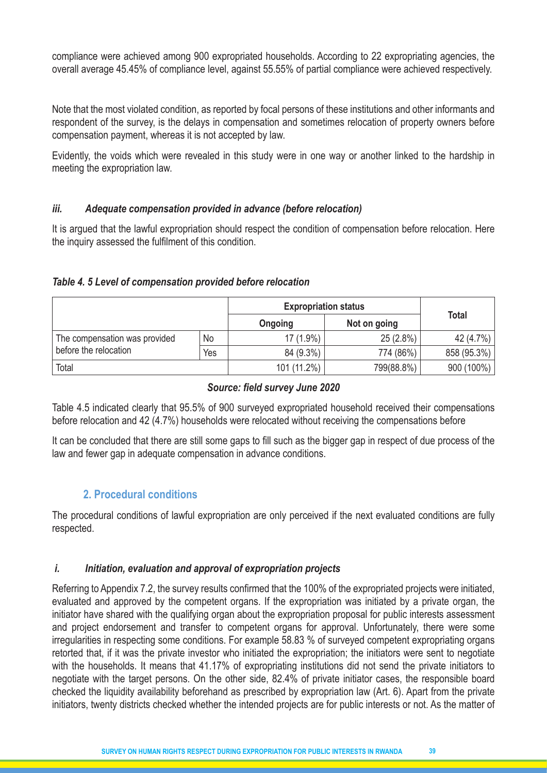compliance were achieved among 900 expropriated households. According to 22 expropriating agencies, the overall average 45.45% of compliance level, against 55.55% of partial compliance were achieved respectively.

Note that the most violated condition, as reported by focal persons of these institutions and other informants and respondent of the survey, is the delays in compensation and sometimes relocation of property owners before compensation payment, whereas it is not accepted by law.

Evidently, the voids which were revealed in this study were in one way or another linked to the hardship in meeting the expropriation law.

#### *iii. Adequate compensation provided in advance (before relocation)*

It is argued that the lawful expropriation should respect the condition of compensation before relocation. Here the inquiry assessed the fulfilment of this condition.

#### *Table 4. 5 Level of compensation provided before relocation*

|                               |     | <b>Expropriation status</b> |              |              |
|-------------------------------|-----|-----------------------------|--------------|--------------|
|                               |     | Ongoing                     | <b>Total</b> |              |
| The compensation was provided | No  | $17(1.9\%)$                 | 25(2.8%)     | 42 (4.7%)    |
| before the relocation         | Yes | 84 (9.3%)                   | 774 (86%)    | 858 (95.3%)  |
| Total                         |     | 101 (11.2%)                 | 799(88.8%)   | $900(100\%)$ |

#### *Source: field survey June 2020*

Table 4.5 indicated clearly that 95.5% of 900 surveyed expropriated household received their compensations before relocation and 42 (4.7%) households were relocated without receiving the compensations before

It can be concluded that there are still some gaps to fill such as the bigger gap in respect of due process of the law and fewer gap in adequate compensation in advance conditions.

# **2. Procedural conditions**

The procedural conditions of lawful expropriation are only perceived if the next evaluated conditions are fully respected.

#### *i. Initiation, evaluation and approval of expropriation projects*

Referring to Appendix 7.2, the survey results confirmed that the 100% of the expropriated projects were initiated, evaluated and approved by the competent organs. If the expropriation was initiated by a private organ, the initiator have shared with the qualifying organ about the expropriation proposal for public interests assessment and project endorsement and transfer to competent organs for approval. Unfortunately, there were some irregularities in respecting some conditions. For example 58.83 % of surveyed competent expropriating organs retorted that, if it was the private investor who initiated the expropriation; the initiators were sent to negotiate with the households. It means that 41.17% of expropriating institutions did not send the private initiators to negotiate with the target persons. On the other side, 82.4% of private initiator cases, the responsible board checked the liquidity availability beforehand as prescribed by expropriation law (Art. 6). Apart from the private initiators, twenty districts checked whether the intended projects are for public interests or not. As the matter of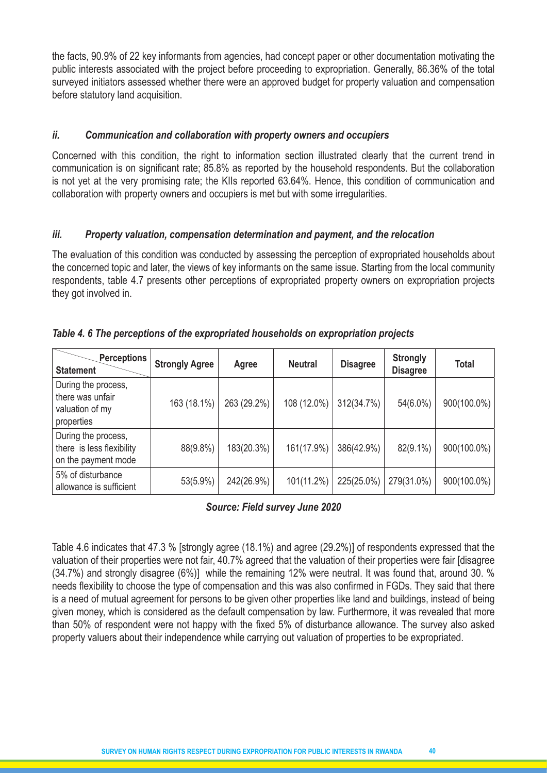the facts, 90.9% of 22 key informants from agencies, had concept paper or other documentation motivating the public interests associated with the project before proceeding to expropriation. Generally, 86.36% of the total surveyed initiators assessed whether there were an approved budget for property valuation and compensation before statutory land acquisition.

#### *ii. Communication and collaboration with property owners and occupiers*

Concerned with this condition, the right to information section illustrated clearly that the current trend in communication is on significant rate; 85.8% as reported by the household respondents. But the collaboration is not yet at the very promising rate; the KIIs reported 63.64%. Hence, this condition of communication and collaboration with property owners and occupiers is met but with some irregularities.

#### *iii. Property valuation, compensation determination and payment, and the relocation*

The evaluation of this condition was conducted by assessing the perception of expropriated households about the concerned topic and later, the views of key informants on the same issue. Starting from the local community respondents, table 4.7 presents other perceptions of expropriated property owners on expropriation projects they got involved in.

| <b>Perceptions</b><br><b>Statement</b>                                   | <b>Strongly Agree</b> | Agree       | <b>Neutral</b> | <b>Disagree</b> | <b>Strongly</b><br><b>Disagree</b> | Total       |
|--------------------------------------------------------------------------|-----------------------|-------------|----------------|-----------------|------------------------------------|-------------|
| During the process,<br>there was unfair<br>valuation of my<br>properties | 163 (18.1%)           | 263 (29.2%) | 108 (12.0%)    | 312(34.7%)      | $54(6.0\%)$                        | 900(100.0%) |
| During the process,<br>there is less flexibility<br>on the payment mode  | 88(9.8%)              | 183(20.3%)  | 161(17.9%)     | 386(42.9%)      | 82(9.1%)                           | 900(100.0%) |
| 5% of disturbance<br>allowance is sufficient                             | 53(5.9%)              | 242(26.9%)  | 101(11.2%)     | 225(25.0%)      | 279(31.0%)                         | 900(100.0%) |

#### *Table 4. 6 The perceptions of the expropriated households on expropriation projects*

*Source: Field survey June 2020*

Table 4.6 indicates that 47.3 % [strongly agree (18.1%) and agree (29.2%)] of respondents expressed that the valuation of their properties were not fair, 40.7% agreed that the valuation of their properties were fair [disagree (34.7%) and strongly disagree (6%)] while the remaining 12% were neutral. It was found that, around 30. % needs flexibility to choose the type of compensation and this was also confirmed in FGDs. They said that there is a need of mutual agreement for persons to be given other properties like land and buildings, instead of being given money, which is considered as the default compensation by law. Furthermore, it was revealed that more than 50% of respondent were not happy with the fixed 5% of disturbance allowance. The survey also asked property valuers about their independence while carrying out valuation of properties to be expropriated.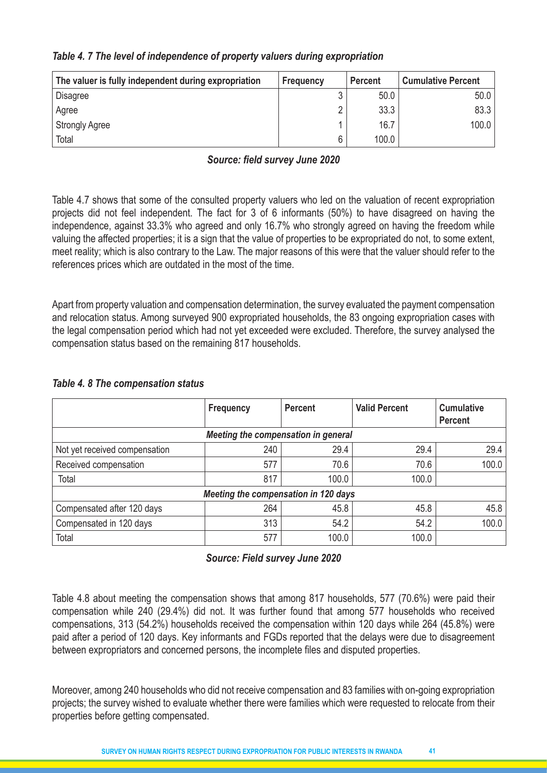| The valuer is fully independent during expropriation | Frequency | <b>Percent</b> | <b>Cumulative Percent</b> |
|------------------------------------------------------|-----------|----------------|---------------------------|
| <b>Disagree</b>                                      |           | 50.0           | 50.0                      |
| Agree                                                |           | 33.3           | 83.3                      |
| <b>Strongly Agree</b>                                |           | 16.7           | 100.0                     |
| Total                                                | 6         | 100.0          |                           |

#### *Table 4. 7 The level of independence of property valuers during expropriation*

#### *Source: field survey June 2020*

Table 4.7 shows that some of the consulted property valuers who led on the valuation of recent expropriation projects did not feel independent. The fact for 3 of 6 informants (50%) to have disagreed on having the independence, against 33.3% who agreed and only 16.7% who strongly agreed on having the freedom while valuing the affected properties; it is a sign that the value of properties to be expropriated do not, to some extent, meet reality; which is also contrary to the Law. The major reasons of this were that the valuer should refer to the references prices which are outdated in the most of the time.

Apart from property valuation and compensation determination, the survey evaluated the payment compensation and relocation status. Among surveyed 900 expropriated households, the 83 ongoing expropriation cases with the legal compensation period which had not yet exceeded were excluded. Therefore, the survey analysed the compensation status based on the remaining 817 households.

#### *Table 4. 8 The compensation status*

|                                      | <b>Frequency</b> | <b>Percent</b> | <b>Valid Percent</b> | <b>Cumulative</b><br><b>Percent</b> |  |  |  |  |
|--------------------------------------|------------------|----------------|----------------------|-------------------------------------|--|--|--|--|
| Meeting the compensation in general  |                  |                |                      |                                     |  |  |  |  |
| Not yet received compensation        | 240              | 29.4           | 29.4                 | 29.4                                |  |  |  |  |
| Received compensation                | 577              | 70.6           | 70.6                 | 100.0                               |  |  |  |  |
| Total                                | 817              | 100.0          | 100.0                |                                     |  |  |  |  |
| Meeting the compensation in 120 days |                  |                |                      |                                     |  |  |  |  |
| Compensated after 120 days           | 264              | 45.8           | 45.8                 | 45.8                                |  |  |  |  |
| Compensated in 120 days              | 313              | 54.2           | 54.2                 | 100.0                               |  |  |  |  |
| Total                                | 577              | 100.0          | 100.0                |                                     |  |  |  |  |

#### *Source: Field survey June 2020*

Table 4.8 about meeting the compensation shows that among 817 households, 577 (70.6%) were paid their compensation while 240 (29.4%) did not. It was further found that among 577 households who received compensations, 313 (54.2%) households received the compensation within 120 days while 264 (45.8%) were paid after a period of 120 days. Key informants and FGDs reported that the delays were due to disagreement between expropriators and concerned persons, the incomplete files and disputed properties.

Moreover, among 240 households who did not receive compensation and 83 families with on-going expropriation projects; the survey wished to evaluate whether there were families which were requested to relocate from their properties before getting compensated.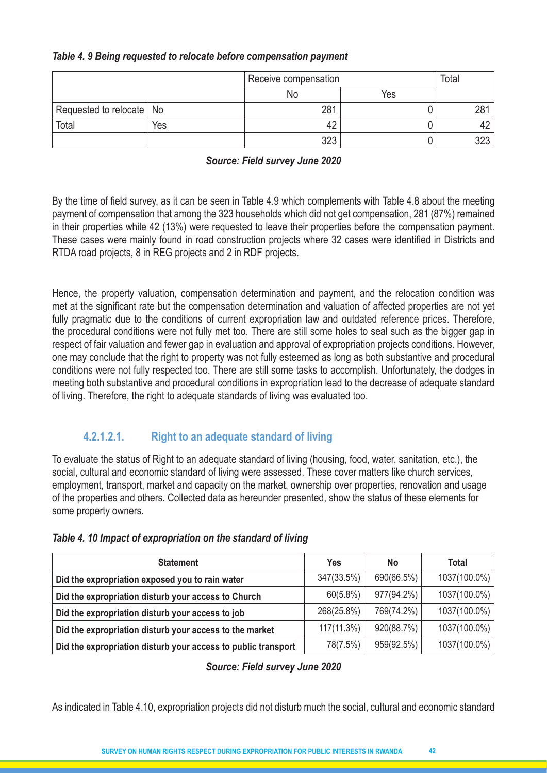#### *Table 4. 9 Being requested to relocate before compensation payment*

|                            |     | Receive compensation | Total |     |
|----------------------------|-----|----------------------|-------|-----|
|                            |     | No                   | Yes   |     |
| Requested to relocate   No |     | 281                  |       | 281 |
| Total                      | Yes |                      |       |     |
|                            |     | つつつ                  |       | ດດາ |

#### *Source: Field survey June 2020*

By the time of field survey, as it can be seen in Table 4.9 which complements with Table 4.8 about the meeting payment of compensation that among the 323 households which did not get compensation, 281 (87%) remained in their properties while 42 (13%) were requested to leave their properties before the compensation payment. These cases were mainly found in road construction projects where 32 cases were identified in Districts and RTDA road projects, 8 in REG projects and 2 in RDF projects.

Hence, the property valuation, compensation determination and payment, and the relocation condition was met at the significant rate but the compensation determination and valuation of affected properties are not yet fully pragmatic due to the conditions of current expropriation law and outdated reference prices. Therefore, the procedural conditions were not fully met too. There are still some holes to seal such as the bigger gap in respect of fair valuation and fewer gap in evaluation and approval of expropriation projects conditions. However, one may conclude that the right to property was not fully esteemed as long as both substantive and procedural conditions were not fully respected too. There are still some tasks to accomplish. Unfortunately, the dodges in meeting both substantive and procedural conditions in expropriation lead to the decrease of adequate standard of living. Therefore, the right to adequate standards of living was evaluated too.

# **4.2.1.2.1. Right to an adequate standard of living**

To evaluate the status of Right to an adequate standard of living (housing, food, water, sanitation, etc.), the social, cultural and economic standard of living were assessed. These cover matters like church services, employment, transport, market and capacity on the market, ownership over properties, renovation and usage of the properties and others. Collected data as hereunder presented, show the status of these elements for some property owners.

| <b>Statement</b>                                              | <b>Yes</b>    | <b>No</b>  | Total        |
|---------------------------------------------------------------|---------------|------------|--------------|
| Did the expropriation exposed you to rain water               | 347(33.5%)    | 690(66.5%) | 1037(100.0%) |
| Did the expropriation disturb your access to Church           | 60(5.8%)      | 977(94.2%) | 1037(100.0%) |
| Did the expropriation disturb your access to job              | 268(25.8%)    | 769(74.2%) | 1037(100.0%) |
| Did the expropriation disturb your access to the market       | $117(11.3\%)$ | 920(88.7%) | 1037(100.0%) |
| Did the expropriation disturb your access to public transport | 78(7.5%)      | 959(92.5%) | 1037(100.0%) |

#### *Table 4. 10 Impact of expropriation on the standard of living*

#### *Source: Field survey June 2020*

As indicated in Table 4.10, expropriation projects did not disturb much the social, cultural and economic standard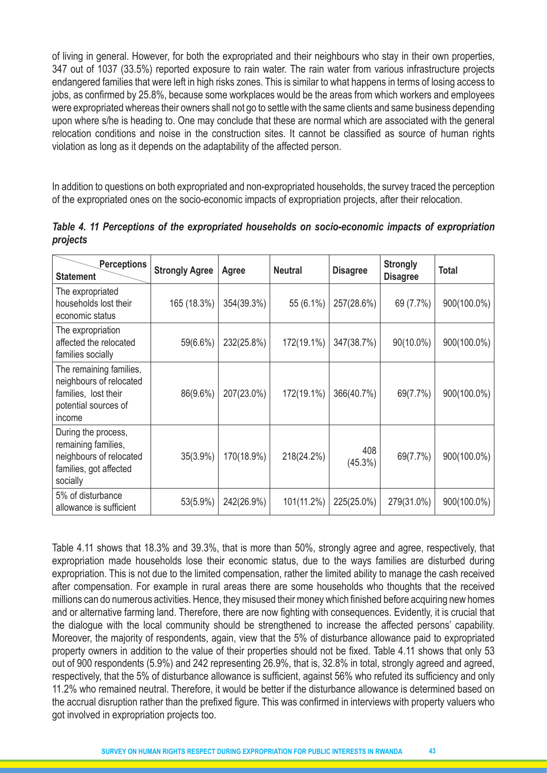of living in general. However, for both the expropriated and their neighbours who stay in their own properties, 347 out of 1037 (33.5%) reported exposure to rain water. The rain water from various infrastructure projects endangered families that were left in high risks zones. This is similar to what happens in terms of losing access to jobs, as confirmed by 25.8%, because some workplaces would be the areas from which workers and employees were expropriated whereas their owners shall not go to settle with the same clients and same business depending upon where s/he is heading to. One may conclude that these are normal which are associated with the general relocation conditions and noise in the construction sites. It cannot be classified as source of human rights violation as long as it depends on the adaptability of the affected person.

In addition to questions on both expropriated and non-expropriated households, the survey traced the perception of the expropriated ones on the socio-economic impacts of expropriation projects, after their relocation.

| <b>Perceptions</b><br><b>Statement</b>                                                                       | <b>Strongly Agree</b> | Agree      | <b>Neutral</b> | <b>Disagree</b>   | <b>Strongly</b><br><b>Disagree</b> | <b>Total</b> |
|--------------------------------------------------------------------------------------------------------------|-----------------------|------------|----------------|-------------------|------------------------------------|--------------|
| The expropriated<br>households lost their<br>economic status                                                 | 165 (18.3%)           | 354(39.3%) | 55 (6.1%)      | 257(28.6%)        | 69 (7.7%)                          | 900(100.0%)  |
| The expropriation<br>affected the relocated<br>families socially                                             | 59(6.6%)              | 232(25.8%) | 172(19.1%)     | 347(38.7%)        | 90(10.0%)                          | 900(100.0%)  |
| The remaining families,<br>neighbours of relocated<br>families, lost their<br>potential sources of<br>income | 86(9.6%)              | 207(23.0%) | 172(19.1%)     | 366(40.7%)        | 69(7.7%)                           | 900(100.0%)  |
| During the process,<br>remaining families,<br>neighbours of relocated<br>families, got affected<br>socially  | 35(3.9%)              | 170(18.9%) | 218(24.2%)     | 408<br>$(45.3\%)$ | 69(7.7%)                           | 900(100.0%)  |
| 5% of disturbance<br>allowance is sufficient                                                                 | 53(5.9%)              | 242(26.9%) | 101(11.2%)     | 225(25.0%)        | 279(31.0%)                         | 900(100.0%)  |

*Table 4. 11 Perceptions of the expropriated households on socio-economic impacts of expropriation projects*

Table 4.11 shows that 18.3% and 39.3%, that is more than 50%, strongly agree and agree, respectively, that expropriation made households lose their economic status, due to the ways families are disturbed during expropriation. This is not due to the limited compensation, rather the limited ability to manage the cash received after compensation. For example in rural areas there are some households who thoughts that the received millions can do numerous activities. Hence, they misused their money which finished before acquiring new homes and or alternative farming land. Therefore, there are now fighting with consequences. Evidently, it is crucial that the dialogue with the local community should be strengthened to increase the affected persons' capability. Moreover, the majority of respondents, again, view that the 5% of disturbance allowance paid to expropriated property owners in addition to the value of their properties should not be fixed. Table 4.11 shows that only 53 out of 900 respondents (5.9%) and 242 representing 26.9%, that is, 32.8% in total, strongly agreed and agreed, respectively, that the 5% of disturbance allowance is sufficient, against 56% who refuted its sufficiency and only 11.2% who remained neutral. Therefore, it would be better if the disturbance allowance is determined based on the accrual disruption rather than the prefixed figure. This was confirmed in interviews with property valuers who got involved in expropriation projects too.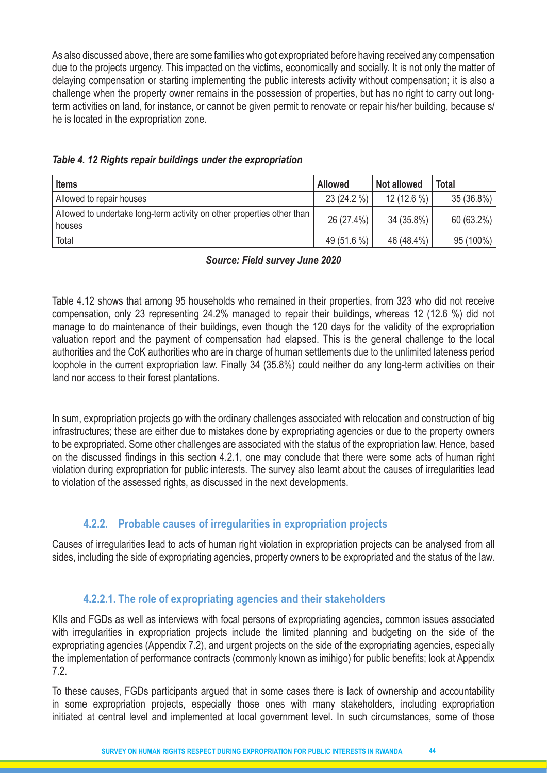As also discussed above, there are some families who got expropriated before having received any compensation due to the projects urgency. This impacted on the victims, economically and socially. It is not only the matter of delaying compensation or starting implementing the public interests activity without compensation; it is also a challenge when the property owner remains in the possession of properties, but has no right to carry out longterm activities on land, for instance, or cannot be given permit to renovate or repair his/her building, because s/ he is located in the expropriation zone.

| <b>Items</b>                                                                     | <b>Allowed</b> | <b>Not allowed</b> | <b>Total</b> |
|----------------------------------------------------------------------------------|----------------|--------------------|--------------|
| Allowed to repair houses                                                         | 23 (24.2 %)    | $12(12.6\%)$       | 35 (36.8%)   |
| Allowed to undertake long-term activity on other properties other than<br>houses | 26 (27.4%)     | 34 (35.8%)         | 60 (63.2%)   |
| Total                                                                            | 49 (51.6 %)    | 46 (48.4%)         | 95 (100%)    |

*Table 4. 12 Rights repair buildings under the expropriation*

*Source: Field survey June 2020*

Table 4.12 shows that among 95 households who remained in their properties, from 323 who did not receive compensation, only 23 representing 24.2% managed to repair their buildings, whereas 12 (12.6 %) did not manage to do maintenance of their buildings, even though the 120 days for the validity of the expropriation valuation report and the payment of compensation had elapsed. This is the general challenge to the local authorities and the CoK authorities who are in charge of human settlements due to the unlimited lateness period loophole in the current expropriation law. Finally 34 (35.8%) could neither do any long-term activities on their land nor access to their forest plantations.

In sum, expropriation projects go with the ordinary challenges associated with relocation and construction of big infrastructures; these are either due to mistakes done by expropriating agencies or due to the property owners to be expropriated. Some other challenges are associated with the status of the expropriation law. Hence, based on the discussed findings in this section 4.2.1, one may conclude that there were some acts of human right violation during expropriation for public interests. The survey also learnt about the causes of irregularities lead to violation of the assessed rights, as discussed in the next developments.

# **4.2.2. Probable causes of irregularities in expropriation projects**

Causes of irregularities lead to acts of human right violation in expropriation projects can be analysed from all sides, including the side of expropriating agencies, property owners to be expropriated and the status of the law.

# **4.2.2.1. The role of expropriating agencies and their stakeholders**

KIIs and FGDs as well as interviews with focal persons of expropriating agencies, common issues associated with irregularities in expropriation projects include the limited planning and budgeting on the side of the expropriating agencies (Appendix 7.2), and urgent projects on the side of the expropriating agencies, especially the implementation of performance contracts (commonly known as imihigo) for public benefits; look at Appendix 7.2.

To these causes, FGDs participants argued that in some cases there is lack of ownership and accountability in some expropriation projects, especially those ones with many stakeholders, including expropriation initiated at central level and implemented at local government level. In such circumstances, some of those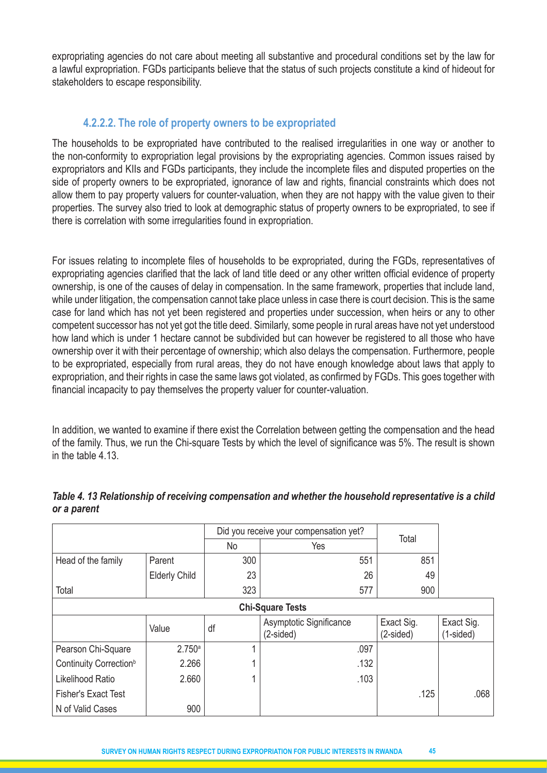expropriating agencies do not care about meeting all substantive and procedural conditions set by the law for a lawful expropriation. FGDs participants believe that the status of such projects constitute a kind of hideout for stakeholders to escape responsibility.

# **4.2.2.2. The role of property owners to be expropriated**

The households to be expropriated have contributed to the realised irregularities in one way or another to the non-conformity to expropriation legal provisions by the expropriating agencies. Common issues raised by expropriators and KIIs and FGDs participants, they include the incomplete files and disputed properties on the side of property owners to be expropriated, ignorance of law and rights, financial constraints which does not allow them to pay property valuers for counter-valuation, when they are not happy with the value given to their properties. The survey also tried to look at demographic status of property owners to be expropriated, to see if there is correlation with some irregularities found in expropriation.

For issues relating to incomplete files of households to be expropriated, during the FGDs, representatives of expropriating agencies clarified that the lack of land title deed or any other written official evidence of property ownership, is one of the causes of delay in compensation. In the same framework, properties that include land, while under litigation, the compensation cannot take place unless in case there is court decision. This is the same case for land which has not yet been registered and properties under succession, when heirs or any to other competent successor has not yet got the title deed. Similarly, some people in rural areas have not yet understood how land which is under 1 hectare cannot be subdivided but can however be registered to all those who have ownership over it with their percentage of ownership; which also delays the compensation. Furthermore, people to be expropriated, especially from rural areas, they do not have enough knowledge about laws that apply to expropriation, and their rights in case the same laws got violated, as confirmed by FGDs. This goes together with financial incapacity to pay themselves the property valuer for counter-valuation.

In addition, we wanted to examine if there exist the Correlation between getting the compensation and the head of the family. Thus, we run the Chi-square Tests by which the level of significance was 5%. The result is shown in the table 4.13.

|                                    |                      |     | Did you receive your compensation yet? | Total                   |                         |  |
|------------------------------------|----------------------|-----|----------------------------------------|-------------------------|-------------------------|--|
|                                    |                      | No  | Yes                                    |                         |                         |  |
| Head of the family                 | Parent               | 300 | 551                                    | 851                     |                         |  |
|                                    | <b>Elderly Child</b> | 23  | 26                                     | 49                      |                         |  |
| Total                              |                      | 323 | 577                                    | 900                     |                         |  |
| <b>Chi-Square Tests</b>            |                      |     |                                        |                         |                         |  |
|                                    | Value                | df  | Asymptotic Significance<br>$(2-sided)$ | Exact Sig.<br>(2-sided) | Exact Sig.<br>(1-sided) |  |
| Pearson Chi-Square                 | 2.750a               | 1   | .097                                   |                         |                         |  |
| Continuity Correction <sup>b</sup> | 2.266                | 4   | .132                                   |                         |                         |  |
| Likelihood Ratio                   | 2.660                | 1   | .103                                   |                         |                         |  |
| <b>Fisher's Exact Test</b>         |                      |     |                                        | .125                    | .068                    |  |
| N of Valid Cases                   | 900                  |     |                                        |                         |                         |  |

# *Table 4. 13 Relationship of receiving compensation and whether the household representative is a child or a parent*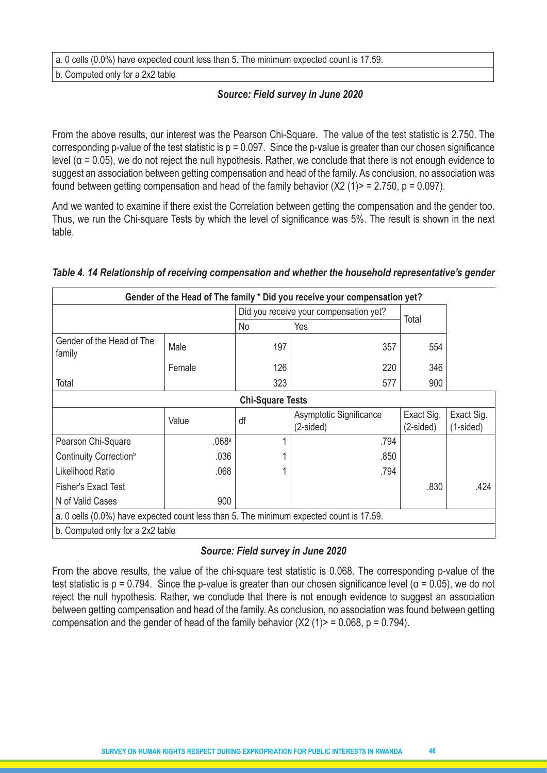a. 0 cells (0.0%) have expected count less than 5. The minimum expected count is 17.59.

b. Computed only for a 2x2 table

#### *Source: Field survey in June 2020*

From the above results, our interest was the Pearson Chi-Square. The value of the test statistic is 2.750. The corresponding p-value of the test statistic is  $p = 0.097$ . Since the p-value is greater than our chosen significance level ( $α = 0.05$ ), we do not reject the null hypothesis. Rather, we conclude that there is not enough evidence to suggest an association between getting compensation and head of the family. As conclusion, no association was found between getting compensation and head of the family behavior  $(X2 (1)$  = 2.750, p = 0.097).

And we wanted to examine if there exist the Correlation between getting the compensation and the gender too. Thus, we run the Chi-square Tests by which the level of significance was 5%. The result is shown in the next table.

|                                                                                         |        |     | Gender of the Head of The family * Did you receive your compensation yet? |                         |                           |  |  |  |
|-----------------------------------------------------------------------------------------|--------|-----|---------------------------------------------------------------------------|-------------------------|---------------------------|--|--|--|
|                                                                                         |        |     | Did you receive your compensation yet?                                    |                         |                           |  |  |  |
|                                                                                         |        | No  | Yes                                                                       | Total                   |                           |  |  |  |
| Gender of the Head of The<br>family                                                     | Male   | 197 | 357                                                                       | 554                     |                           |  |  |  |
|                                                                                         | Female | 126 | 220                                                                       | 346                     |                           |  |  |  |
| Total                                                                                   |        | 323 | 577                                                                       | 900                     |                           |  |  |  |
| <b>Chi-Square Tests</b>                                                                 |        |     |                                                                           |                         |                           |  |  |  |
|                                                                                         | Value  | df  | Asymptotic Significance<br>(2-sided)                                      | Exact Sig.<br>(2-sided) | Exact Sig.<br>$(1-sided)$ |  |  |  |
| Pearson Chi-Square                                                                      | .068a  |     | .794                                                                      |                         |                           |  |  |  |
| Continuity Correction <sup>b</sup>                                                      | .036   |     | .850                                                                      |                         |                           |  |  |  |
| Likelihood Ratio                                                                        | .068   |     | .794                                                                      |                         |                           |  |  |  |
| Fisher's Exact Test                                                                     |        |     |                                                                           | .830                    | .424                      |  |  |  |
| N of Valid Cases                                                                        | 900    |     |                                                                           |                         |                           |  |  |  |
| a. 0 cells (0.0%) have expected count less than 5. The minimum expected count is 17.59. |        |     |                                                                           |                         |                           |  |  |  |
| b. Computed only for a 2x2 table                                                        |        |     |                                                                           |                         |                           |  |  |  |

#### *Table 4. 14 Relationship of receiving compensation and whether the household representative's gender*

#### *Source: Field survey in June 2020*

From the above results, the value of the chi-square test statistic is 0.068. The corresponding p-value of the test statistic is  $p = 0.794$ . Since the p-value is greater than our chosen significance level ( $\alpha = 0.05$ ), we do not reject the null hypothesis. Rather, we conclude that there is not enough evidence to suggest an association between getting compensation and head of the family. As conclusion, no association was found between getting compensation and the gender of head of the family behavior  $(X2 (1)$  = 0.068, p = 0.794).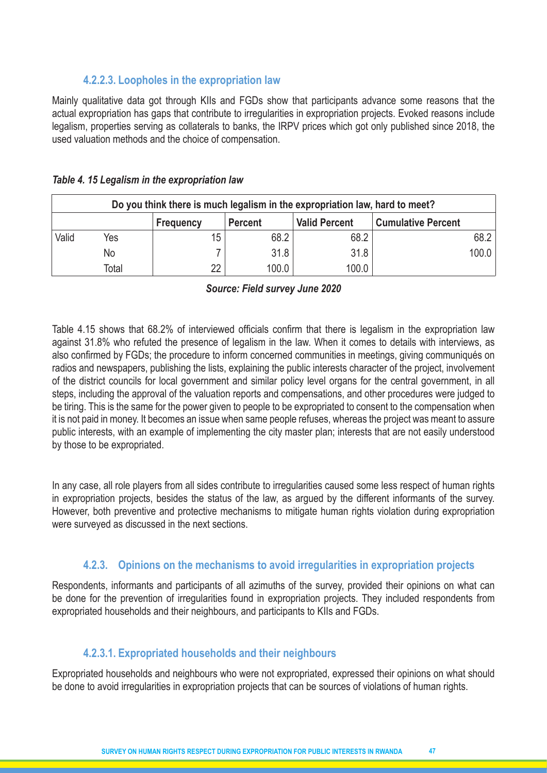# **4.2.2.3. Loopholes in the expropriation law**

Mainly qualitative data got through KIIs and FGDs show that participants advance some reasons that the actual expropriation has gaps that contribute to irregularities in expropriation projects. Evoked reasons include legalism, properties serving as collaterals to banks, the IRPV prices which got only published since 2018, the used valuation methods and the choice of compensation.

| Do you think there is much legalism in the expropriation law, hard to meet?             |       |    |       |       |       |  |  |  |  |
|-----------------------------------------------------------------------------------------|-------|----|-------|-------|-------|--|--|--|--|
| <b>Valid Percent</b><br><b>Cumulative Percent</b><br><b>Percent</b><br><b>Frequency</b> |       |    |       |       |       |  |  |  |  |
| Valid                                                                                   | Yes   | 15 | 68.2  | 68.2  | 68.2  |  |  |  |  |
|                                                                                         | No    |    | 31.8  | 31.8  | 100.0 |  |  |  |  |
|                                                                                         | Total | 22 | 100.0 | 100.0 |       |  |  |  |  |

#### *Table 4. 15 Legalism in the expropriation law*

#### *Source: Field survey June 2020*

Table 4.15 shows that 68.2% of interviewed officials confirm that there is legalism in the expropriation law against 31.8% who refuted the presence of legalism in the law. When it comes to details with interviews, as also confirmed by FGDs; the procedure to inform concerned communities in meetings, giving communiqués on radios and newspapers, publishing the lists, explaining the public interests character of the project, involvement of the district councils for local government and similar policy level organs for the central government, in all steps, including the approval of the valuation reports and compensations, and other procedures were judged to be tiring. This is the same for the power given to people to be expropriated to consent to the compensation when it is not paid in money. It becomes an issue when same people refuses, whereas the project was meant to assure public interests, with an example of implementing the city master plan; interests that are not easily understood by those to be expropriated.

In any case, all role players from all sides contribute to irregularities caused some less respect of human rights in expropriation projects, besides the status of the law, as argued by the different informants of the survey. However, both preventive and protective mechanisms to mitigate human rights violation during expropriation were surveyed as discussed in the next sections.

# **4.2.3. Opinions on the mechanisms to avoid irregularities in expropriation projects**

Respondents, informants and participants of all azimuths of the survey, provided their opinions on what can be done for the prevention of irregularities found in expropriation projects. They included respondents from expropriated households and their neighbours, and participants to KIIs and FGDs.

# **4.2.3.1. Expropriated households and their neighbours**

Expropriated households and neighbours who were not expropriated, expressed their opinions on what should be done to avoid irregularities in expropriation projects that can be sources of violations of human rights.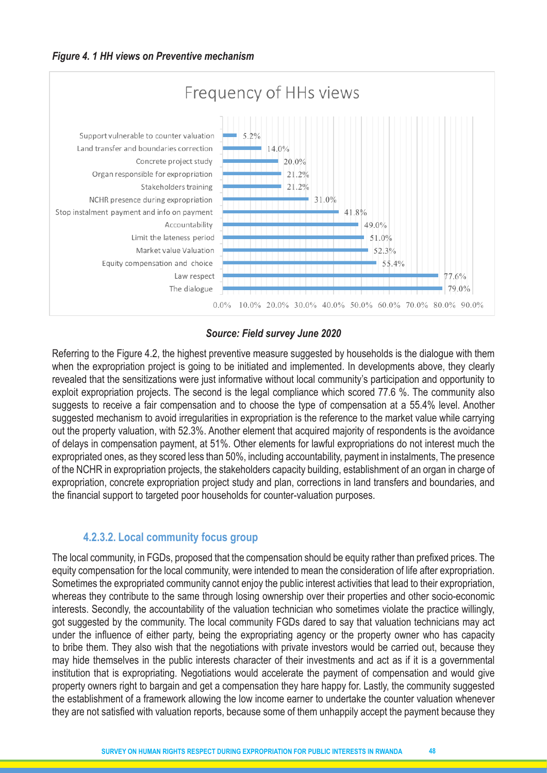

#### *Source: Field survey June 2020*

Referring to the Figure 4.2, the highest preventive measure suggested by households is the dialogue with them when the expropriation project is going to be initiated and implemented. In developments above, they clearly revealed that the sensitizations were just informative without local community's participation and opportunity to exploit expropriation projects. The second is the legal compliance which scored 77.6 %. The community also suggests to receive a fair compensation and to choose the type of compensation at a 55.4% level. Another suggested mechanism to avoid irregularities in expropriation is the reference to the market value while carrying out the property valuation, with 52.3%. Another element that acquired majority of respondents is the avoidance of delays in compensation payment, at 51%. Other elements for lawful expropriations do not interest much the expropriated ones, as they scored less than 50%, including accountability, payment in instalments, The presence of the NCHR in expropriation projects, the stakeholders capacity building, establishment of an organ in charge of expropriation, concrete expropriation project study and plan, corrections in land transfers and boundaries, and the financial support to targeted poor households for counter-valuation purposes.

#### **4.2.3.2. Local community focus group**

The local community, in FGDs, proposed that the compensation should be equity rather than prefixed prices. The equity compensation for the local community, were intended to mean the consideration of life after expropriation. Sometimes the expropriated community cannot enjoy the public interest activities that lead to their expropriation, whereas they contribute to the same through losing ownership over their properties and other socio-economic interests. Secondly, the accountability of the valuation technician who sometimes violate the practice willingly, got suggested by the community. The local community FGDs dared to say that valuation technicians may act under the influence of either party, being the expropriating agency or the property owner who has capacity to bribe them. They also wish that the negotiations with private investors would be carried out, because they may hide themselves in the public interests character of their investments and act as if it is a governmental institution that is expropriating. Negotiations would accelerate the payment of compensation and would give property owners right to bargain and get a compensation they hare happy for. Lastly, the community suggested the establishment of a framework allowing the low income earner to undertake the counter valuation whenever they are not satisfied with valuation reports, because some of them unhappily accept the payment because they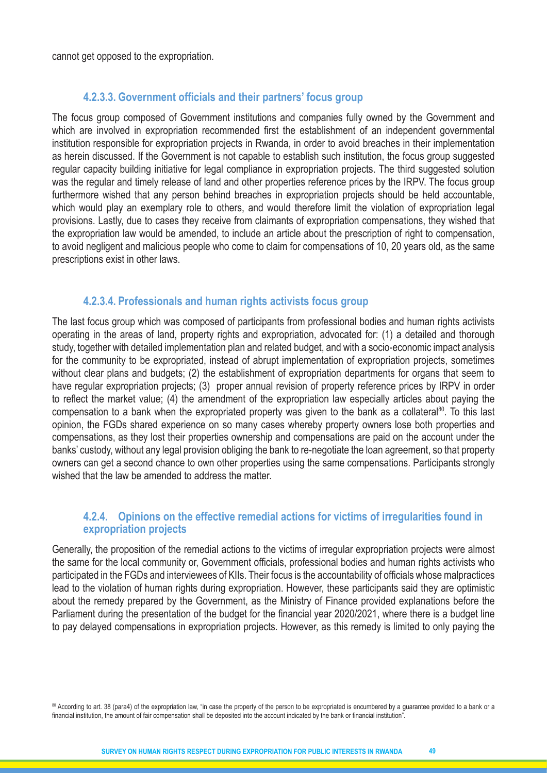cannot get opposed to the expropriation.

#### **4.2.3.3. Government officials and their partners' focus group**

The focus group composed of Government institutions and companies fully owned by the Government and which are involved in expropriation recommended first the establishment of an independent governmental institution responsible for expropriation projects in Rwanda, in order to avoid breaches in their implementation as herein discussed. If the Government is not capable to establish such institution, the focus group suggested regular capacity building initiative for legal compliance in expropriation projects. The third suggested solution was the regular and timely release of land and other properties reference prices by the IRPV. The focus group furthermore wished that any person behind breaches in expropriation projects should be held accountable, which would play an exemplary role to others, and would therefore limit the violation of expropriation legal provisions. Lastly, due to cases they receive from claimants of expropriation compensations, they wished that the expropriation law would be amended, to include an article about the prescription of right to compensation, to avoid negligent and malicious people who come to claim for compensations of 10, 20 years old, as the same prescriptions exist in other laws.

#### **4.2.3.4. Professionals and human rights activists focus group**

The last focus group which was composed of participants from professional bodies and human rights activists operating in the areas of land, property rights and expropriation, advocated for: (1) a detailed and thorough study, together with detailed implementation plan and related budget, and with a socio-economic impact analysis for the community to be expropriated, instead of abrupt implementation of expropriation projects, sometimes without clear plans and budgets; (2) the establishment of expropriation departments for organs that seem to have regular expropriation projects; (3) proper annual revision of property reference prices by IRPV in order to reflect the market value; (4) the amendment of the expropriation law especially articles about paying the compensation to a bank when the expropriated property was given to the bank as a collateral<sup>80</sup>. To this last opinion, the FGDs shared experience on so many cases whereby property owners lose both properties and compensations, as they lost their properties ownership and compensations are paid on the account under the banks' custody, without any legal provision obliging the bank to re-negotiate the loan agreement, so that property owners can get a second chance to own other properties using the same compensations. Participants strongly wished that the law be amended to address the matter.

#### **4.2.4. Opinions on the effective remedial actions for victims of irregularities found in expropriation projects**

Generally, the proposition of the remedial actions to the victims of irregular expropriation projects were almost the same for the local community or, Government officials, professional bodies and human rights activists who participated in the FGDs and interviewees of KIIs. Their focus is the accountability of officials whose malpractices lead to the violation of human rights during expropriation. However, these participants said they are optimistic about the remedy prepared by the Government, as the Ministry of Finance provided explanations before the Parliament during the presentation of the budget for the financial year 2020/2021, where there is a budget line to pay delayed compensations in expropriation projects. However, as this remedy is limited to only paying the

80 According to art. 38 (para4) of the expropriation law, "in case the property of the person to be expropriated is encumbered by a guarantee provided to a bank or a financial institution, the amount of fair compensation shall be deposited into the account indicated by the bank or financial institution".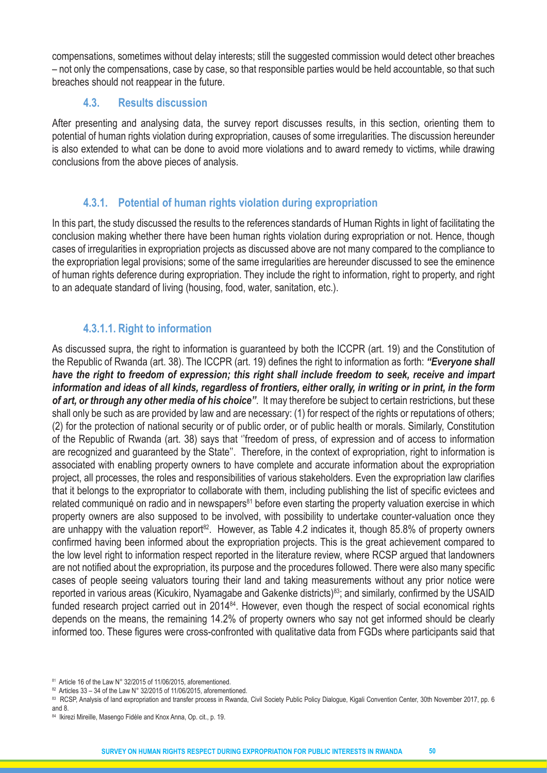compensations, sometimes without delay interests; still the suggested commission would detect other breaches – not only the compensations, case by case, so that responsible parties would be held accountable, so that such breaches should not reappear in the future.

# **4.3. Results discussion**

After presenting and analysing data, the survey report discusses results, in this section, orienting them to potential of human rights violation during expropriation, causes of some irregularities. The discussion hereunder is also extended to what can be done to avoid more violations and to award remedy to victims, while drawing conclusions from the above pieces of analysis.

# **4.3.1. Potential of human rights violation during expropriation**

In this part, the study discussed the results to the references standards of Human Rights in light of facilitating the conclusion making whether there have been human rights violation during expropriation or not. Hence, though cases of irregularities in expropriation projects as discussed above are not many compared to the compliance to the expropriation legal provisions; some of the same irregularities are hereunder discussed to see the eminence of human rights deference during expropriation. They include the right to information, right to property, and right to an adequate standard of living (housing, food, water, sanitation, etc.).

# **4.3.1.1. Right to information**

As discussed supra, the right to information is guaranteed by both the ICCPR (art. 19) and the Constitution of the Republic of Rwanda (art. 38). The ICCPR (art. 19) defines the right to information as forth: *"Everyone shall have the right to freedom of expression; this right shall include freedom to seek, receive and impart information and ideas of all kinds, regardless of frontiers, either orally, in writing or in print, in the form of art, or through any other media of his choice''*. It may therefore be subject to certain restrictions, but these shall only be such as are provided by law and are necessary: (1) for respect of the rights or reputations of others; (2) for the protection of national security or of public order, or of public health or morals. Similarly, Constitution of the Republic of Rwanda (art. 38) says that ''freedom of press, of expression and of access to information are recognized and guaranteed by the State''. Therefore, in the context of expropriation, right to information is associated with enabling property owners to have complete and accurate information about the expropriation project, all processes, the roles and responsibilities of various stakeholders. Even the expropriation law clarifies that it belongs to the expropriator to collaborate with them, including publishing the list of specific evictees and related communiqué on radio and in newspapers<sup>81</sup> before even starting the property valuation exercise in which property owners are also supposed to be involved, with possibility to undertake counter-valuation once they are unhappy with the valuation report<sup>82</sup>. However, as Table 4.2 indicates it, though 85.8% of property owners confirmed having been informed about the expropriation projects. This is the great achievement compared to the low level right to information respect reported in the literature review, where RCSP argued that landowners are not notified about the expropriation, its purpose and the procedures followed. There were also many specific cases of people seeing valuators touring their land and taking measurements without any prior notice were reported in various areas (Kicukiro, Nyamagabe and Gakenke districts)<sup>83</sup>; and similarly, confirmed by the USAID funded research project carried out in 2014<sup>84</sup>. However, even though the respect of social economical rights depends on the means, the remaining 14.2% of property owners who say not get informed should be clearly informed too. These figures were cross-confronted with qualitative data from FGDs where participants said that

<sup>81</sup> Article 16 of the Law N° 32/2015 of 11/06/2015, aforementioned.

<sup>&</sup>lt;sup>82</sup> Articles 33 – 34 of the Law N° 32/2015 of 11/06/2015, aforementioned.

<sup>83</sup> RCSP, Analysis of land expropriation and transfer process in Rwanda, Civil Society Public Policy Dialogue, Kigali Convention Center, 30th November 2017, pp. 6 and 8.

<sup>84</sup> Ikirezi Mireille, Masengo Fidèle and Knox Anna, Op. cit., p. 19.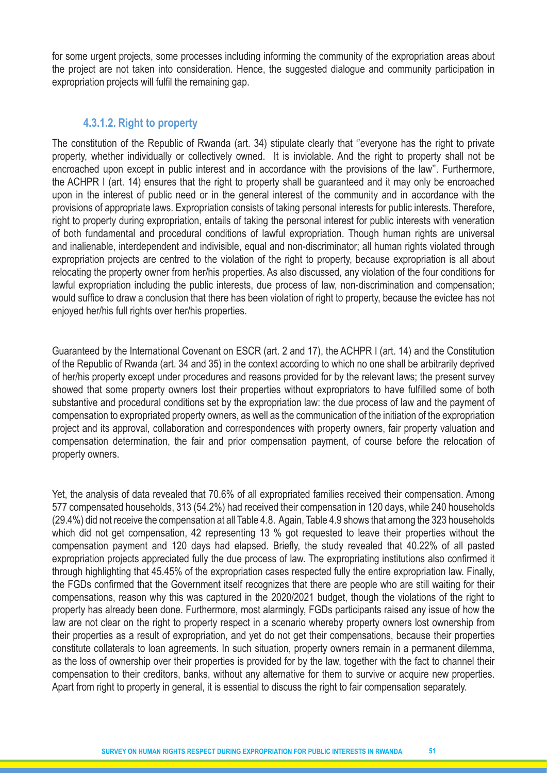for some urgent projects, some processes including informing the community of the expropriation areas about the project are not taken into consideration. Hence, the suggested dialogue and community participation in expropriation projects will fulfil the remaining gap.

#### **4.3.1.2. Right to property**

The constitution of the Republic of Rwanda (art. 34) stipulate clearly that ''everyone has the right to private property, whether individually or collectively owned. It is inviolable. And the right to property shall not be encroached upon except in public interest and in accordance with the provisions of the law''. Furthermore, the ACHPR I (art. 14) ensures that the right to property shall be guaranteed and it may only be encroached upon in the interest of public need or in the general interest of the community and in accordance with the provisions of appropriate laws. Expropriation consists of taking personal interests for public interests. Therefore, right to property during expropriation, entails of taking the personal interest for public interests with veneration of both fundamental and procedural conditions of lawful expropriation. Though human rights are universal and inalienable, interdependent and indivisible, equal and non-discriminator; all human rights violated through expropriation projects are centred to the violation of the right to property, because expropriation is all about relocating the property owner from her/his properties. As also discussed, any violation of the four conditions for lawful expropriation including the public interests, due process of law, non-discrimination and compensation; would suffice to draw a conclusion that there has been violation of right to property, because the evictee has not enjoyed her/his full rights over her/his properties.

Guaranteed by the International Covenant on ESCR (art. 2 and 17), the ACHPR I (art. 14) and the Constitution of the Republic of Rwanda (art. 34 and 35) in the context according to which no one shall be arbitrarily deprived of her/his property except under procedures and reasons provided for by the relevant laws; the present survey showed that some property owners lost their properties without expropriators to have fulfilled some of both substantive and procedural conditions set by the expropriation law: the due process of law and the payment of compensation to expropriated property owners, as well as the communication of the initiation of the expropriation project and its approval, collaboration and correspondences with property owners, fair property valuation and compensation determination, the fair and prior compensation payment, of course before the relocation of property owners.

Yet, the analysis of data revealed that 70.6% of all expropriated families received their compensation. Among 577 compensated households, 313 (54.2%) had received their compensation in 120 days, while 240 households (29.4%) did not receive the compensation at all Table 4.8. Again, Table 4.9 shows that among the 323 households which did not get compensation, 42 representing 13 % got requested to leave their properties without the compensation payment and 120 days had elapsed. Briefly, the study revealed that 40.22% of all pasted expropriation projects appreciated fully the due process of law. The expropriating institutions also confirmed it through highlighting that 45.45% of the expropriation cases respected fully the entire expropriation law. Finally, the FGDs confirmed that the Government itself recognizes that there are people who are still waiting for their compensations, reason why this was captured in the 2020/2021 budget, though the violations of the right to property has already been done. Furthermore, most alarmingly, FGDs participants raised any issue of how the law are not clear on the right to property respect in a scenario whereby property owners lost ownership from their properties as a result of expropriation, and yet do not get their compensations, because their properties constitute collaterals to loan agreements. In such situation, property owners remain in a permanent dilemma, as the loss of ownership over their properties is provided for by the law, together with the fact to channel their compensation to their creditors, banks, without any alternative for them to survive or acquire new properties. Apart from right to property in general, it is essential to discuss the right to fair compensation separately.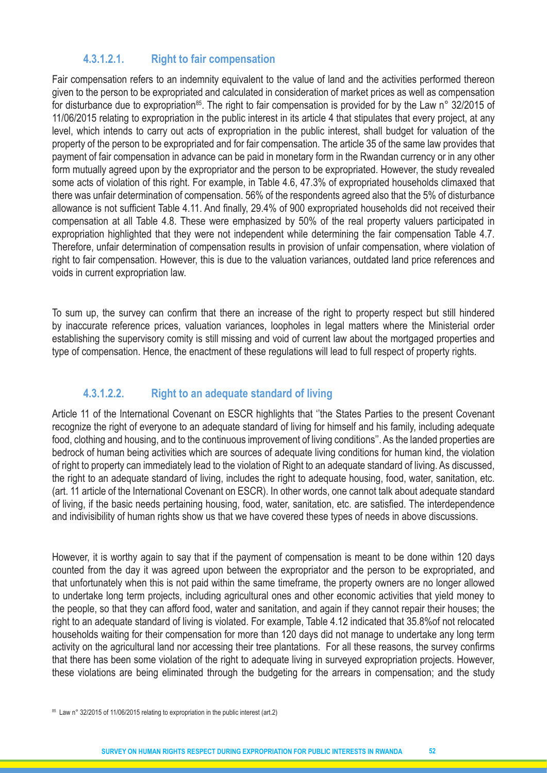# **4.3.1.2.1. Right to fair compensation**

Fair compensation refers to an indemnity equivalent to the value of land and the activities performed thereon given to the person to be expropriated and calculated in consideration of market prices as well as compensation for disturbance due to expropriation<sup>85</sup>. The right to fair compensation is provided for by the Law n° 32/2015 of 11/06/2015 relating to expropriation in the public interest in its article 4 that stipulates that every project, at any level, which intends to carry out acts of expropriation in the public interest, shall budget for valuation of the property of the person to be expropriated and for fair compensation. The article 35 of the same law provides that payment of fair compensation in advance can be paid in monetary form in the Rwandan currency or in any other form mutually agreed upon by the expropriator and the person to be expropriated. However, the study revealed some acts of violation of this right. For example, in Table 4.6, 47.3% of expropriated households climaxed that there was unfair determination of compensation. 56% of the respondents agreed also that the 5% of disturbance allowance is not sufficient Table 4.11. And finally, 29.4% of 900 expropriated households did not received their compensation at all Table 4.8. These were emphasized by 50% of the real property valuers participated in expropriation highlighted that they were not independent while determining the fair compensation Table 4.7. Therefore, unfair determination of compensation results in provision of unfair compensation, where violation of right to fair compensation. However, this is due to the valuation variances, outdated land price references and voids in current expropriation law.

To sum up, the survey can confirm that there an increase of the right to property respect but still hindered by inaccurate reference prices, valuation variances, loopholes in legal matters where the Ministerial order establishing the supervisory comity is still missing and void of current law about the mortgaged properties and type of compensation. Hence, the enactment of these regulations will lead to full respect of property rights.

# **4.3.1.2.2. Right to an adequate standard of living**

Article 11 of the International Covenant on ESCR highlights that ''the States Parties to the present Covenant recognize the right of everyone to an adequate standard of living for himself and his family, including adequate food, clothing and housing, and to the continuous improvement of living conditions''. As the landed properties are bedrock of human being activities which are sources of adequate living conditions for human kind, the violation of right to property can immediately lead to the violation of Right to an adequate standard of living. As discussed, the right to an adequate standard of living, includes the right to adequate housing, food, water, sanitation, etc. (art. 11 article of the International Covenant on ESCR). In other words, one cannot talk about adequate standard of living, if the basic needs pertaining housing, food, water, sanitation, etc. are satisfied. The interdependence and indivisibility of human rights show us that we have covered these types of needs in above discussions.

However, it is worthy again to say that if the payment of compensation is meant to be done within 120 days counted from the day it was agreed upon between the expropriator and the person to be expropriated, and that unfortunately when this is not paid within the same timeframe, the property owners are no longer allowed to undertake long term projects, including agricultural ones and other economic activities that yield money to the people, so that they can afford food, water and sanitation, and again if they cannot repair their houses; the right to an adequate standard of living is violated. For example, Table 4.12 indicated that 35.8%of not relocated households waiting for their compensation for more than 120 days did not manage to undertake any long term activity on the agricultural land nor accessing their tree plantations. For all these reasons, the survey confirms that there has been some violation of the right to adequate living in surveyed expropriation projects. However, these violations are being eliminated through the budgeting for the arrears in compensation; and the study

85 Law n° 32/2015 of 11/06/2015 relating to expropriation in the public interest (art.2)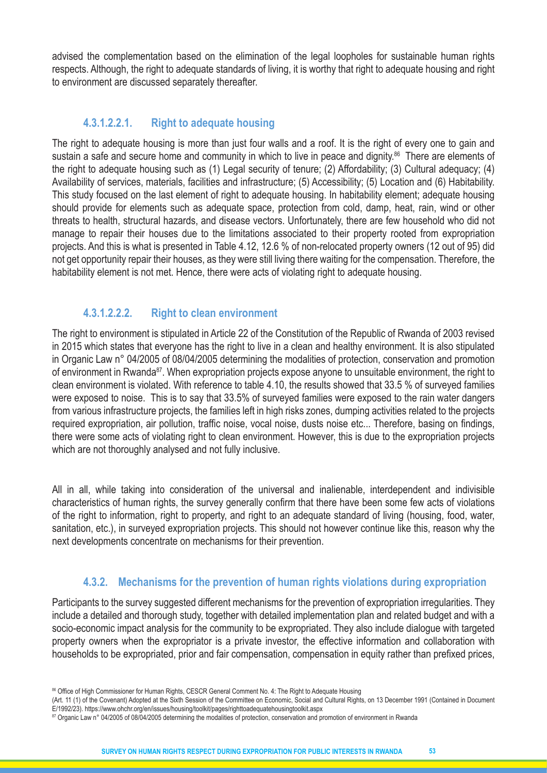advised the complementation based on the elimination of the legal loopholes for sustainable human rights respects. Although, the right to adequate standards of living, it is worthy that right to adequate housing and right to environment are discussed separately thereafter.

#### **4.3.1.2.2.1. Right to adequate housing**

The right to adequate housing is more than just four walls and a roof. It is the right of every one to gain and sustain a safe and secure home and community in which to live in peace and dignity.<sup>86</sup> There are elements of the right to adequate housing such as (1) Legal security of tenure; (2) Affordability; (3) Cultural adequacy; (4) Availability of services, materials, facilities and infrastructure; (5) Accessibility; (5) Location and (6) Habitability. This study focused on the last element of right to adequate housing. In habitability element; adequate housing should provide for elements such as adequate space, protection from cold, damp, heat, rain, wind or other threats to health, structural hazards, and disease vectors. Unfortunately, there are few household who did not manage to repair their houses due to the limitations associated to their property rooted from expropriation projects. And this is what is presented in Table 4.12, 12.6 % of non-relocated property owners (12 out of 95) did not get opportunity repair their houses, as they were still living there waiting for the compensation. Therefore, the habitability element is not met. Hence, there were acts of violating right to adequate housing.

# **4.3.1.2.2.2. Right to clean environment**

The right to environment is stipulated in Article 22 of the Constitution of the Republic of Rwanda of 2003 revised in 2015 which states that everyone has the right to live in a clean and healthy environment. It is also stipulated in Organic Law n° 04/2005 of 08/04/2005 determining the modalities of protection, conservation and promotion of environment in Rwanda<sup>87</sup>. When expropriation projects expose anyone to unsuitable environment, the right to clean environment is violated. With reference to table 4.10, the results showed that 33.5 % of surveyed families were exposed to noise. This is to say that 33.5% of surveyed families were exposed to the rain water dangers from various infrastructure projects, the families left in high risks zones, dumping activities related to the projects required expropriation, air pollution, traffic noise, vocal noise, dusts noise etc... Therefore, basing on findings, there were some acts of violating right to clean environment. However, this is due to the expropriation projects which are not thoroughly analysed and not fully inclusive.

All in all, while taking into consideration of the universal and inalienable, interdependent and indivisible characteristics of human rights, the survey generally confirm that there have been some few acts of violations of the right to information, right to property, and right to an adequate standard of living (housing, food, water, sanitation, etc.), in surveyed expropriation projects. This should not however continue like this, reason why the next developments concentrate on mechanisms for their prevention.

# **4.3.2. Mechanisms for the prevention of human rights violations during expropriation**

Participants to the survey suggested different mechanisms for the prevention of expropriation irregularities. They include a detailed and thorough study, together with detailed implementation plan and related budget and with a socio-economic impact analysis for the community to be expropriated. They also include dialogue with targeted property owners when the expropriator is a private investor, the effective information and collaboration with households to be expropriated, prior and fair compensation, compensation in equity rather than prefixed prices,

(Art. 11 (1) of the Covenant) Adopted at the Sixth Session of the Committee on Economic, Social and Cultural Rights, on 13 December 1991 (Contained in Document E/1992/23). https://www.ohchr.org/en/issues/housing/toolkit/pages/righttoadequatehousingtoolkit.aspx

<sup>86</sup> Office of High Commissioner for Human Rights, CESCR General Comment No. 4: The Right to Adequate Housing

<sup>87</sup> Organic Law n° 04/2005 of 08/04/2005 determining the modalities of protection, conservation and promotion of environment in Rwanda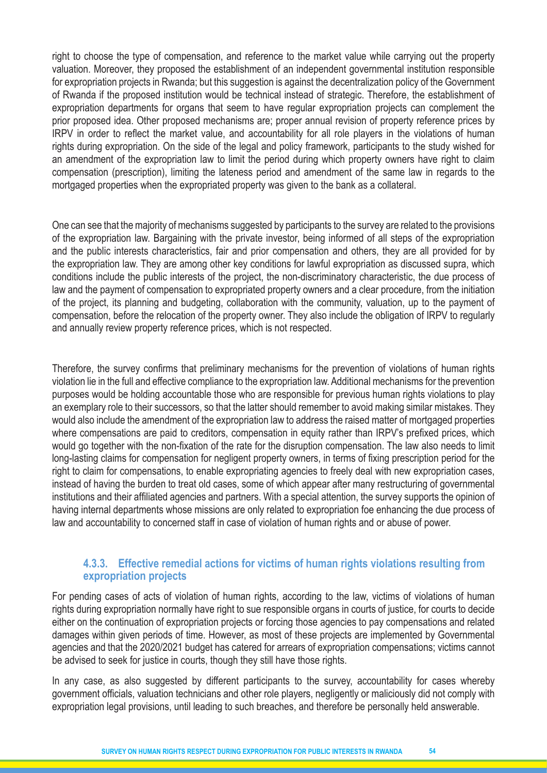right to choose the type of compensation, and reference to the market value while carrying out the property valuation. Moreover, they proposed the establishment of an independent governmental institution responsible for expropriation projects in Rwanda; but this suggestion is against the decentralization policy of the Government of Rwanda if the proposed institution would be technical instead of strategic. Therefore, the establishment of expropriation departments for organs that seem to have regular expropriation projects can complement the prior proposed idea. Other proposed mechanisms are; proper annual revision of property reference prices by IRPV in order to reflect the market value, and accountability for all role players in the violations of human rights during expropriation. On the side of the legal and policy framework, participants to the study wished for an amendment of the expropriation law to limit the period during which property owners have right to claim compensation (prescription), limiting the lateness period and amendment of the same law in regards to the mortgaged properties when the expropriated property was given to the bank as a collateral.

One can see that the majority of mechanisms suggested by participants to the survey are related to the provisions of the expropriation law. Bargaining with the private investor, being informed of all steps of the expropriation and the public interests characteristics, fair and prior compensation and others, they are all provided for by the expropriation law. They are among other key conditions for lawful expropriation as discussed supra, which conditions include the public interests of the project, the non-discriminatory characteristic, the due process of law and the payment of compensation to expropriated property owners and a clear procedure, from the initiation of the project, its planning and budgeting, collaboration with the community, valuation, up to the payment of compensation, before the relocation of the property owner. They also include the obligation of IRPV to regularly and annually review property reference prices, which is not respected.

Therefore, the survey confirms that preliminary mechanisms for the prevention of violations of human rights violation lie in the full and effective compliance to the expropriation law. Additional mechanisms for the prevention purposes would be holding accountable those who are responsible for previous human rights violations to play an exemplary role to their successors, so that the latter should remember to avoid making similar mistakes. They would also include the amendment of the expropriation law to address the raised matter of mortgaged properties where compensations are paid to creditors, compensation in equity rather than IRPV's prefixed prices, which would go together with the non-fixation of the rate for the disruption compensation. The law also needs to limit long-lasting claims for compensation for negligent property owners, in terms of fixing prescription period for the right to claim for compensations, to enable expropriating agencies to freely deal with new expropriation cases, instead of having the burden to treat old cases, some of which appear after many restructuring of governmental institutions and their affiliated agencies and partners. With a special attention, the survey supports the opinion of having internal departments whose missions are only related to expropriation foe enhancing the due process of law and accountability to concerned staff in case of violation of human rights and or abuse of power.

#### **4.3.3. Effective remedial actions for victims of human rights violations resulting from expropriation projects**

For pending cases of acts of violation of human rights, according to the law, victims of violations of human rights during expropriation normally have right to sue responsible organs in courts of justice, for courts to decide either on the continuation of expropriation projects or forcing those agencies to pay compensations and related damages within given periods of time. However, as most of these projects are implemented by Governmental agencies and that the 2020/2021 budget has catered for arrears of expropriation compensations; victims cannot be advised to seek for justice in courts, though they still have those rights.

In any case, as also suggested by different participants to the survey, accountability for cases whereby government officials, valuation technicians and other role players, negligently or maliciously did not comply with expropriation legal provisions, until leading to such breaches, and therefore be personally held answerable.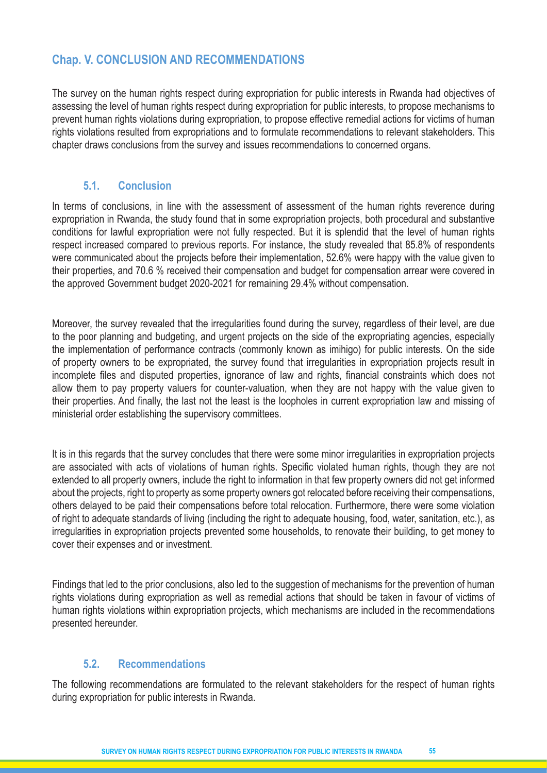# **Chap. V. CONCLUSION AND RECOMMENDATIONS**

The survey on the human rights respect during expropriation for public interests in Rwanda had objectives of assessing the level of human rights respect during expropriation for public interests, to propose mechanisms to prevent human rights violations during expropriation, to propose effective remedial actions for victims of human rights violations resulted from expropriations and to formulate recommendations to relevant stakeholders. This chapter draws conclusions from the survey and issues recommendations to concerned organs.

# **5.1. Conclusion**

In terms of conclusions, in line with the assessment of assessment of the human rights reverence during expropriation in Rwanda, the study found that in some expropriation projects, both procedural and substantive conditions for lawful expropriation were not fully respected. But it is splendid that the level of human rights respect increased compared to previous reports. For instance, the study revealed that 85.8% of respondents were communicated about the projects before their implementation, 52.6% were happy with the value given to their properties, and 70.6 % received their compensation and budget for compensation arrear were covered in the approved Government budget 2020-2021 for remaining 29.4% without compensation.

Moreover, the survey revealed that the irregularities found during the survey, regardless of their level, are due to the poor planning and budgeting, and urgent projects on the side of the expropriating agencies, especially the implementation of performance contracts (commonly known as imihigo) for public interests. On the side of property owners to be expropriated, the survey found that irregularities in expropriation projects result in incomplete files and disputed properties, ignorance of law and rights, financial constraints which does not allow them to pay property valuers for counter-valuation, when they are not happy with the value given to their properties. And finally, the last not the least is the loopholes in current expropriation law and missing of ministerial order establishing the supervisory committees.

It is in this regards that the survey concludes that there were some minor irregularities in expropriation projects are associated with acts of violations of human rights. Specific violated human rights, though they are not extended to all property owners, include the right to information in that few property owners did not get informed about the projects, right to property as some property owners got relocated before receiving their compensations, others delayed to be paid their compensations before total relocation. Furthermore, there were some violation of right to adequate standards of living (including the right to adequate housing, food, water, sanitation, etc.), as irregularities in expropriation projects prevented some households, to renovate their building, to get money to cover their expenses and or investment.

Findings that led to the prior conclusions, also led to the suggestion of mechanisms for the prevention of human rights violations during expropriation as well as remedial actions that should be taken in favour of victims of human rights violations within expropriation projects, which mechanisms are included in the recommendations presented hereunder.

# **5.2. Recommendations**

The following recommendations are formulated to the relevant stakeholders for the respect of human rights during expropriation for public interests in Rwanda.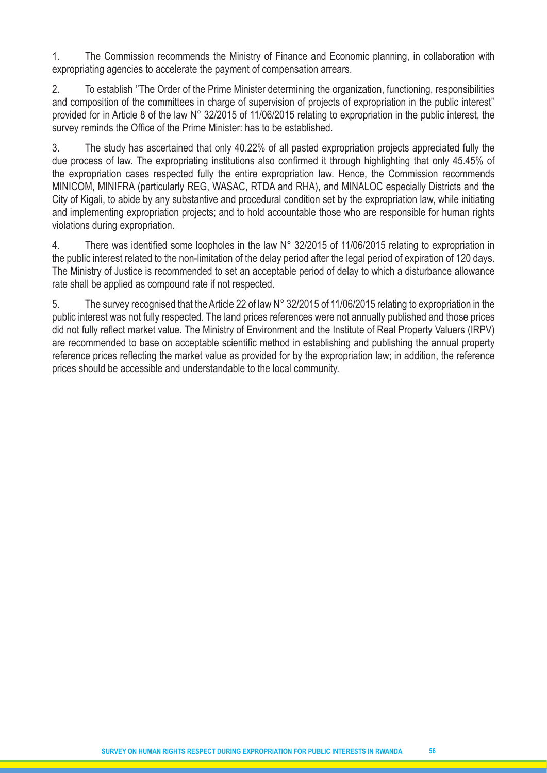1. The Commission recommends the Ministry of Finance and Economic planning, in collaboration with expropriating agencies to accelerate the payment of compensation arrears.

2. To establish ''The Order of the Prime Minister determining the organization, functioning, responsibilities and composition of the committees in charge of supervision of projects of expropriation in the public interest'' provided for in Article 8 of the law N° 32/2015 of 11/06/2015 relating to expropriation in the public interest, the survey reminds the Office of the Prime Minister: has to be established.

3. The study has ascertained that only 40.22% of all pasted expropriation projects appreciated fully the due process of law. The expropriating institutions also confirmed it through highlighting that only 45.45% of the expropriation cases respected fully the entire expropriation law. Hence, the Commission recommends MINICOM, MINIFRA (particularly REG, WASAC, RTDA and RHA), and MINALOC especially Districts and the City of Kigali, to abide by any substantive and procedural condition set by the expropriation law, while initiating and implementing expropriation projects; and to hold accountable those who are responsible for human rights violations during expropriation.

4. There was identified some loopholes in the law N° 32/2015 of 11/06/2015 relating to expropriation in the public interest related to the non-limitation of the delay period after the legal period of expiration of 120 days. The Ministry of Justice is recommended to set an acceptable period of delay to which a disturbance allowance rate shall be applied as compound rate if not respected.

5. The survey recognised that the Article 22 of law N° 32/2015 of 11/06/2015 relating to expropriation in the public interest was not fully respected. The land prices references were not annually published and those prices did not fully reflect market value. The Ministry of Environment and the Institute of Real Property Valuers (IRPV) are recommended to base on acceptable scientific method in establishing and publishing the annual property reference prices reflecting the market value as provided for by the expropriation law; in addition, the reference prices should be accessible and understandable to the local community.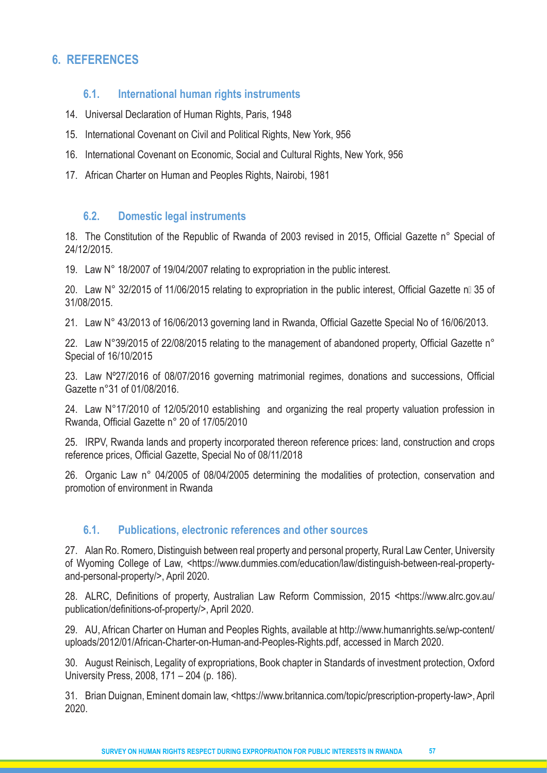# **6. REFERENCES**

#### **6.1. International human rights instruments**

- 14. Universal Declaration of Human Rights, Paris, 1948
- 15. International Covenant on Civil and Political Rights, New York, 956
- 16. International Covenant on Economic, Social and Cultural Rights, New York, 956
- 17. African Charter on Human and Peoples Rights, Nairobi, 1981

#### **6.2. Domestic legal instruments**

18. The Constitution of the Republic of Rwanda of 2003 revised in 2015, Official Gazette n° Special of 24/12/2015.

19. Law N° 18/2007 of 19/04/2007 relating to expropriation in the public interest.

20. Law N° 32/2015 of 11/06/2015 relating to expropriation in the public interest, Official Gazette natio 35 of 31/08/2015.

21. Law N° 43/2013 of 16/06/2013 governing land in Rwanda, Official Gazette Special No of 16/06/2013.

22. Law N°39/2015 of 22/08/2015 relating to the management of abandoned property, Official Gazette n° Special of 16/10/2015

23. Law Nº27/2016 of 08/07/2016 governing matrimonial regimes, donations and successions, Official Gazette n°31 of 01/08/2016.

24. Law N°17/2010 of 12/05/2010 establishing and organizing the real property valuation profession in Rwanda, Official Gazette n° 20 of 17/05/2010

25. IRPV, Rwanda lands and property incorporated thereon reference prices: land, construction and crops reference prices, Official Gazette, Special No of 08/11/2018

26. Organic Law n° 04/2005 of 08/04/2005 determining the modalities of protection, conservation and promotion of environment in Rwanda

# **6.1. Publications, electronic references and other sources**

27. Alan Ro. Romero, Distinguish between real property and personal property, Rural Law Center, University of Wyoming College of Law, <https://www.dummies.com/education/law/distinguish-between-real-propertyand-personal-property/>, April 2020.

28. ALRC, Definitions of property, Australian Law Reform Commission, 2015 <https://www.alrc.gov.au/ publication/definitions-of-property/>, April 2020.

29. AU, African Charter on Human and Peoples Rights, available at http://www.humanrights.se/wp-content/ uploads/2012/01/African-Charter-on-Human-and-Peoples-Rights.pdf, accessed in March 2020.

30. August Reinisch, Legality of expropriations, Book chapter in Standards of investment protection, Oxford University Press, 2008, 171 – 204 (p. 186).

31. Brian Duignan, Eminent domain law, <https://www.britannica.com/topic/prescription-property-law>, April 2020.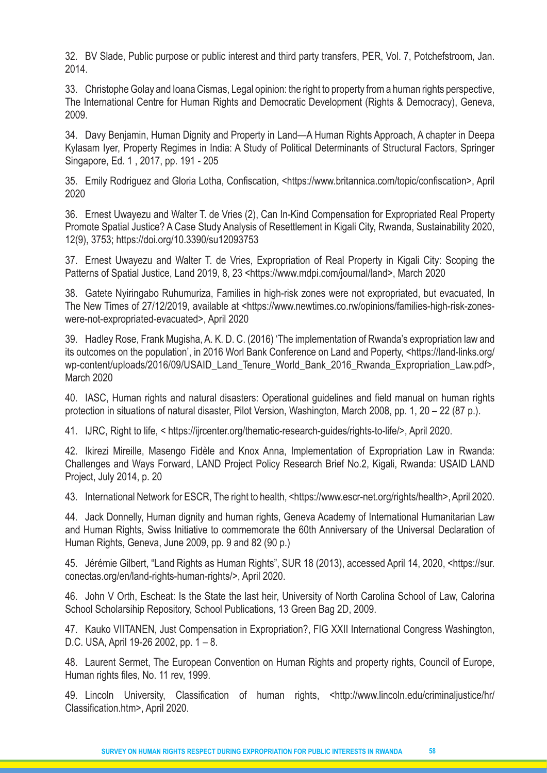32. BV Slade, Public purpose or public interest and third party transfers, PER, Vol. 7, Potchefstroom, Jan. 2014.

33. Christophe Golay and Ioana Cismas, Legal opinion: the right to property from a human rights perspective, The International Centre for Human Rights and Democratic Development (Rights & Democracy), Geneva, 2009.

34. Davy Benjamin, Human Dignity and Property in Land—A Human Rights Approach, A chapter in Deepa Kylasam Iyer, Property Regimes in India: A Study of Political Determinants of Structural Factors, Springer Singapore, Ed. 1 , 2017, pp. 191 - 205

35. Emily Rodriguez and Gloria Lotha, Confiscation, <https://www.britannica.com/topic/confiscation>, April 2020

36. Ernest Uwayezu and Walter T. de Vries (2), Can In-Kind Compensation for Expropriated Real Property Promote Spatial Justice? A Case Study Analysis of Resettlement in Kigali City, Rwanda, Sustainability 2020, 12(9), 3753; https://doi.org/10.3390/su12093753

37. Ernest Uwayezu and Walter T. de Vries, Expropriation of Real Property in Kigali City: Scoping the Patterns of Spatial Justice, Land 2019, 8, 23 <https://www.mdpi.com/journal/land>, March 2020

38. Gatete Nyiringabo Ruhumuriza, Families in high-risk zones were not expropriated, but evacuated, In The New Times of 27/12/2019, available at <https://www.newtimes.co.rw/opinions/families-high-risk-zoneswere-not-expropriated-evacuated>, April 2020

39. Hadley Rose, Frank Mugisha, A. K. D. C. (2016) 'The implementation of Rwanda's expropriation law and its outcomes on the population', in 2016 Worl Bank Conference on Land and Poperty, <https://land-links.org/ wp-content/uploads/2016/09/USAID\_Land\_Tenure\_World\_Bank\_2016\_Rwanda\_Expropriation\_Law.pdf>, March 2020

40. IASC, Human rights and natural disasters: Operational guidelines and field manual on human rights protection in situations of natural disaster, Pilot Version, Washington, March 2008, pp. 1, 20 – 22 (87 p.).

41. IJRC, Right to life, < https://ijrcenter.org/thematic-research-guides/rights-to-life/>, April 2020.

42. Ikirezi Mireille, Masengo Fidèle and Knox Anna, Implementation of Expropriation Law in Rwanda: Challenges and Ways Forward, LAND Project Policy Research Brief No.2, Kigali, Rwanda: USAID LAND Project, July 2014, p. 20

43. International Network for ESCR, The right to health, <https://www.escr-net.org/rights/health>, April 2020.

44. Jack Donnelly, Human dignity and human rights, Geneva Academy of International Humanitarian Law and Human Rights, Swiss Initiative to commemorate the 60th Anniversary of the Universal Declaration of Human Rights, Geneva, June 2009, pp. 9 and 82 (90 p.)

45. Jérémie Gilbert, "Land Rights as Human Rights", SUR 18 (2013), accessed April 14, 2020, <https://sur. conectas.org/en/land-rights-human-rights/>, April 2020.

46. John V Orth, Escheat: Is the State the last heir, University of North Carolina School of Law, Calorina School Scholarsihip Repository, School Publications, 13 Green Bag 2D, 2009.

47. Kauko VIITANEN, Just Compensation in Expropriation?, FIG XXII International Congress Washington, D.C. USA, April 19-26 2002, pp. 1 – 8.

48. Laurent Sermet, The European Convention on Human Rights and property rights, Council of Europe, Human rights files, No. 11 rev, 1999.

49. Lincoln University, Classification of human rights, <http://www.lincoln.edu/criminaljustice/hr/ Classification.htm>, April 2020.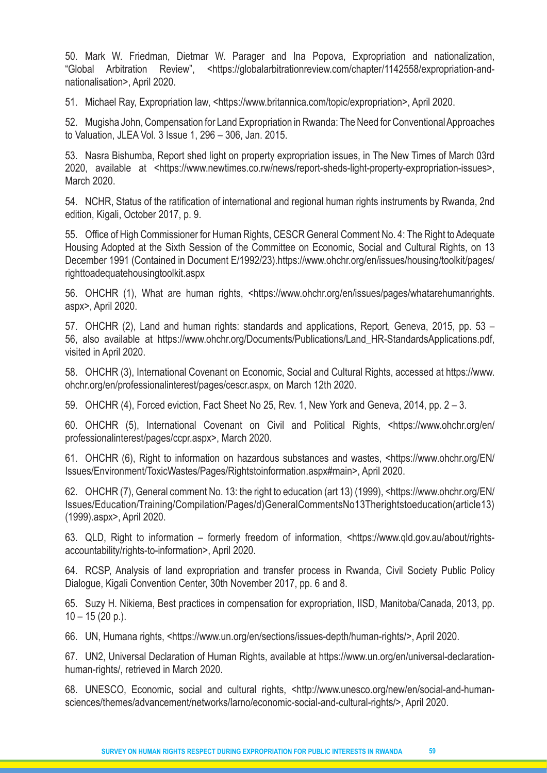50. Mark W. Friedman, Dietmar W. Parager and Ina Popova, Expropriation and nationalization, "Global Arbitration Review", <https://globalarbitrationreview.com/chapter/1142558/expropriation-andnationalisation>, April 2020.

51. Michael Ray, Expropriation law, <https://www.britannica.com/topic/expropriation>, April 2020.

52. Mugisha John, Compensation for Land Expropriation in Rwanda: The Need for Conventional Approaches to Valuation, JLEA Vol. 3 Issue 1, 296 – 306, Jan. 2015.

53. Nasra Bishumba, Report shed light on property expropriation issues, in The New Times of March 03rd 2020, available at <https://www.newtimes.co.rw/news/report-sheds-light-property-expropriation-issues>, March 2020.

54. NCHR, Status of the ratification of international and regional human rights instruments by Rwanda, 2nd edition, Kigali, October 2017, p. 9.

55. Office of High Commissioner for Human Rights, CESCR General Comment No. 4: The Right to Adequate Housing Adopted at the Sixth Session of the Committee on Economic, Social and Cultural Rights, on 13 December 1991 (Contained in Document E/1992/23).https://www.ohchr.org/en/issues/housing/toolkit/pages/ righttoadequatehousingtoolkit.aspx

56. OHCHR (1), What are human rights, <https://www.ohchr.org/en/issues/pages/whatarehumanrights. aspx>, April 2020.

57. OHCHR (2), Land and human rights: standards and applications, Report, Geneva, 2015, pp. 53 – 56, also available at https://www.ohchr.org/Documents/Publications/Land\_HR-StandardsApplications.pdf, visited in April 2020.

58. OHCHR (3), International Covenant on Economic, Social and Cultural Rights, accessed at https://www. ohchr.org/en/professionalinterest/pages/cescr.aspx, on March 12th 2020.

59. OHCHR (4), Forced eviction, Fact Sheet No 25, Rev. 1, New York and Geneva, 2014, pp. 2 – 3.

60. OHCHR (5), International Covenant on Civil and Political Rights, <https://www.ohchr.org/en/ professionalinterest/pages/ccpr.aspx>, March 2020.

61. OHCHR (6), Right to information on hazardous substances and wastes, <https://www.ohchr.org/EN/ Issues/Environment/ToxicWastes/Pages/Rightstoinformation.aspx#main>, April 2020.

62. OHCHR (7), General comment No. 13: the right to education (art 13) (1999), <https://www.ohchr.org/EN/ Issues/Education/Training/Compilation/Pages/d)GeneralCommentsNo13Therightstoeducation(article13) (1999).aspx>, April 2020.

63. QLD, Right to information – formerly freedom of information, <https://www.qld.gov.au/about/rightsaccountability/rights-to-information>, April 2020.

64. RCSP, Analysis of land expropriation and transfer process in Rwanda, Civil Society Public Policy Dialogue, Kigali Convention Center, 30th November 2017, pp. 6 and 8.

65. Suzy H. Nikiema, Best practices in compensation for expropriation, IISD, Manitoba/Canada, 2013, pp.  $10 - 15 (20 p)$ .

66. UN, Humana rights, <https://www.un.org/en/sections/issues-depth/human-rights/>, April 2020.

67. UN2, Universal Declaration of Human Rights, available at https://www.un.org/en/universal-declarationhuman-rights/, retrieved in March 2020.

68. UNESCO, Economic, social and cultural rights, <http://www.unesco.org/new/en/social-and-humansciences/themes/advancement/networks/larno/economic-social-and-cultural-rights/>, April 2020.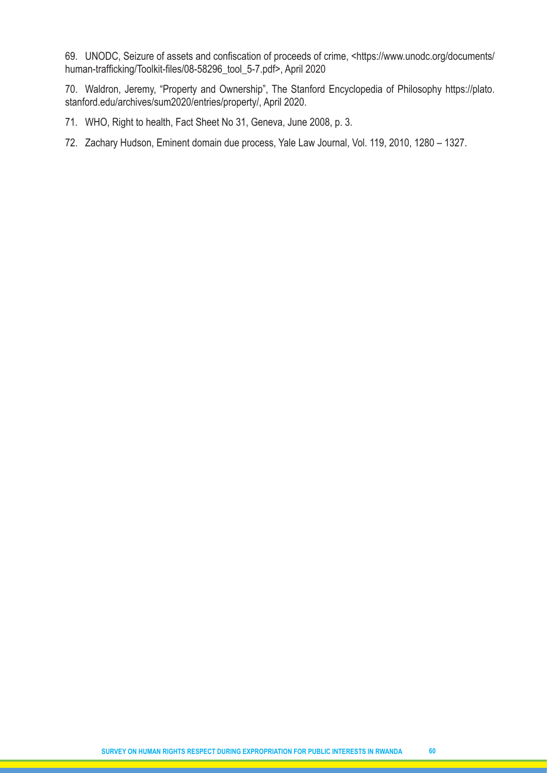69. UNODC, Seizure of assets and confiscation of proceeds of crime, <https://www.unodc.org/documents/ human-trafficking/Toolkit-files/08-58296\_tool\_5-7.pdf>, April 2020

70. Waldron, Jeremy, "Property and Ownership", The Stanford Encyclopedia of Philosophy https://plato. stanford.edu/archives/sum2020/entries/property/, April 2020.

71. WHO, Right to health, Fact Sheet No 31, Geneva, June 2008, p. 3.

72. Zachary Hudson, Eminent domain due process, Yale Law Journal, Vol. 119, 2010, 1280 – 1327.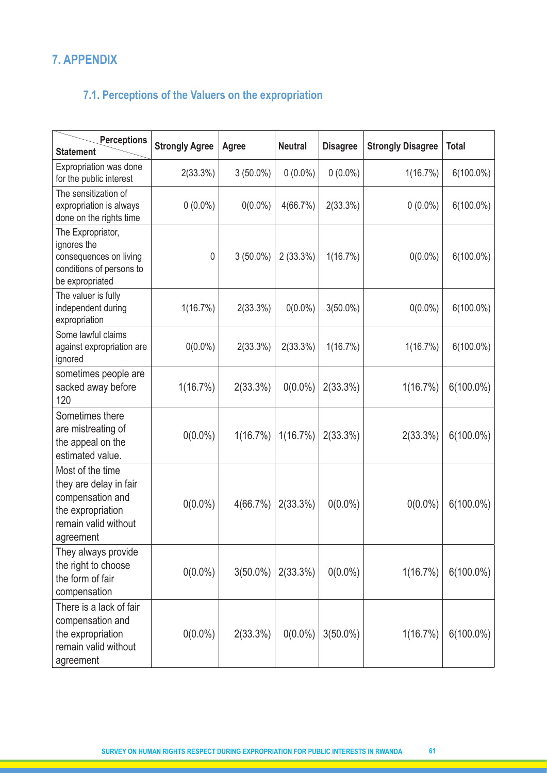# **7. APPENDIX**

# **7.1. Perceptions of the Valuers on the expropriation**

| <b>Perceptions</b><br><b>Statement</b>                                                                                   | <b>Strongly Agree</b> | <b>Agree</b> | <b>Neutral</b> | <b>Disagree</b> | <b>Strongly Disagree</b> | <b>Total</b> |
|--------------------------------------------------------------------------------------------------------------------------|-----------------------|--------------|----------------|-----------------|--------------------------|--------------|
| Expropriation was done<br>for the public interest                                                                        | 2(33.3%)              | $3(50.0\%)$  | $0(0.0\%)$     | $0(0.0\%)$      | 1(16.7%)                 | $6(100.0\%)$ |
| The sensitization of<br>expropriation is always<br>done on the rights time                                               | $0(0.0\%)$            | $0(0.0\%)$   | 4(66.7%)       | 2(33.3%)        | $0(0.0\%)$               | $6(100.0\%)$ |
| The Expropriator,<br>ignores the<br>consequences on living<br>conditions of persons to<br>be expropriated                | 0                     | $3(50.0\%)$  | $2(33.3\%)$    | 1(16.7%)        | $0(0.0\%)$               | $6(100.0\%)$ |
| The valuer is fully<br>independent during<br>expropriation                                                               | 1(16.7%)              | 2(33.3%)     | $0(0.0\%)$     | $3(50.0\%)$     | $0(0.0\%)$               | $6(100.0\%)$ |
| Some lawful claims<br>against expropriation are<br>ignored                                                               | $0(0.0\%)$            | 2(33.3%)     | 2(33.3%)       | 1(16.7%)        | 1(16.7%)                 | $6(100.0\%)$ |
| sometimes people are<br>sacked away before<br>120                                                                        | 1(16.7%)              | 2(33.3%)     | $0(0.0\%)$     | 2(33.3%)        | 1(16.7%)                 | $6(100.0\%)$ |
| Sometimes there<br>are mistreating of<br>the appeal on the<br>estimated value.                                           | $0(0.0\%)$            | 1(16.7%)     | 1(16.7%)       | 2(33.3%)        | 2(33.3%)                 | $6(100.0\%)$ |
| Most of the time<br>they are delay in fair<br>compensation and<br>the expropriation<br>remain valid without<br>agreement | $0(0.0\%)$            | 4(66.7%)     | 2(33.3%)       | $0(0.0\%)$      | $0(0.0\%)$               | $6(100.0\%)$ |
| They always provide<br>the right to choose<br>the form of fair<br>compensation                                           | $0(0.0\%)$            | $3(50.0\%)$  | 2(33.3%)       | $0(0.0\%)$      | 1(16.7%)                 | $6(100.0\%)$ |
| There is a lack of fair<br>compensation and<br>the expropriation<br>remain valid without<br>agreement                    | $0(0.0\%)$            | 2(33.3%)     | $0(0.0\%)$     | $3(50.0\%)$     | 1(16.7%)                 | $6(100.0\%)$ |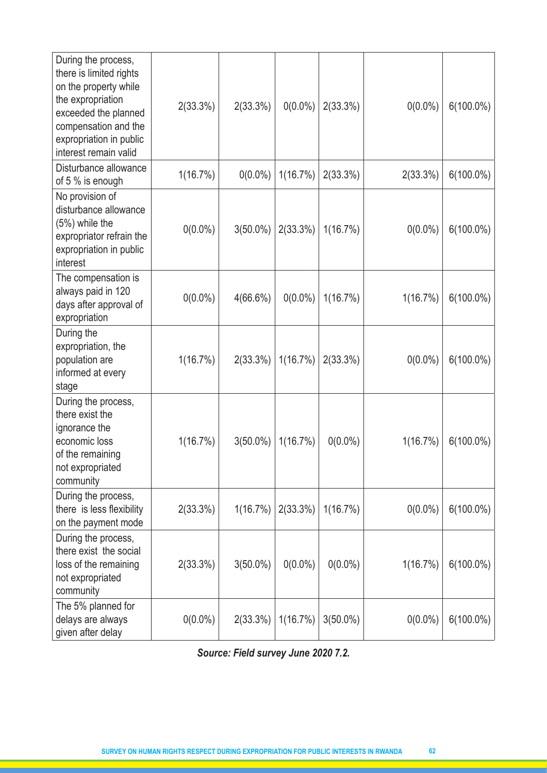| During the process,<br>there is limited rights<br>on the property while<br>the expropriation<br>exceeded the planned<br>compensation and the<br>expropriation in public<br>interest remain valid | 2(33.3%)   | $2(33.3\%)$ | $0(0.0\%)$ | 2(33.3%)    | $0(0.0\%)$ | $6(100.0\%)$ |
|--------------------------------------------------------------------------------------------------------------------------------------------------------------------------------------------------|------------|-------------|------------|-------------|------------|--------------|
| Disturbance allowance<br>of 5 % is enough                                                                                                                                                        | 1(16.7%)   | $0(0.0\%)$  | 1(16.7%)   | 2(33.3%)    | 2(33.3%)   | $6(100.0\%)$ |
| No provision of<br>disturbance allowance<br>(5%) while the<br>expropriator refrain the<br>expropriation in public<br>interest                                                                    | $0(0.0\%)$ | $3(50.0\%)$ | 2(33.3%)   | 1(16.7%)    | $0(0.0\%)$ | $6(100.0\%)$ |
| The compensation is<br>always paid in 120<br>days after approval of<br>expropriation                                                                                                             | $0(0.0\%)$ | 4(66.6%)    | $0(0.0\%)$ | 1(16.7%)    | 1(16.7%)   | $6(100.0\%)$ |
| During the<br>expropriation, the<br>population are<br>informed at every<br>stage                                                                                                                 | 1(16.7%)   | 2(33.3%)    | 1(16.7%)   | 2(33.3%)    | $0(0.0\%)$ | $6(100.0\%)$ |
| During the process,<br>there exist the<br>ignorance the<br>economic loss<br>of the remaining<br>not expropriated<br>community                                                                    | 1(16.7%)   | $3(50.0\%)$ | 1(16.7%)   | $0(0.0\%)$  | 1(16.7%)   | $6(100.0\%)$ |
| During the process,<br>there is less flexibility<br>on the payment mode                                                                                                                          | 2(33.3%)   | 1(16.7%)    | 2(33.3%)   | $1(16.7\%)$ | $0(0.0\%)$ | $6(100.0\%)$ |
| During the process,<br>there exist the social<br>loss of the remaining<br>not expropriated<br>community                                                                                          | 2(33.3%)   | $3(50.0\%)$ | $0(0.0\%)$ | $0(0.0\%)$  | 1(16.7%)   | $6(100.0\%)$ |
| The 5% planned for<br>delays are always<br>given after delay                                                                                                                                     | $0(0.0\%)$ | 2(33.3%)    | 1(16.7%)   | $3(50.0\%)$ | $0(0.0\%)$ | $6(100.0\%)$ |

*Source: Field survey June 2020 7.2.*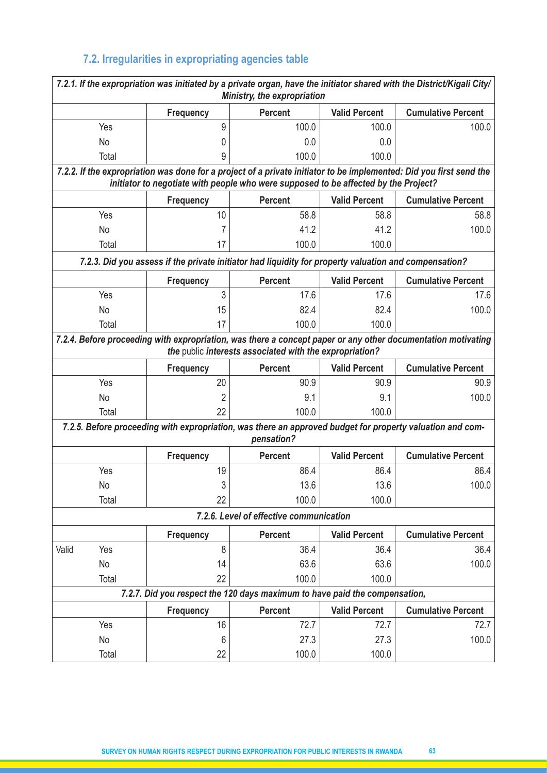# **7.2. Irregularities in expropriating agencies table**

|       |                                                                                                                                                                                                            |                  | Ministry, the expropriation                                                                                             |                      | 7.2.1. If the expropriation was initiated by a private organ, have the initiator shared with the District/Kigali City/ |  |  |  |  |  |
|-------|------------------------------------------------------------------------------------------------------------------------------------------------------------------------------------------------------------|------------------|-------------------------------------------------------------------------------------------------------------------------|----------------------|------------------------------------------------------------------------------------------------------------------------|--|--|--|--|--|
|       |                                                                                                                                                                                                            | <b>Frequency</b> | <b>Percent</b>                                                                                                          | <b>Valid Percent</b> | <b>Cumulative Percent</b>                                                                                              |  |  |  |  |  |
|       | Yes                                                                                                                                                                                                        | 9                | 100.0                                                                                                                   | 100.0                | 100.0                                                                                                                  |  |  |  |  |  |
|       | <b>No</b>                                                                                                                                                                                                  | 0                | 0.0                                                                                                                     | 0.0                  |                                                                                                                        |  |  |  |  |  |
|       | Total                                                                                                                                                                                                      | 9                | 100.0                                                                                                                   | 100.0                |                                                                                                                        |  |  |  |  |  |
|       | 7.2.2. If the expropriation was done for a project of a private initiator to be implemented: Did you first send the<br>initiator to negotiate with people who were supposed to be affected by the Project? |                  |                                                                                                                         |                      |                                                                                                                        |  |  |  |  |  |
|       |                                                                                                                                                                                                            | Frequency        | <b>Percent</b>                                                                                                          | <b>Valid Percent</b> | <b>Cumulative Percent</b>                                                                                              |  |  |  |  |  |
|       | Yes                                                                                                                                                                                                        | 10               | 58.8                                                                                                                    | 58.8                 | 58.8                                                                                                                   |  |  |  |  |  |
|       | No                                                                                                                                                                                                         | 7                | 41.2                                                                                                                    | 41.2                 | 100.0                                                                                                                  |  |  |  |  |  |
|       | Total                                                                                                                                                                                                      | 17               | 100.0                                                                                                                   | 100.0                |                                                                                                                        |  |  |  |  |  |
|       |                                                                                                                                                                                                            |                  | 7.2.3. Did you assess if the private initiator had liquidity for property valuation and compensation?                   |                      |                                                                                                                        |  |  |  |  |  |
|       |                                                                                                                                                                                                            | <b>Frequency</b> | <b>Percent</b>                                                                                                          | <b>Valid Percent</b> | <b>Cumulative Percent</b>                                                                                              |  |  |  |  |  |
|       | Yes                                                                                                                                                                                                        | 3                | 17.6                                                                                                                    | 17.6                 | 17.6                                                                                                                   |  |  |  |  |  |
|       | No                                                                                                                                                                                                         | 15               | 82.4                                                                                                                    | 82.4                 | 100.0                                                                                                                  |  |  |  |  |  |
|       | Total                                                                                                                                                                                                      | 17               | 100.0                                                                                                                   | 100.0                |                                                                                                                        |  |  |  |  |  |
|       |                                                                                                                                                                                                            |                  | the public interests associated with the expropriation?                                                                 |                      | 7.2.4. Before proceeding with expropriation, was there a concept paper or any other documentation motivating           |  |  |  |  |  |
|       |                                                                                                                                                                                                            | <b>Frequency</b> | <b>Percent</b>                                                                                                          | <b>Valid Percent</b> | <b>Cumulative Percent</b>                                                                                              |  |  |  |  |  |
|       | Yes                                                                                                                                                                                                        | 20               | 90.9                                                                                                                    | 90.9                 | 90.9                                                                                                                   |  |  |  |  |  |
|       | No                                                                                                                                                                                                         |                  | 9.1                                                                                                                     | 9.1                  | 100.0                                                                                                                  |  |  |  |  |  |
|       | Total                                                                                                                                                                                                      | 22               | 100.0                                                                                                                   | 100.0                |                                                                                                                        |  |  |  |  |  |
|       |                                                                                                                                                                                                            |                  | 7.2.5. Before proceeding with expropriation, was there an approved budget for property valuation and com-<br>pensation? |                      |                                                                                                                        |  |  |  |  |  |
|       |                                                                                                                                                                                                            | <b>Frequency</b> | <b>Percent</b>                                                                                                          | <b>Valid Percent</b> | <b>Cumulative Percent</b>                                                                                              |  |  |  |  |  |
|       | Yes                                                                                                                                                                                                        | 19               | 86.4                                                                                                                    | 86.4                 | 86.4                                                                                                                   |  |  |  |  |  |
|       | No                                                                                                                                                                                                         | 3                | 13.6                                                                                                                    | 13.6                 | 100.0                                                                                                                  |  |  |  |  |  |
|       | Total                                                                                                                                                                                                      | 22               | 100.0                                                                                                                   | 100.0                |                                                                                                                        |  |  |  |  |  |
|       |                                                                                                                                                                                                            |                  | 7.2.6. Level of effective communication                                                                                 |                      |                                                                                                                        |  |  |  |  |  |
|       |                                                                                                                                                                                                            | Frequency        | <b>Percent</b>                                                                                                          | <b>Valid Percent</b> | <b>Cumulative Percent</b>                                                                                              |  |  |  |  |  |
| Valid | Yes                                                                                                                                                                                                        | 8                | 36.4                                                                                                                    | 36.4                 | 36.4                                                                                                                   |  |  |  |  |  |
|       | No                                                                                                                                                                                                         | 14               | 63.6                                                                                                                    | 63.6                 | 100.0                                                                                                                  |  |  |  |  |  |
|       | Total                                                                                                                                                                                                      | 22               | 100.0                                                                                                                   | 100.0                |                                                                                                                        |  |  |  |  |  |
|       |                                                                                                                                                                                                            |                  | 7.2.7. Did you respect the 120 days maximum to have paid the compensation,                                              |                      |                                                                                                                        |  |  |  |  |  |
|       |                                                                                                                                                                                                            | <b>Frequency</b> | <b>Percent</b>                                                                                                          | <b>Valid Percent</b> | <b>Cumulative Percent</b>                                                                                              |  |  |  |  |  |
|       | Yes                                                                                                                                                                                                        | 16               | 72.7                                                                                                                    | 72.7                 | 72.7                                                                                                                   |  |  |  |  |  |
|       | No                                                                                                                                                                                                         | 6                | 27.3                                                                                                                    | 27.3                 | 100.0                                                                                                                  |  |  |  |  |  |
|       | Total                                                                                                                                                                                                      | 22               | 100.0                                                                                                                   | 100.0                |                                                                                                                        |  |  |  |  |  |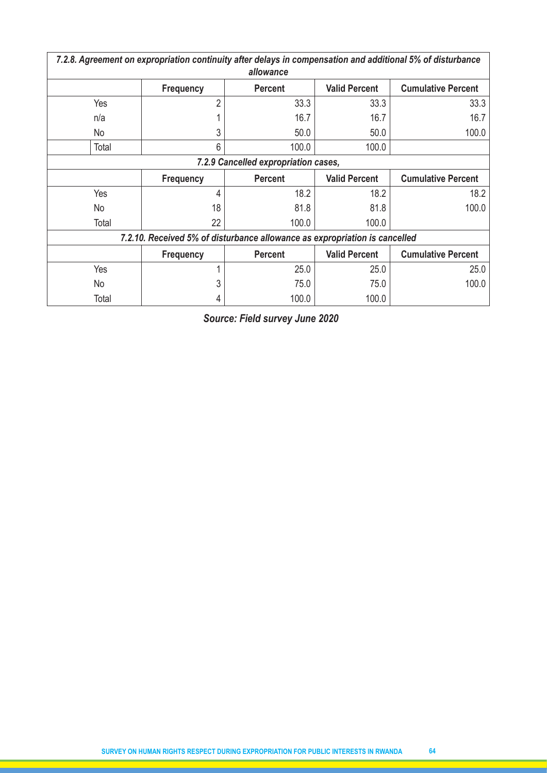| 7.2.8. Agreement on expropriation continuity after delays in compensation and additional 5% of disturbance<br>allowance |                                                                                         |                                                                            |                      |                           |  |  |  |  |  |  |  |
|-------------------------------------------------------------------------------------------------------------------------|-----------------------------------------------------------------------------------------|----------------------------------------------------------------------------|----------------------|---------------------------|--|--|--|--|--|--|--|
|                                                                                                                         | <b>Valid Percent</b><br><b>Cumulative Percent</b><br><b>Percent</b><br><b>Frequency</b> |                                                                            |                      |                           |  |  |  |  |  |  |  |
| Yes                                                                                                                     | $\overline{2}$                                                                          | 33.3                                                                       | 33.3                 | 33.3                      |  |  |  |  |  |  |  |
| n/a                                                                                                                     |                                                                                         | 16.7                                                                       | 16.7                 | 16.7                      |  |  |  |  |  |  |  |
| No                                                                                                                      | 3                                                                                       | 50.0                                                                       | 50.0                 | 100.0                     |  |  |  |  |  |  |  |
| Total                                                                                                                   | 6                                                                                       | 100.0                                                                      | 100.0                |                           |  |  |  |  |  |  |  |
|                                                                                                                         | 7.2.9 Cancelled expropriation cases,                                                    |                                                                            |                      |                           |  |  |  |  |  |  |  |
|                                                                                                                         | <b>Frequency</b>                                                                        | <b>Percent</b>                                                             | <b>Valid Percent</b> | <b>Cumulative Percent</b> |  |  |  |  |  |  |  |
| Yes                                                                                                                     | 4                                                                                       | 18.2                                                                       | 18.2                 | 18.2                      |  |  |  |  |  |  |  |
| No                                                                                                                      | 18                                                                                      | 81.8                                                                       | 81.8                 | 100.0                     |  |  |  |  |  |  |  |
| Total                                                                                                                   | 22                                                                                      | 100.0                                                                      | 100.0                |                           |  |  |  |  |  |  |  |
|                                                                                                                         |                                                                                         | 7.2.10. Received 5% of disturbance allowance as expropriation is cancelled |                      |                           |  |  |  |  |  |  |  |
|                                                                                                                         | <b>Frequency</b>                                                                        | <b>Percent</b>                                                             | <b>Valid Percent</b> | <b>Cumulative Percent</b> |  |  |  |  |  |  |  |
| Yes                                                                                                                     |                                                                                         | 25.0                                                                       | 25.0                 | 25.0                      |  |  |  |  |  |  |  |
| No                                                                                                                      | 3                                                                                       | 75.0                                                                       | 75.0                 | 100.0                     |  |  |  |  |  |  |  |
| Total                                                                                                                   |                                                                                         | 100.0                                                                      | 100.0                |                           |  |  |  |  |  |  |  |

*Source: Field survey June 2020*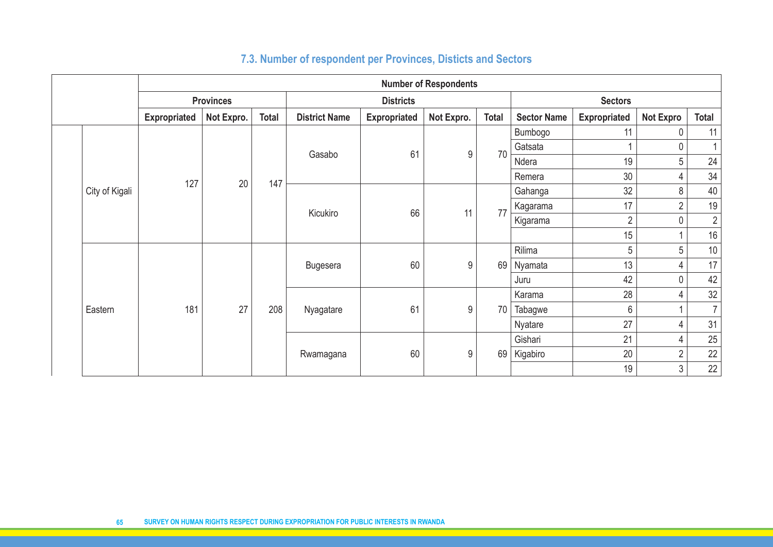|  |                | <b>Number of Respondents</b> |                  |              |                      |                                   |       |    |                    |                     |                  |                |  |
|--|----------------|------------------------------|------------------|--------------|----------------------|-----------------------------------|-------|----|--------------------|---------------------|------------------|----------------|--|
|  |                |                              | <b>Provinces</b> |              |                      | <b>Districts</b>                  |       |    | <b>Sectors</b>     |                     |                  |                |  |
|  |                | <b>Expropriated</b>          | Not Expro.       | <b>Total</b> | <b>District Name</b> | <b>Expropriated</b><br>Not Expro. |       |    | <b>Sector Name</b> | <b>Expropriated</b> | <b>Not Expro</b> | <b>Total</b>   |  |
|  |                |                              |                  |              |                      |                                   |       |    | Bumbogo            | 11                  | 0                | 11             |  |
|  |                |                              |                  |              | Gasabo               | 61                                | $9\,$ | 70 | Gatsata            | 1                   | $\pmb{0}$        |                |  |
|  |                |                              |                  |              |                      |                                   |       |    | Ndera              | 19                  | 5                | 24             |  |
|  |                | 127                          | 20               | 147          |                      |                                   |       |    | Remera             | 30                  | $\overline{4}$   | 34             |  |
|  | City of Kigali |                              |                  |              |                      |                                   |       |    | Gahanga            | 32                  | $\,8\,$          | 40             |  |
|  |                |                              |                  |              | Kicukiro             | 66                                | 11    | 77 | Kagarama           | 17                  | $\sqrt{2}$       | 19             |  |
|  |                |                              |                  |              |                      |                                   |       |    | Kigarama           | $\overline{2}$      | $\pmb{0}$        | $\overline{2}$ |  |
|  |                |                              |                  |              |                      |                                   |       |    |                    | 15                  |                  | 16             |  |
|  |                |                              |                  |              | <b>Bugesera</b>      | 60                                | $9\,$ |    | Rilima             | 5                   | $\overline{5}$   | $10$           |  |
|  |                |                              |                  |              |                      |                                   |       | 69 | Nyamata            | 13                  | $\overline{4}$   | 17             |  |
|  |                |                              |                  |              |                      |                                   |       |    | Juru               | 42                  | $\pmb{0}$        | 42             |  |
|  |                |                              |                  |              |                      |                                   |       |    | Karama             | 28                  | $\overline{4}$   | 32             |  |
|  | Eastern        | 181                          | 27               | 208          | Nyagatare            | 61                                | 9     | 70 | Tabagwe            | 6                   | $\overline{1}$   | $\overline{7}$ |  |
|  |                |                              |                  |              |                      |                                   |       |    | Nyatare            | 27                  | $\overline{4}$   | 31             |  |
|  |                |                              |                  |              |                      |                                   |       |    | Gishari            | 21                  | $\overline{4}$   | $25\,$         |  |
|  |                |                              |                  |              | Rwamagana            | 60                                | $9\,$ | 69 | Kigabiro           | 20                  | $\sqrt{2}$       | 22             |  |
|  |                |                              |                  |              |                      |                                   |       | 19 | $\mathfrak{Z}$     | 22                  |                  |                |  |

# **7.3. Number of respondent per Provinces, Disticts and Sectors**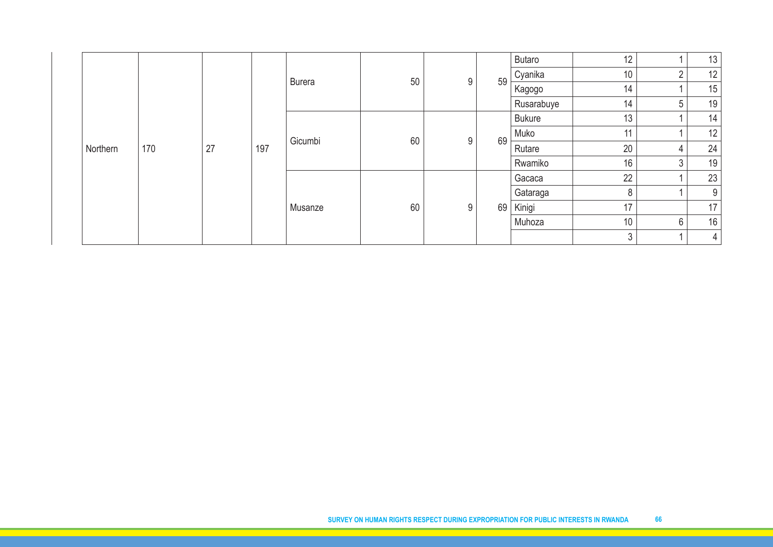| Northern | 170 | 27 | 197 | <b>Burera</b> | 50 | 9 | 59 | Butaro        | 12             |                | 13             |
|----------|-----|----|-----|---------------|----|---|----|---------------|----------------|----------------|----------------|
|          |     |    |     |               |    |   |    | Cyanika       | 10             | $\overline{2}$ | 12             |
|          |     |    |     |               |    |   |    | Kagogo        | 14             |                | 15             |
|          |     |    |     |               |    |   |    | Rusarabuye    | 14             | 5              | 19             |
|          |     |    |     | Gicumbi       | 60 | 9 | 69 | <b>Bukure</b> | 13             |                | 14             |
|          |     |    |     |               |    |   |    | Muko          | 11             |                | 12             |
|          |     |    |     |               |    |   |    | Rutare        | 20             | 4              | 24             |
|          |     |    |     |               |    |   |    | Rwamiko       | 16             | 3              | 19             |
|          |     |    |     | Musanze       | 60 | 9 | 69 | Gacaca        | 22             |                | 23             |
|          |     |    |     |               |    |   |    | Gataraga      | 8              |                | 9              |
|          |     |    |     |               |    |   |    | Kinigi        | 17             |                | 17             |
|          |     |    |     |               |    |   |    | Muhoza        | 10             | 6              | 16             |
|          |     |    |     |               |    |   |    |               | $\mathfrak{Z}$ |                | 4 <sup>1</sup> |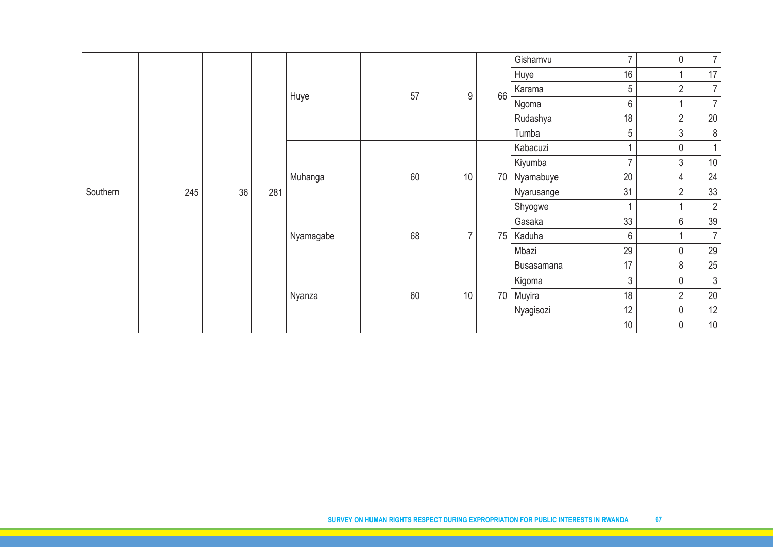|          |  |     |    |     |           |    |                | Gishamvu | $\overline{7}$ | 0               | 7 <sup>1</sup>      |                |
|----------|--|-----|----|-----|-----------|----|----------------|----------|----------------|-----------------|---------------------|----------------|
|          |  | 245 | 36 | 281 | Huye      | 57 | $9\,$          | 66       | Huye           | 16              | 1                   | 17             |
|          |  |     |    |     |           |    |                |          | Karama         | 5               | $\sqrt{2}$          | 7 <sup>1</sup> |
|          |  |     |    |     |           |    |                |          | Ngoma          | $6\phantom{.0}$ | $\overline{1}$      | $\overline{7}$ |
|          |  |     |    |     |           |    |                |          | Rudashya       | 18              | $\overline{2}$      | $20\,$         |
|          |  |     |    |     |           |    |                |          | Tumba          | 5               | $\mathfrak{S}$      | $\,8\,$        |
|          |  |     |    |     | Muhanga   | 60 | $10$           | 70       | Kabacuzi       | $\overline{1}$  | 0                   | $\overline{1}$ |
|          |  |     |    |     |           |    |                |          | Kiyumba        | $\overline{7}$  | 3                   | $10$           |
|          |  |     |    |     |           |    |                |          | Nyamabuye      | 20              | 4                   | 24             |
| Southern |  |     |    |     |           |    |                |          | Nyarusange     | 31              | $\overline{2}$      | 33             |
|          |  |     |    |     |           |    |                |          | Shyogwe        | $\overline{1}$  | $\mathbf{1}$        | $\overline{2}$ |
|          |  |     |    |     | Nyamagabe | 68 | $\overline{7}$ | 75       | Gasaka         | 33              | 6                   | 39             |
|          |  |     |    |     |           |    |                |          | Kaduha         | $6\phantom{.}$  | 1                   | $\overline{7}$ |
|          |  |     |    |     |           |    |                |          | Mbazi          | 29              | $\mathsf{O}\xspace$ | 29             |
|          |  |     |    |     |           |    |                |          | Busasamana     | 17              | 8                   | 25             |
|          |  |     |    |     |           |    |                | Kigoma   | $\mathfrak{Z}$ | 0               | $\mathfrak{Z}$      |                |
|          |  |     |    |     | Nyanza    | 60 | 10             | 70       | Muyira         | 18              | $\overline{2}$      | $20\,$         |
|          |  |     |    |     |           |    |                |          | Nyagisozi      | 12              | $\mathbf 0$         | 12             |
|          |  |     |    |     |           |    |                |          | 10             | $\mathsf{0}$    | $10$                |                |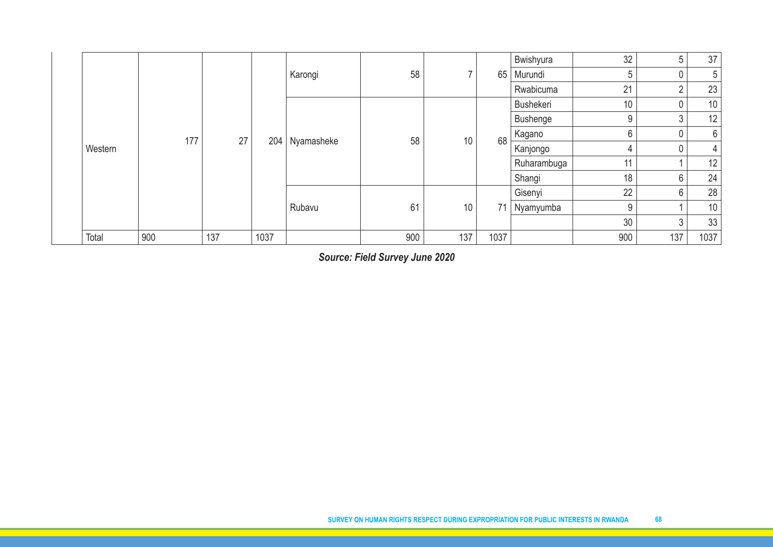|         |     |     |      |            |     |     |      | Bwishyura       | 32             | 5        | 37   |
|---------|-----|-----|------|------------|-----|-----|------|-----------------|----------------|----------|------|
| Western | 177 | 27  | 204  | Karongi    | 58  |     | 65   | Murundi         | 5              | 0        | 5    |
|         |     |     |      |            |     |     |      | Rwabicuma       | 21             | $\Omega$ | 23   |
|         |     |     |      | Nyamasheke |     |     | 68   | Bushekeri       | 10             | 0        | 10   |
|         |     |     |      |            |     |     |      | <b>Bushenge</b> | 9              | 3        | 12   |
|         |     |     |      |            | 58  | 10  |      | Kagano          | 6              | 0        | 6    |
|         |     |     |      |            |     |     |      | Kanjongo        | $\overline{4}$ | 0        | 4    |
|         |     |     |      |            |     |     |      | Ruharambuga     | 11             |          | 12   |
|         |     |     |      |            |     |     |      | Shangi          | 18             | 6        | 24   |
|         |     |     |      | Rubavu     |     |     |      | Gisenyi         | 22             | 6        | 28   |
|         |     |     |      |            | 61  | 10  | 71   | Nyamyumba       | 9              |          | 10   |
|         |     |     |      |            |     |     |      |                 | 30             | 3        | 33   |
| Total   | 900 | 137 | 1037 |            | 900 | 137 | 1037 |                 | 900            | 137      | 1037 |

*Source: Field Survey June 2020*